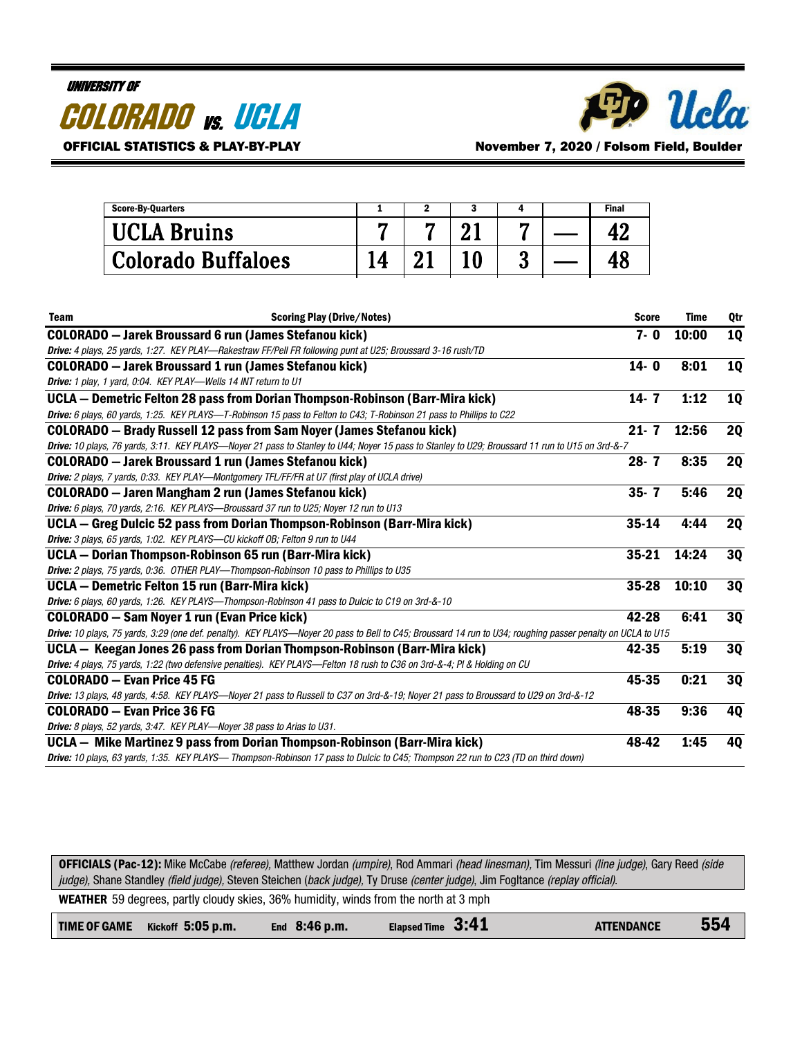#### UNIVERSITY OF

| <i><b>COLORADO vs. UCLA</b></i> |  |
|---------------------------------|--|
|---------------------------------|--|



OFFICIAL STATISTICS & PLAY-BY-PLAY November 7, 2020 / Folsom Field, Boulder

| <b>Score-By-Quarters</b>  |  |   | <b>Final</b> |
|---------------------------|--|---|--------------|
| <b>UCLA Bruins</b>        |  |   |              |
| <b>Colorado Buffaloes</b> |  | υ |              |

| <b>Team</b> | <b>Scoring Play (Drive/Notes)</b>                                                                                                                           | <b>Score</b> | <b>Time</b> | 0 <sub>tr</sub> |
|-------------|-------------------------------------------------------------------------------------------------------------------------------------------------------------|--------------|-------------|-----------------|
|             | <b>COLORADO</b> - Jarek Broussard 6 run (James Stefanou kick)                                                                                               | $7 - 0$      | 10:00       | <b>1Q</b>       |
|             | Drive: 4 plays, 25 yards, 1:27. KEY PLAY—Rakestraw FF/Pell FR following punt at U25; Broussard 3-16 rush/TD                                                 |              |             |                 |
|             | <b>COLORADO</b> - Jarek Broussard 1 run (James Stefanou kick)                                                                                               | $14 - 0$     | 8:01        | <b>10</b>       |
|             | Drive: 1 play, 1 yard, 0:04. KEY PLAY-Wells 14 INT return to U1                                                                                             |              |             |                 |
|             | UCLA - Demetric Felton 28 pass from Dorian Thompson-Robinson (Barr-Mira kick)                                                                               | $14 - 7$     | 1:12        | <b>1Q</b>       |
|             | Drive: 6 plays, 60 yards, 1:25. KEY PLAYS-T-Robinson 15 pass to Felton to C43; T-Robinson 21 pass to Phillips to C22                                        |              |             |                 |
|             | <b>COLORADO</b> - Brady Russell 12 pass from Sam Noyer (James Stefanou kick)                                                                                | $21 - 7$     | 12:56       | <b>2Q</b>       |
|             | Drive: 10 plays, 76 yards, 3:11. KEY PLAYS-Noyer 21 pass to Stanley to U44; Noyer 15 pass to Stanley to U29; Broussard 11 run to U15 on 3rd-&-7             |              |             |                 |
|             | <b>COLORADO</b> - Jarek Broussard 1 run (James Stefanou kick)                                                                                               | $28 - 7$     | 8:35        | <b>2Q</b>       |
|             | <b>Drive:</b> 2 plays, 7 yards, 0:33. KEY PLAY—Montgomery TFL/FF/FR at U7 (first play of UCLA drive)                                                        |              |             |                 |
|             | <b>COLORADO</b> - Jaren Mangham 2 run (James Stefanou kick)                                                                                                 | $35 - 7$     | 5:46        | <b>2Q</b>       |
|             | Drive: 6 plays, 70 yards, 2:16. KEY PLAYS-Broussard 37 run to U25; Noyer 12 run to U13                                                                      |              |             |                 |
|             | UCLA – Greg Dulcic 52 pass from Dorian Thompson-Robinson (Barr-Mira kick)                                                                                   | $35 - 14$    | 4:44        | <b>2Q</b>       |
|             | Drive: 3 plays, 65 yards, 1:02. KEY PLAYS-CU kickoff OB; Felton 9 run to U44                                                                                |              |             |                 |
|             | UCLA – Dorian Thompson-Robinson 65 run (Barr-Mira kick)                                                                                                     | $35 - 21$    | 14:24       | <b>3Q</b>       |
|             | Drive: 2 plays, 75 yards, 0:36. OTHER PLAY-Thompson-Robinson 10 pass to Phillips to U35                                                                     |              |             |                 |
|             | UCLA - Demetric Felton 15 run (Barr-Mira kick)                                                                                                              | $35 - 28$    | 10:10       | <b>3Q</b>       |
|             | Drive: 6 plays, 60 yards, 1:26. KEY PLAYS—Thompson-Robinson 41 pass to Dulcic to C19 on 3rd-&-10                                                            |              |             |                 |
|             | <b>COLORADO</b> - Sam Noyer 1 run (Evan Price kick)                                                                                                         | 42-28        | 6:41        | <b>3Q</b>       |
|             | Drive: 10 plays, 75 yards, 3:29 (one def. penalty). KEY PLAYS-Noyer 20 pass to Bell to C45; Broussard 14 run to U34; roughing passer penalty on UCLA to U15 |              |             |                 |
|             | UCLA - Keegan Jones 26 pass from Dorian Thompson-Robinson (Barr-Mira kick)                                                                                  | 42-35        | 5:19        | 30              |
|             | Drive: 4 plays, 75 yards, 1:22 (two defensive penalties). KEY PLAYS—Felton 18 rush to C36 on 3rd-&-4; Pl & Holding on CU                                    |              |             |                 |
|             | <b>COLORADO - Evan Price 45 FG</b>                                                                                                                          | 45-35        | 0:21        | <b>3Q</b>       |
|             | Drive: 13 plays, 48 yards, 4:58. KEY PLAYS—Noyer 21 pass to Russell to C37 on 3rd-&-19; Noyer 21 pass to Broussard to U29 on 3rd-&-12                       |              |             |                 |
|             | <b>COLORADO - Evan Price 36 FG</b>                                                                                                                          | 48-35        | 9:36        | 4Q              |
|             | Drive: 8 plays, 52 yards, 3:47. KEY PLAY-Noyer 38 pass to Arias to U31.                                                                                     |              |             |                 |
|             | UCLA – Mike Martinez 9 pass from Dorian Thompson-Robinson (Barr-Mira kick)                                                                                  | 48-42        | 1:45        | 4Q              |
|             | Drive: 10 plays, 63 yards, 1:35. KEY PLAYS— Thompson-Robinson 17 pass to Dulcic to C45; Thompson 22 run to C23 (TD on third down)                           |              |             |                 |

OFFICIALS (Pac-12): Mike McCabe (referee), Matthew Jordan (umpire), Rod Ammari (head linesman), Tim Messuri (line judge), Gary Reed (side judge), Shane Standley (field judge), Steven Steichen (back judge), Ty Druse (center judge), Jim Fogltance (replay official). WEATHER 59 degrees, partly cloudy skies, 36% humidity, winds from the north at 3 mph

|  | TIME OF GAME Kickoff 5:05 p.m. | End $8:46$ p.m. | Elapsed Time 3:41 | <b>ATTENDANCE</b> | 554 |
|--|--------------------------------|-----------------|-------------------|-------------------|-----|
|--|--------------------------------|-----------------|-------------------|-------------------|-----|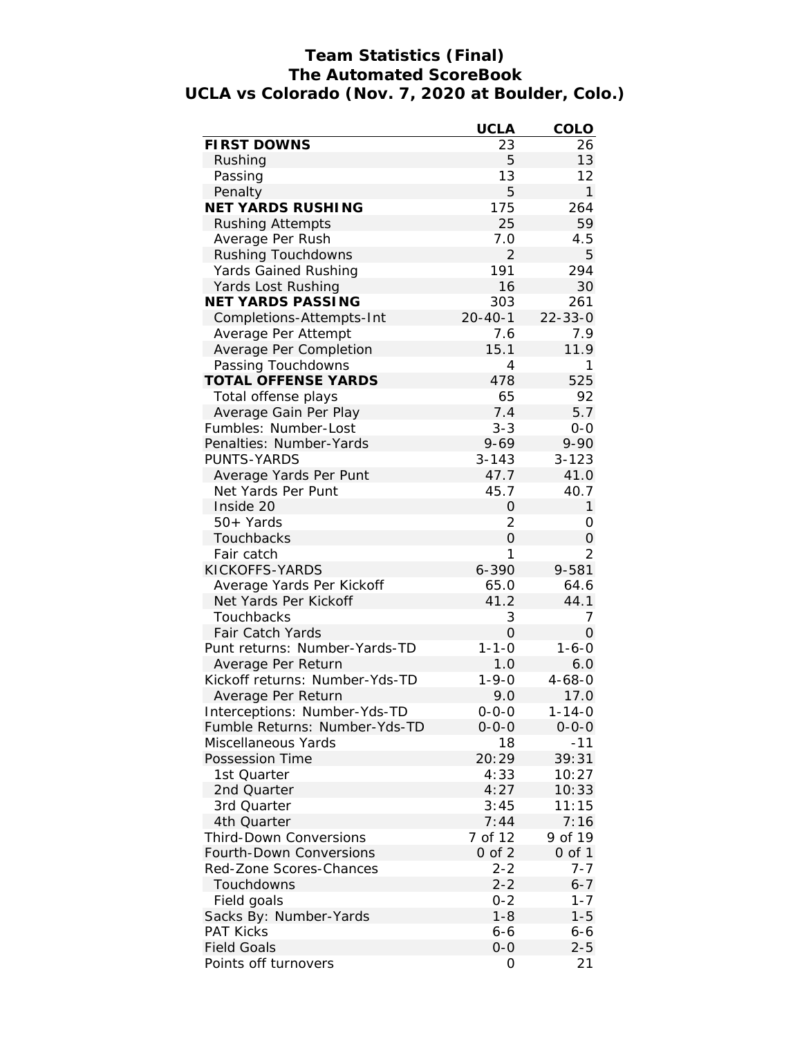## **Team Statistics (Final) The Automated ScoreBook UCLA vs Colorado (Nov. 7, 2020 at Boulder, Colo.)**

|                                | <b>UCLA</b>    | COLO          |
|--------------------------------|----------------|---------------|
| <b>FIRST DOWNS</b>             | 23             | 26            |
| Rushing                        | 5              | 13            |
| Passing                        | 13             | 12            |
| Penalty                        | 5              | $\mathbf{1}$  |
| NET YARDS RUSHING              | 175            | 264           |
| <b>Rushing Attempts</b>        | 25             | 59            |
| Average Per Rush               | 7.0            | 4.5           |
| <b>Rushing Touchdowns</b>      | $\overline{2}$ | 5             |
| Yards Gained Rushing           | 191            | 294           |
| Yards Lost Rushing             | 16             | 30            |
| NET YARDS PASSING              | 303            | 261           |
| Completions-Attempts-Int       | $20 - 40 - 1$  | $22 - 33 - 0$ |
| Average Per Attempt            | 7.6            | 7.9           |
| Average Per Completion         | 15.1           | 11.9          |
| Passing Touchdowns             | 4              | 1             |
| TOTAL OFFENSE YARDS            | 478            | 525           |
| Total offense plays            | 65             | 92            |
| Average Gain Per Play          | 7.4            | 5.7           |
| Fumbles: Number-Lost           | $3 - 3$        | $0-0$         |
| Penalties: Number-Yards        | $9 - 69$       | $9 - 90$      |
| PUNTS-YARDS                    | $3 - 143$      | $3 - 123$     |
| Average Yards Per Punt         | 47.7           | 41.0          |
| Net Yards Per Punt             | 45.7           | 40.7          |
| Inside 20                      | $\mathbf 0$    | 1             |
| 50+ Yards                      | 2              | 0             |
| Touchbacks                     | $\overline{O}$ | 0             |
| Fair catch                     | 1              | 2             |
| KICKOFFS-YARDS                 | 6-390          | 9-581         |
| Average Yards Per Kickoff      | 65.0           | 64.6          |
| Net Yards Per Kickoff          | 41.2           | 44.1          |
|                                |                |               |
| Touchbacks                     | 3              | 7             |
| Fair Catch Yards               | $\overline{O}$ | 0             |
| Punt returns: Number-Yards-TD  | $1 - 1 - 0$    | $1 - 6 - 0$   |
| Average Per Return             | 1.0            | 6.0           |
| Kickoff returns: Number-Yds-TD | $1 - 9 - 0$    | $4 - 68 - 0$  |
| Average Per Return             | 9.0            | 17.0          |
| Interceptions: Number-Yds-TD   | $0 - 0 - 0$    | $1 - 14 - 0$  |
| Fumble Returns: Number-Yds-TD  | $0 - 0 - 0$    | $0 - 0 - 0$   |
| Miscellaneous Yards            | 18             | $-11$         |
| Possession Time                | 20:29          | 39:31         |
| 1st Quarter                    | 4:33           | 10:27         |
| 2nd Quarter                    | 4:27           | 10:33         |
| 3rd Quarter                    | 3:45           | 11:15         |
| 4th Quarter                    | 7:44           | 7:16          |
| <b>Third-Down Conversions</b>  | 7 of 12        | 9 of 19       |
| Fourth-Down Conversions        | $0$ of $2$     | $0$ of $1$    |
| Red-Zone Scores-Chances        | $2 - 2$        | $7 - 7$       |
| Touchdowns                     | $2 - 2$        | $6 - 7$       |
| Field goals                    | $0 - 2$        | $1 - 7$       |
| Sacks By: Number-Yards         | $1 - 8$        | $1 - 5$       |
| <b>PAT Kicks</b>               | $6 - 6$        | $6 - 6$       |
| <b>Field Goals</b>             | $0 - 0$        | $2 - 5$       |
| Points off turnovers           | 0              | 21            |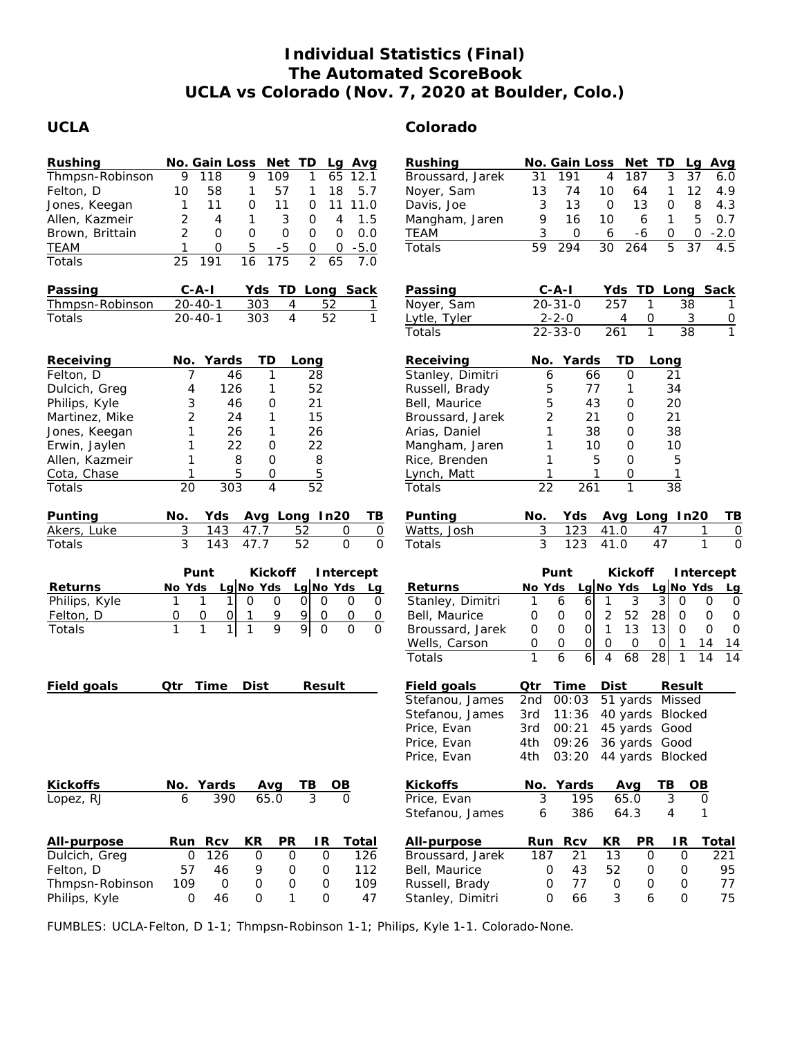# **Individual Statistics (Final) The Automated ScoreBook UCLA vs Colorado (Nov. 7, 2020 at Boulder, Colo.)**

# **UCLA Colorado**

| Rushing<br>Thmpsn-Robinson<br>Felton, D<br>Jones, Keegan<br>Allen, Kazmeir<br>Brown, Brittain<br><b>TEAM</b><br>Totals         | No. Gain Loss<br>Net TD<br>Avg<br>Lq<br>9<br>9<br>109<br>118<br>65<br>1<br>12.1<br>57<br>18<br>5.7<br>10<br>58<br>1<br>1<br>11<br>0<br>11<br>0<br>11<br>11.0<br>1<br>$\overline{2}$<br>3<br>1.5<br>1<br>4<br>4<br>0<br>2<br>0<br>0.0<br>$\mathsf O$<br>$\mathbf 0$<br>0<br>0<br>5<br>$-5$<br>$-5.0$<br>1<br>$\mathsf O$<br>0<br>0<br>$\overline{2}$<br>65<br>25<br>191<br>16<br>175<br>7.0 | Rushing<br>Broussard, Jarek<br>Noyer, Sam<br>Davis, Joe<br>Mangham, Jaren<br>TEAM<br>Totals                                              | No. Gain Loss<br>Net<br>TD<br>Avg<br>La<br>37<br>191<br>187<br>3<br>31<br>4<br>6.0<br>13<br>12<br>4.9<br>74<br>10<br>64<br>1<br>8<br>3<br>$\mathbf 0$<br>13<br>$\mathbf 0$<br>13<br>4.3<br>5<br>9<br>16<br>0.7<br>10<br>6<br>$\mathbf{1}$<br>3<br>$-2.0$<br>0<br>6<br>0<br>0<br>-6<br>5<br>59<br>30<br>4.5<br>294<br>264<br>37                                                                                                                                                                                                                                               |
|--------------------------------------------------------------------------------------------------------------------------------|--------------------------------------------------------------------------------------------------------------------------------------------------------------------------------------------------------------------------------------------------------------------------------------------------------------------------------------------------------------------------------------------|------------------------------------------------------------------------------------------------------------------------------------------|------------------------------------------------------------------------------------------------------------------------------------------------------------------------------------------------------------------------------------------------------------------------------------------------------------------------------------------------------------------------------------------------------------------------------------------------------------------------------------------------------------------------------------------------------------------------------|
| Passing                                                                                                                        | $C - A - I$<br>Yds TD<br>Long Sack                                                                                                                                                                                                                                                                                                                                                         | Passing                                                                                                                                  | $C-A-I$<br>TD Long Sack<br>Yds                                                                                                                                                                                                                                                                                                                                                                                                                                                                                                                                               |
| Thmpsn-Robinson                                                                                                                | $20 - 40 - 1$<br>303<br>$\overline{4}$<br>52<br>1                                                                                                                                                                                                                                                                                                                                          | Noyer, Sam                                                                                                                               | 257<br>1<br>$20 - 31 - 0$<br>38                                                                                                                                                                                                                                                                                                                                                                                                                                                                                                                                              |
| Totals                                                                                                                         | $\overline{4}$<br>52<br>303<br>1<br>$20 - 40 - 1$                                                                                                                                                                                                                                                                                                                                          | Lytle, Tyler                                                                                                                             | $2 - 2 - 0$<br>0<br>$\mathbf{3}$<br>4<br>$\overline{0}$<br>$\overline{1}$                                                                                                                                                                                                                                                                                                                                                                                                                                                                                                    |
|                                                                                                                                |                                                                                                                                                                                                                                                                                                                                                                                            | Totals                                                                                                                                   | $\overline{38}$<br>$\mathbf{1}$<br>$22 - 33 - 0$<br>261                                                                                                                                                                                                                                                                                                                                                                                                                                                                                                                      |
| Receiving<br>Felton, D<br>Dulcich, Greg<br>Philips, Kyle<br>Martinez, Mike<br>Jones, Keegan<br>Erwin, Jaylen<br>Allen, Kazmeir | Yards<br>TD<br>No.<br>Long<br>46<br>1<br>7<br>28<br>52<br>126<br>4<br>1<br>3<br>21<br>46<br>0<br>$\overline{2}$<br>24<br>1<br>15<br>1<br>26<br>26<br>1<br>22<br>1<br>22<br>0<br>1<br>8<br>$\mathbf 0$<br>8                                                                                                                                                                                 | Receiving<br>Stanley, Dimitri<br>Russell, Brady<br>Bell, Maurice<br>Broussard, Jarek<br>Arias, Daniel<br>Mangham, Jaren<br>Rice, Brenden | <b>TD</b><br>Yards<br>No.<br>Long<br>66<br>$\Omega$<br>21<br>6<br>5<br>77<br>34<br>1<br>5<br>43<br>20<br>$\mathbf 0$<br>$\overline{2}$<br>21<br>0<br>21<br>1<br>38<br>38<br>0<br>1<br>10<br>10<br>0<br>1<br>5<br>$\mathbf{O}$<br>5                                                                                                                                                                                                                                                                                                                                           |
| Cota, Chase                                                                                                                    | $\overline{5}$<br>5<br>$\mathbf 0$<br>$\mathbf{1}$                                                                                                                                                                                                                                                                                                                                         | Lynch, Matt                                                                                                                              | $\mathbf{1}$<br>$\mathbf{1}$<br>$\mathbf{O}$<br>$\mathbf{1}$                                                                                                                                                                                                                                                                                                                                                                                                                                                                                                                 |
| Totals                                                                                                                         | $\overline{52}$<br>$\overline{303}$<br>$\overline{4}$<br>20                                                                                                                                                                                                                                                                                                                                | Totals                                                                                                                                   | $\overline{22}$<br>261<br>1<br>$\overline{38}$                                                                                                                                                                                                                                                                                                                                                                                                                                                                                                                               |
| Punting<br>Akers, Luke<br>Totals                                                                                               | No.<br>Yds<br>Avg Long In20<br>TВ<br>3<br>143<br>52<br>$\overline{0}$<br>47.7<br>0<br>$\overline{3}$<br>$\overline{52}$<br>$\overline{0}$<br>$\overline{0}$<br>143<br>47.7                                                                                                                                                                                                                 | Punting<br>Watts, Josh<br>Totals                                                                                                         | Yds<br>Avg Long In20<br>ΤB<br>No.<br>3<br>123<br>41.0<br>0<br>47<br>1<br>$\overline{3}$<br>$\overline{123}$<br>$\overline{47}$<br>41.0<br>$\mathbf{1}$<br>$\Omega$                                                                                                                                                                                                                                                                                                                                                                                                           |
| Returns<br>Philips, Kyle<br>Felton, D<br>Totals                                                                                | Punt<br>Kickoff<br>Intercept<br>Lg No Yds<br>Lg No Yds<br>No Yds<br>Lg<br>1<br>O<br>$\mathbf 0$<br>$\mathbf{O}$<br>$\overline{0}$<br>$\mathbf{O}$<br>1<br>0<br>9<br>0<br>O<br>O<br>9<br>1<br>O<br>0<br>$\overline{O}$<br>9<br>1<br>9<br>$\Omega$<br>1<br>1<br>1<br>$\Omega$<br>$\Omega$                                                                                                    | Returns<br>Stanley, Dimitri<br>Bell, Maurice<br>Broussard, Jarek<br>Wells, Carson<br>Totals                                              | Punt<br>Kickoff<br>Intercept<br>Lg No Yds<br>Lg No Yds<br>No Yds<br>Lg<br>3<br>3<br>1<br>6<br>6<br>1<br>$\mathbf 0$<br>0<br>0<br>52<br>$\overline{c}$<br>28<br>$\mathsf O$<br>$\mathsf O$<br>$\overline{O}$<br>$\mathsf{O}$<br>$\mathbf 0$<br>$\mathbf 0$<br>$\mathbf{1}$<br>13<br>$\mathsf{O}$<br>$\circ$<br>13<br>$\Omega$<br>$\mathsf{O}$<br>$\mathbf 0$<br>$\mathbf 0$<br>$\overline{O}$<br>0<br>$\mathsf{O}$<br>$\mathbf 0$<br>$\mathbf 0$<br>$\circ$<br>$\mathbf{1}$<br>14<br>14<br>$\overline{1}$<br>6<br>68<br>6<br>$\overline{4}$<br>28<br>14<br>$\mathbf{1}$<br>14 |
| Field goals                                                                                                                    | Time<br>Dist<br>Result<br>Qtr                                                                                                                                                                                                                                                                                                                                                              | Field goals<br>Stefanou, James<br>Stefanou, James<br>Price, Evan<br>Price, Evan<br>Price, Evan                                           | Qtr<br>Time<br>Dist<br>Result<br>00:03<br>51 yards Missed<br>2nd<br>11:36<br>40 yards<br>3rd<br><b>Blocked</b><br>00:21<br>45 yards Good<br>3rd<br>4th<br>09:26<br>36 yards Good<br>4th<br>03:20<br>44 yards Blocked                                                                                                                                                                                                                                                                                                                                                         |
| Kickoffs                                                                                                                       | No. Yards<br>TВ<br>Avg<br>OВ                                                                                                                                                                                                                                                                                                                                                               | Kickoffs                                                                                                                                 | Yards<br>TВ<br>OВ<br>No.<br>Avg                                                                                                                                                                                                                                                                                                                                                                                                                                                                                                                                              |
| Lopez, RJ                                                                                                                      | 65.0<br>3<br>6<br>390<br>$\Omega$                                                                                                                                                                                                                                                                                                                                                          | Price, Evan                                                                                                                              | 3<br>3<br>65.0<br>195<br>0                                                                                                                                                                                                                                                                                                                                                                                                                                                                                                                                                   |
|                                                                                                                                |                                                                                                                                                                                                                                                                                                                                                                                            | Stefanou, James                                                                                                                          | 386<br>64.3<br>4<br>1<br>6                                                                                                                                                                                                                                                                                                                                                                                                                                                                                                                                                   |
| All-purpose<br>Dulcich, Greg<br>Felton, D<br>Thmpsn-Robinson<br>Philips, Kyle                                                  | <b>Rcv</b><br>KR<br>PR<br>IR.<br>Total<br>Run<br>126<br>0<br>$\mathbf 0$<br>$\mathbf 0$<br>$\mathsf{O}$<br>126<br>57<br>112<br>46<br>9<br>O<br>0<br>109<br>109<br>0<br>0<br>O<br>0<br>$\mathsf{O}$<br>46<br>O<br>1<br>$\mathsf O$<br>47                                                                                                                                                    | All-purpose<br>Broussard, Jarek<br>Bell, Maurice<br>Russell, Brady<br>Stanley, Dimitri                                                   | KR<br><b>PR</b><br>IR<br>Total<br>Run<br>Rcv<br>187<br>13<br>221<br>21<br>$\mathsf{O}$<br>$\mathbf 0$<br>52<br>0<br>43<br>O<br>95<br>0<br>77<br>77<br>0<br>0<br>O<br>0<br>O<br>66<br>3<br>6<br>$\mathsf O$<br>75                                                                                                                                                                                                                                                                                                                                                             |

FUMBLES: UCLA-Felton, D 1-1; Thmpsn-Robinson 1-1; Philips, Kyle 1-1. Colorado-None.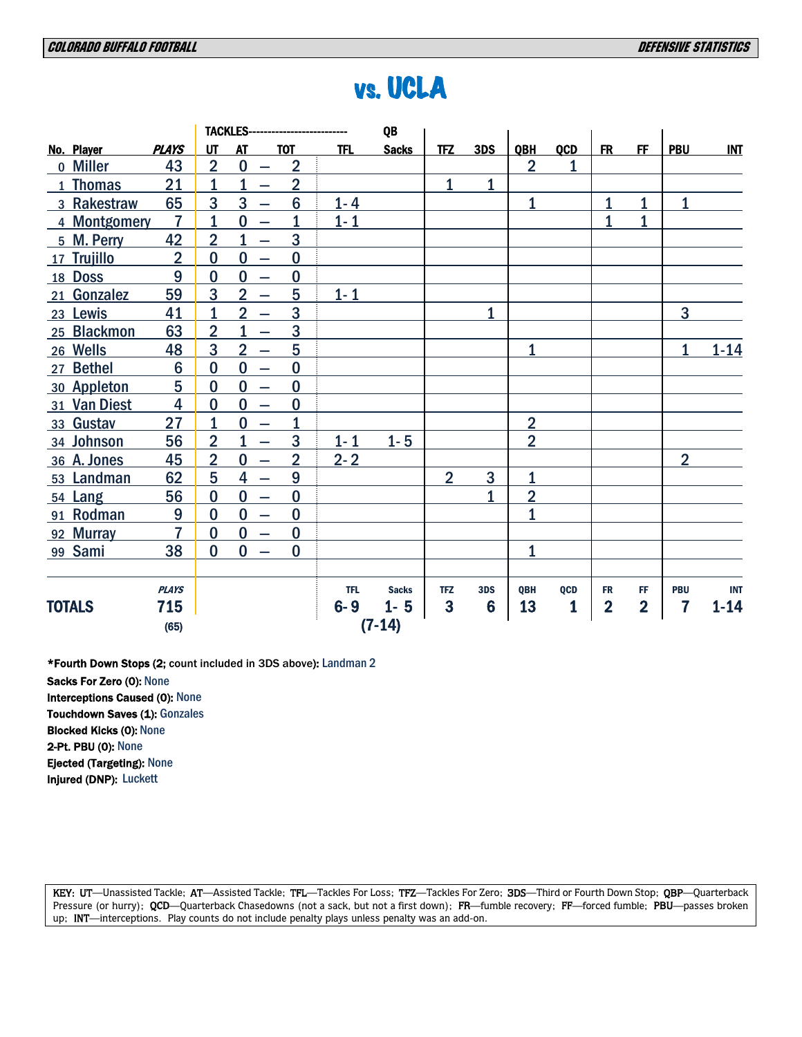|               |                 |                | <b>TACKLES--</b>                           | ----------------------- |            | QB           |                |              |                |            |                         |                         |                         |            |
|---------------|-----------------|----------------|--------------------------------------------|-------------------------|------------|--------------|----------------|--------------|----------------|------------|-------------------------|-------------------------|-------------------------|------------|
| No. Player    | <b>PLAYS</b>    | UT             | <b>AT</b>                                  | <b>TOT</b>              | <b>TFL</b> | <b>Sacks</b> | <b>TFZ</b>     | 3DS          | <b>OBH</b>     | <b>QCD</b> | <b>FR</b>               | <b>FF</b>               | <b>PBU</b>              | <b>INT</b> |
| o Miller      | 43              | $\overline{2}$ | $\bf{0}$                                   | $\overline{2}$          |            |              |                |              | $\overline{2}$ | 1          |                         |                         |                         |            |
| 1 Thomas      | 21              | $\overline{1}$ | $\overline{1}$<br>$\overline{\phantom{0}}$ | $\overline{2}$          |            |              | $\mathbf{1}$   | 1            |                |            |                         |                         |                         |            |
| 3 Rakestraw   | 65              | 3              | 3<br>$\overline{\phantom{0}}$              | $6\phantom{1}6$         | $1 - 4$    |              |                |              | $\mathbf{1}$   |            | $\mathbf{1}$            | $\mathbf 1$             | $\mathbf{1}$            |            |
| 4 Montgomery  | $\overline{7}$  | $\overline{1}$ | $\bf{0}$<br>$\overline{\phantom{0}}$       | 1                       | $1 - 1$    |              |                |              |                |            | 1                       | $\overline{1}$          |                         |            |
| 5 M. Perry    | 42              | $\overline{2}$ | $\overline{1}$<br>$\overline{\phantom{0}}$ | 3                       |            |              |                |              |                |            |                         |                         |                         |            |
| 17 Trujillo   | $\overline{2}$  | $\bf{0}$       | $\bf{0}$<br>$\overline{\phantom{0}}$       | $\bf{0}$                |            |              |                |              |                |            |                         |                         |                         |            |
| 18 Doss       | 9               | $\bf{0}$       | $\bf{0}$<br>$\overline{\phantom{0}}$       | $\bf{0}$                |            |              |                |              |                |            |                         |                         |                         |            |
| 21 Gonzalez   | 59              | 3              | $\overline{2}$<br>$\overline{\phantom{m}}$ | 5                       | $1 - 1$    |              |                |              |                |            |                         |                         |                         |            |
| 23 Lewis      | 41              | $\mathbf{1}$   | $\overline{2}$<br>$\overline{\phantom{0}}$ | 3                       |            |              |                | $\mathbf{1}$ |                |            |                         |                         | 3                       |            |
| 25 Blackmon   | 63              | $\overline{2}$ | 1<br>$\overline{\phantom{0}}$              | 3                       |            |              |                |              |                |            |                         |                         |                         |            |
| 26 Wells      | 48              | 3              | $\overline{2}$<br>$\overline{\phantom{m}}$ | 5                       |            |              |                |              | $\overline{1}$ |            |                         |                         | $\mathbf{1}$            | $1 - 14$   |
| 27 Bethel     | $6\phantom{1}6$ | $\bf{0}$       | $\bf{0}$<br>$\overline{\phantom{0}}$       | $\bf{0}$                |            |              |                |              |                |            |                         |                         |                         |            |
| 30 Appleton   | 5               | $\bf{0}$       | $\bf{0}$<br>$\overline{\phantom{0}}$       | $\bf{0}$                |            |              |                |              |                |            |                         |                         |                         |            |
| 31 Van Diest  | $\overline{4}$  | $\bf{0}$       | $\bf{0}$<br>$\overline{\phantom{0}}$       | $\bf{0}$                |            |              |                |              |                |            |                         |                         |                         |            |
| 33 Gustav     | 27              | $\mathbf{1}$   | $\bf{0}$<br>$\overline{\phantom{0}}$       | $\overline{1}$          |            |              |                |              | $\overline{2}$ |            |                         |                         |                         |            |
| 34 Johnson    | 56              | $\overline{2}$ | 1<br>$\overline{\phantom{0}}$              | 3                       | $1 - 1$    | $1 - 5$      |                |              | $\overline{2}$ |            |                         |                         |                         |            |
| 36 A. Jones   | 45              | $\overline{2}$ | $\bf{0}$<br>$\overline{\phantom{0}}$       | $\overline{2}$          | $2 - 2$    |              |                |              |                |            |                         |                         | $\overline{2}$          |            |
| 53 Landman    | 62              | 5              | 4<br>$\overline{\phantom{0}}$              | 9                       |            |              | $\overline{2}$ | 3            | $\mathbf{1}$   |            |                         |                         |                         |            |
| 54 Lang       | 56              | $\bf{0}$       | $\bf{0}$<br>$\overline{\phantom{0}}$       | $\bf{0}$                |            |              |                | 1            | $\overline{2}$ |            |                         |                         |                         |            |
| 91 Rodman     | 9               | $\bf{0}$       | $\bf{0}$<br>$\overline{\phantom{m}}$       | $\bf{0}$                |            |              |                |              | $\overline{1}$ |            |                         |                         |                         |            |
| 92 Murray     | $\overline{7}$  | $\bf{0}$       | $\bf{0}$                                   | $\bf{0}$                |            |              |                |              |                |            |                         |                         |                         |            |
| 99 Sami       | 38              | $\bf{0}$       | $\bf{0}$                                   | $\bf{0}$                |            |              |                |              | 1              |            |                         |                         |                         |            |
|               | <b>PLAYS</b>    |                |                                            |                         | <b>TFL</b> | <b>Sacks</b> | <b>TFZ</b>     | 3DS          | QBH            | QCD        | <b>FR</b>               | FF                      | <b>PBU</b>              | <b>INT</b> |
| <b>TOTALS</b> | 715             |                |                                            |                         | $6-9$      | $1 - 5$      | 3              | 6            | 13             | 1          | $\overline{\mathbf{2}}$ | $\overline{\mathbf{2}}$ | $\overline{\mathbf{r}}$ | $1 - 14$   |
|               | (65)            |                |                                            |                         |            | $(7-14)$     |                |              |                |            |                         |                         |                         |            |

# vs. UCLA

\*Fourth Down Stops (2; count included in 3DS above): Landman 2

Sacks For Zero (0): None Interceptions Caused (0): None Touchdown Saves (1): Gonzales Blocked Kicks (0): None 2-Pt. PBU (0): None Ejected (Targeting): None Injured (DNP): Luckett

KEY: UT—Unassisted Tackle; AT—Assisted Tackle; TFL—Tackles For Loss; TFZ—Tackles For Zero; 3DS—Third or Fourth Down Stop; QBP—Quarterback Pressure (or hurry); QCD—Quarterback Chasedowns (not a sack, but not a first down); FR—fumble recovery; FF—forced fumble; PBU—passes broken up; INT—interceptions. Play counts do not include penalty plays unless penalty was an add-on.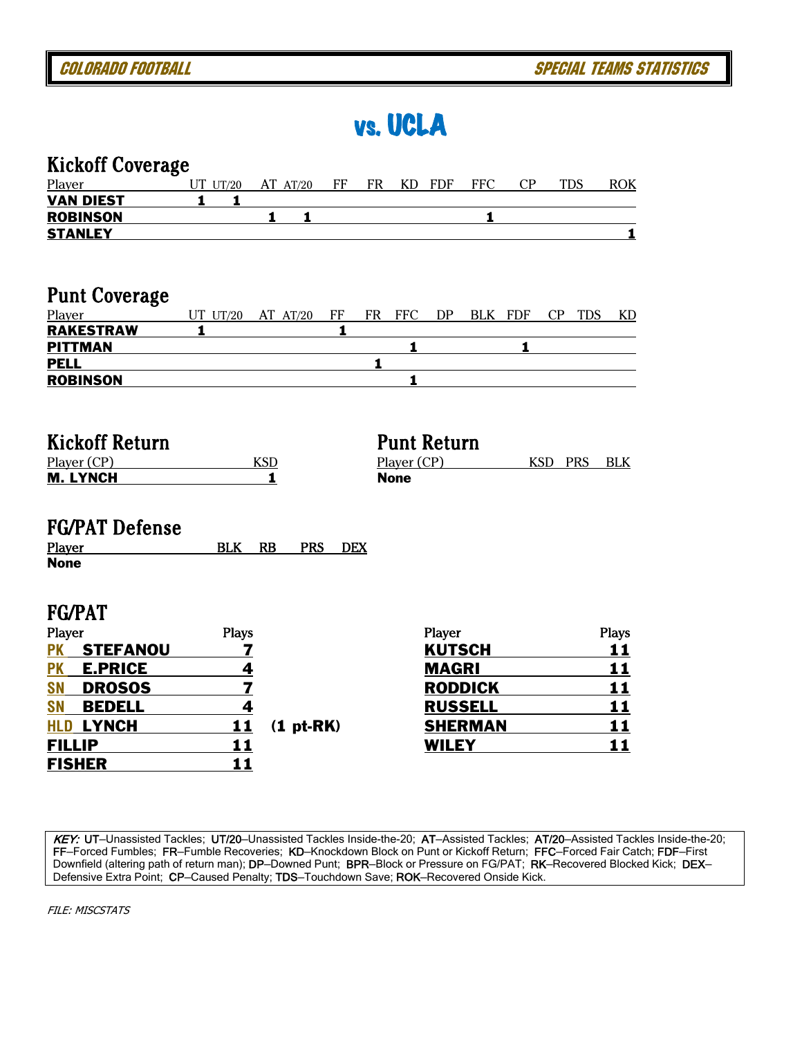vs. UCLA

| <b>Kickoff Coverage</b>                                                                                                                                                                                            |                                |                                     |            |    |                            |                                                                                             |                |            |                   |                                                  |
|--------------------------------------------------------------------------------------------------------------------------------------------------------------------------------------------------------------------|--------------------------------|-------------------------------------|------------|----|----------------------------|---------------------------------------------------------------------------------------------|----------------|------------|-------------------|--------------------------------------------------|
| Player                                                                                                                                                                                                             | $UT$ $UT/20$                   | AT AT/20                            | FF         | FR | KD                         | FDF                                                                                         | <b>FFC</b>     | CP         | <b>TDS</b>        | <b>ROK</b>                                       |
| <b>VAN DIEST</b>                                                                                                                                                                                                   | 1<br>1                         |                                     |            |    |                            |                                                                                             |                |            |                   |                                                  |
| <b>ROBINSON</b>                                                                                                                                                                                                    |                                | 1<br>1                              |            |    |                            |                                                                                             | 1              |            |                   |                                                  |
| <b>STANLEY</b>                                                                                                                                                                                                     |                                |                                     |            |    |                            |                                                                                             |                |            |                   | 1                                                |
|                                                                                                                                                                                                                    |                                |                                     |            |    |                            |                                                                                             |                |            |                   |                                                  |
| <b>Punt Coverage</b>                                                                                                                                                                                               |                                |                                     |            |    |                            |                                                                                             |                |            |                   |                                                  |
| Player                                                                                                                                                                                                             | $UT$ $UT/20$                   | AT AT/20                            | FF         | FR | <b>FFC</b>                 | DP                                                                                          | <b>BLK</b>     | <b>FDF</b> | CP<br><b>TDS</b>  | KD                                               |
| <b>RAKESTRAW</b>                                                                                                                                                                                                   | 1                              |                                     | 1          |    |                            |                                                                                             |                |            |                   |                                                  |
| <b>PITTMAN</b>                                                                                                                                                                                                     |                                |                                     |            |    | 1                          |                                                                                             |                | 1          |                   |                                                  |
| <b>PELL</b>                                                                                                                                                                                                        |                                |                                     |            | 1  |                            |                                                                                             |                |            |                   |                                                  |
| <b>ROBINSON</b>                                                                                                                                                                                                    |                                |                                     |            |    | 1                          |                                                                                             |                |            |                   |                                                  |
| <b>Kickoff Return</b><br>Player (CP)<br><b>M. LYNCH</b><br><b>FG/PAT Defense</b><br>Player<br><b>None</b>                                                                                                          | <b>BLK</b>                     | <b>KSD</b><br>1<br>RB<br><b>PRS</b> | <b>DEX</b> |    | Player (CP)<br><b>None</b> | <b>Punt Return</b>                                                                          |                |            | <b>KSD</b><br>PRS | <b>BLK</b>                                       |
| <b>FG/PAT</b><br>Player<br><b>STEFANOU</b><br><b>PK</b><br><b>PK</b><br><b>E.PRICE</b><br><b>SN</b><br><b>DROSOS</b><br><b>SN</b><br><b>BEDELL</b><br><b>LYNCH</b><br><b>HLD</b><br><b>FILLIP</b><br><b>FISHER</b> | <b>Plays</b><br>11<br>11<br>11 | 7<br>4<br>7<br>4<br>$(1pt-RK)$      |            |    |                            | Player<br><b>KUTSCH</b><br><b>MAGRI</b><br><b>RODDICK</b><br><b>RUSSELL</b><br><b>WILEY</b> | <b>SHERMAN</b> |            |                   | <b>Plays</b><br>11<br>11<br>11<br>11<br>11<br>11 |

KEY: UT—Unassisted Tackles; UT/20—Unassisted Tackles Inside-the-20; AT—Assisted Tackles; AT/20—Assisted Tackles Inside-the-20; FF—Forced Fumbles; FR—Fumble Recoveries; KD—Knockdown Block on Punt or Kickoff Return; FFC—Forced Fair Catch; FDF—First Downfield (altering path of return man); DP–Downed Punt; BPR–Block or Pressure on FG/PAT; RK–Recovered Blocked Kick; DEX– Defensive Extra Point; CP-Caused Penalty; TDS-Touchdown Save; ROK-Recovered Onside Kick.

FILE: MISCSTATS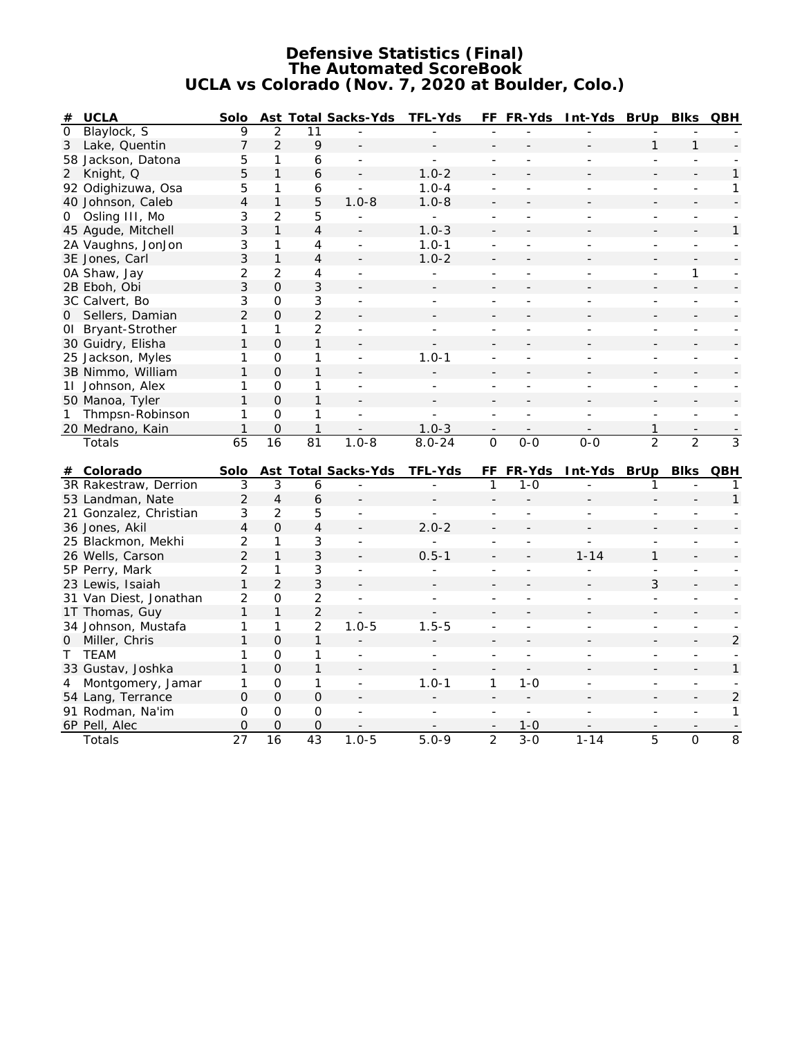#### **Defensive Statistics (Final) The Automated ScoreBook UCLA vs Colorado (Nov. 7, 2020 at Boulder, Colo.)**

| <b>UCLA</b><br>#       | Solo |               |                | Ast Total Sacks-Yds | TFL-Yds    | FF.      | FR-Yds | Int-Yds | BrUp | <b>Blks</b>    | QBH |
|------------------------|------|---------------|----------------|---------------------|------------|----------|--------|---------|------|----------------|-----|
| Blaylock, S<br>$\circ$ | 9    | 2             |                |                     |            |          |        |         |      |                |     |
| Lake, Quentin<br>3     |      | $\mathcal{L}$ | 9              |                     |            |          |        |         |      |                |     |
| Jackson, Datona<br>58  | 5    |               | 6              |                     |            |          |        |         |      |                |     |
| Knight, Q<br>2         | 5    |               | 6              |                     | $1.0 - 2$  |          |        |         |      |                |     |
| 92 Odighizuwa, Osa     | 5    |               | 6              |                     | $1.0 - 4$  |          |        |         |      |                |     |
| 40 Johnson, Caleb      | 4    |               | 5              | $1.0 - 8$           | $1.0 - 8$  |          |        |         |      |                |     |
| 0 Osling III, Mo       | 3    | 2             | 5              |                     |            |          |        |         |      |                |     |
| 45 Agude, Mitchell     | 3    |               | 4              |                     | $1.0 - 3$  |          |        |         |      |                |     |
| 2A Vaughns, JonJon     | 3    |               | 4              |                     | $1.0 - 1$  |          |        |         |      |                |     |
| 3E Jones, Carl         | 3    |               | 4              |                     | $1.0 - 2$  |          |        |         |      |                |     |
| 0A Shaw, Jay           | 2    | 2             | 4              |                     |            |          |        |         |      |                |     |
| 2B Eboh, Obi           | 3    | 0             | 3              |                     |            |          |        |         |      |                |     |
| 3C Calvert, Bo         | 3    | $\Omega$      | 3              |                     |            |          |        |         |      |                |     |
| 0 Sellers, Damian      | 2    | 0             | $\overline{2}$ |                     |            |          |        |         |      |                |     |
| 01 Bryant-Strother     |      |               |                |                     |            |          |        |         |      |                |     |
| 30 Guidry, Elisha      |      | 0             |                |                     |            |          |        |         |      |                |     |
| 25 Jackson, Myles      |      | $\Omega$      |                |                     | $1.0 - 1$  |          |        |         |      |                |     |
| 3B Nimmo, William      |      | 0             |                |                     |            |          |        |         |      |                |     |
| 11 Johnson, Alex       |      | O             |                |                     |            |          |        |         |      |                |     |
| 50 Manoa, Tyler        |      | 0             |                |                     |            |          |        |         |      |                |     |
| Thmpsn-Robinson        |      | 0             |                |                     |            |          |        |         |      |                |     |
| 20 Medrano, Kain       |      | O             |                |                     | $1.0 - 3$  |          |        |         |      |                |     |
| Totals                 | 65   | 16            | 81             | $1.0 - 8$           | $8.0 - 24$ | $\Omega$ | $0-0$  | $O-O$   | 2    | $\overline{2}$ | 3   |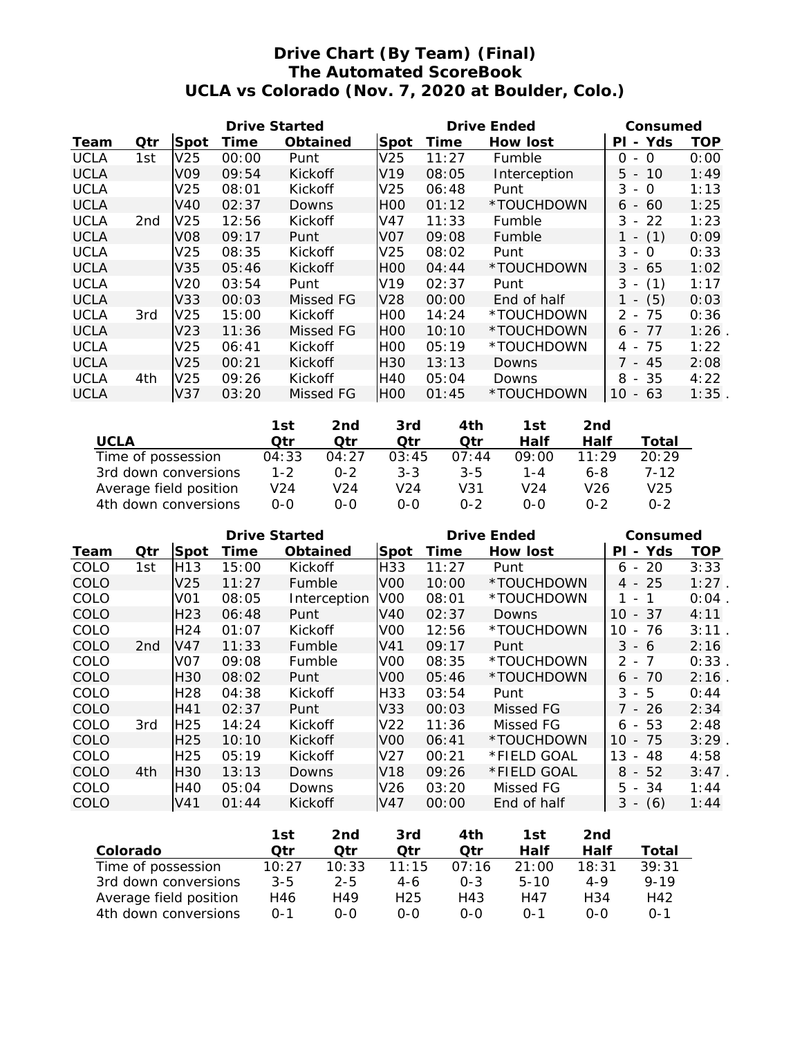# **Drive Chart (By Team) (Final) The Automated ScoreBook UCLA vs Colorado (Nov. 7, 2020 at Boulder, Colo.)**

|             |                 |                 | Drive Started |           |                  |       | Drive Ended  | Consumed                                         |            |
|-------------|-----------------|-----------------|---------------|-----------|------------------|-------|--------------|--------------------------------------------------|------------|
| Team        | Qtr             | Spot            | Time          | Obtained  | Spot             | Time  | How lost     | Yds<br>ΡI<br>$\overline{\phantom{0}}$            | <b>TOP</b> |
| <b>UCLA</b> | 1st             | V <sub>25</sub> | 00:00         | Punt      | V <sub>25</sub>  | 11:27 | Fumble       | $\Omega$<br>Ω<br>$\overline{a}$                  | 0:00       |
| <b>UCLA</b> |                 | V09             | 09:54         | Kickoff   | V <sub>19</sub>  | 08:05 | Interception | 10<br>$5 -$                                      | 1:49       |
| <b>UCLA</b> |                 | V <sub>25</sub> | 08:01         | Kickoff   | V <sub>25</sub>  | 06:48 | Punt         | 3<br>$\Omega$<br>$\overline{\phantom{a}}$        | 1:13       |
| <b>UCLA</b> |                 | V40             | 02:37         | Downs     | <b>HOO</b>       | 01:12 | *TOUCHDOWN   | 60<br>6 <sup>6</sup><br>$\overline{\phantom{a}}$ | 1:25       |
| <b>UCLA</b> | 2 <sub>nd</sub> | V <sub>25</sub> | 12:56         | Kickoff   | V47              | 11:33 | Fumble       | 22<br>3<br>$\overline{\phantom{a}}$              | 1:23       |
| <b>UCLA</b> |                 | V08             | 09:17         | Punt      | V <sub>0</sub> 7 | 09:08 | Fumble       | (1)<br>$\overline{\phantom{0}}$                  | 0:09       |
| <b>UCLA</b> |                 | V <sub>25</sub> | 08:35         | Kickoff   | V <sub>25</sub>  | 08:02 | Punt         | 3<br>$\Omega$<br>$\overline{\phantom{a}}$        | 0:33       |
| <b>UCLA</b> |                 | V35             | 05:46         | Kickoff   | IHOO             | 04:44 | *TOUCHDOWN   | $3 - 65$                                         | 1:02       |
| <b>UCLA</b> |                 | V20             | 03:54         | Punt      | V <sub>19</sub>  | 02:37 | Punt         | $3 -$<br>(1)                                     | 1:17       |
| <b>UCLA</b> |                 | V33             | 00:03         | Missed FG | V <sub>28</sub>  | 00:00 | End of half  | (5)<br>$\overline{\phantom{a}}$                  | 0:03       |
| <b>UCLA</b> | 3rd             | V <sub>25</sub> | 15:00         | Kickoff   | IHOO             | 14:24 | *TOUCHDOWN   | $2 - 75$                                         | 0:36       |
| <b>UCLA</b> |                 | V <sub>23</sub> | 11:36         | Missed FG | <b>HOO</b>       | 10:10 | *TOUCHDOWN   | $6 - 77$                                         | 1:26       |
| <b>UCLA</b> |                 | V25             | 06:41         | Kickoff   | IHOO             | 05:19 | *TOUCHDOWN   | 75<br>4 -                                        | 1:22       |
| <b>UCLA</b> |                 | V25             | 00:21         | Kickoff   | IH30             | 13:13 | Downs        | 7 - 45                                           | 2:08       |
| <b>UCLA</b> | 4th             | V25             | 09:26         | Kickoff   | <b>H40</b>       | 05:04 | Downs        | 8<br>- 35                                        | 4:22       |
| <b>UCLA</b> |                 | V37             | 03:20         | Missed FG | H <sub>00</sub>  | 01:45 | *TOUCHDOWN   | 10<br>63<br>$-$                                  | 1:35       |

|                        | 1st     | 2nd.    | 3rd     | 4th     | 1st             | 2nd   |       |
|------------------------|---------|---------|---------|---------|-----------------|-------|-------|
| UCLA                   | ∩tr     | ∩tr     | ∩tr     | ∩tr     | Half            | Half  | Total |
| Time of possession     | 04:33   | 04:27   | 03:45   | 07:44   | 09:00           | 11.29 | 20:29 |
| 3rd down conversions   | $1 - 2$ | $0 - 2$ | $3 - 3$ | $3 - 5$ | 1 - 4           | 6-8   | 7-12  |
| Average field position | V24     | V24     | V24     | V31     | V <sub>24</sub> | V26   | V25   |
| 4th down conversions   | $0 - 0$ | ი-ი     | റ-റ     | $0 - 2$ | ი-ი             | በ-2   | በ-2   |

|      |                 |                 | Drive Started |              |                 |       | Drive Ended | Consumed                           |            |  |
|------|-----------------|-----------------|---------------|--------------|-----------------|-------|-------------|------------------------------------|------------|--|
| Team | Qtr             | Spot            | Time          | Obtained     | Spot            | Time  | How lost    | Yds<br>ΡI<br>$\sim$                | <b>TOP</b> |  |
| COLO | 1st             | H <sub>13</sub> | 15:00         | Kickoff      | H33             | 11:27 | Punt        | 20<br>6<br>$\sim$                  | 3:33       |  |
| COLO |                 | V25             | 11:27         | Fumble       | VOO             | 10:00 | *TOUCHDOWN  | -25<br>4 -                         | $1:27$ .   |  |
| COLO |                 | VO1             | 08:05         | Interception | V <sub>0</sub>  | 08:01 | *TOUCHDOWN  | 1<br>1<br>$\overline{\phantom{a}}$ | 0:04       |  |
| COLO |                 | H <sub>23</sub> | 06:48         | Punt         | V40             | 02:37 | Downs       | 10<br>- 37                         | 4:11       |  |
| COLO |                 | H24             | 01:07         | Kickoff      | VOO             | 12:56 | *TOUCHDOWN  | 10<br>76<br>$\blacksquare$         | 3:11       |  |
| COLO | 2 <sub>nd</sub> | V47             | 11:33         | Fumble       | V41             | 09:17 | Punt        | $3 - 6$                            | 2:16       |  |
| COLO |                 | VO7             | 09:08         | Fumble       | V <sub>0</sub>  | 08:35 | *TOUCHDOWN  | $\mathcal{P}$<br>- 7               | 0:33       |  |
| COLO |                 | H30             | 08:02         | Punt         | VOO.            | 05:46 | *TOUCHDOWN  | 70<br>6 -                          | 2:16       |  |
| COLO |                 | H28             | 04:38         | Kickoff      | H33             | 03:54 | Punt        | 3<br>- 5                           | 0:44       |  |
| COLO |                 | H41             | 02:37         | Punt         | V33             | 00:03 | Missed FG   | 7 - 26                             | 2:34       |  |
| COLO | 3rd             | H <sub>25</sub> | 14:24         | Kickoff      | V <sub>22</sub> | 11:36 | Missed FG   | $6 - 53$                           | 2:48       |  |
| COLO |                 | H25             | 10:10         | Kickoff      | VOO.            | 06:41 | *TOUCHDOWN  | 10<br>- 75                         | 3:29       |  |
| COLO |                 | H <sub>25</sub> | 05:19         | Kickoff      | V27             | 00:21 | *FIELD GOAL | 13<br>48<br>$\sim$                 | 4:58       |  |
| COLO | 4th             | H <sub>30</sub> | 13:13         | Downs        | V18             | 09:26 | *FIELD GOAL | $8 - 52$                           | 3:47       |  |
| COLO |                 | H40             | 05:04         | Downs        | V26.            | 03:20 | Missed FG   | $5 - 34$                           | 1:44       |  |
| COLO |                 | V <sub>41</sub> | 01:44         | Kickoff      | V47             | 00:00 | End of half | (6)<br>$3 -$                       | 1:44       |  |

|                        | 1st          | 2nd     | 3rd             | 4th     | 1st          | 2nd   |              |
|------------------------|--------------|---------|-----------------|---------|--------------|-------|--------------|
| Colorado               | ่ ∩†n        | ∩tr     | ∩tr             | ∩tr     | Half         | Half  | Total        |
| Time of possession     | 10:27        | 10:33   | 11:15           | 07:16   | 21:00        | 18:31 | 39:31        |
| 3rd down conversions   | $3 - 5$      | $2 - 5$ | 4-6             | $0 - 3$ | $5 - 10$     | 4-9   | $9 - 19$     |
| Average field position | H46          | H49     | H <sub>25</sub> | H43     | H47          | H34   | H42          |
| 4th down conversions   | $\Omega - 1$ | 0-0     | 0-0             | 0-0     | $\bigcap -1$ | റ-റ   | $\Omega - 1$ |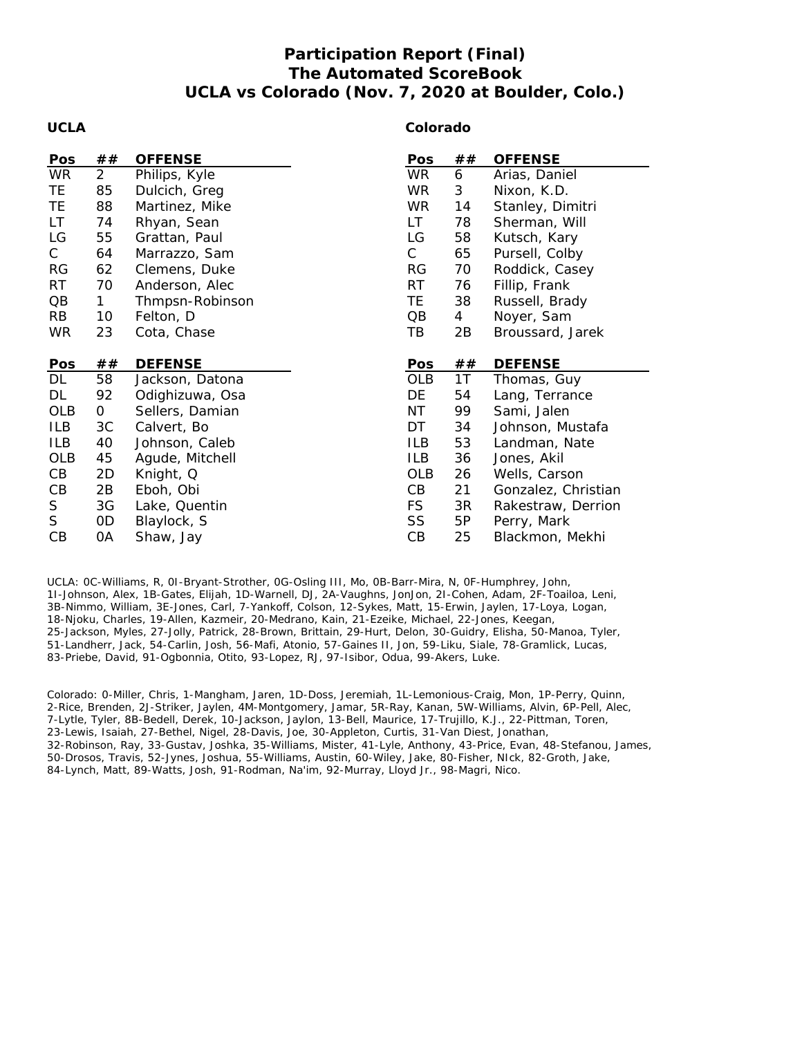# **Participation Report (Final) The Automated ScoreBook UCLA vs Colorado (Nov. 7, 2020 at Boulder, Colo.)**

#### **UCLA**

#### **Colorado**

| Pos             | ##             | <b>OFFENSE</b>  | Pos             | ## | <b>OFFENSE</b>      |
|-----------------|----------------|-----------------|-----------------|----|---------------------|
| <b>WR</b>       | $\overline{2}$ | Philips, Kyle   | WR.             | 6  | Arias, Daniel       |
| TE.             | 85             | Dulcich, Greg   | <b>WR</b>       | 3  | Nixon, K.D.         |
| TE              | 88             | Martinez, Mike  | <b>WR</b>       | 14 | Stanley, Dimitri    |
| LT              | 74             | Rhyan, Sean     | LT.             | 78 | Sherman, Will       |
| LG              | 55             | Grattan, Paul   | LG              | 58 | Kutsch, Kary        |
| $\mathsf{C}$    | 64             | Marrazzo, Sam   | $\mathsf{C}$    | 65 | Pursell, Colby      |
| <b>RG</b>       | 62             | Clemens, Duke   | RG              | 70 | Roddick, Casey      |
| <b>RT</b>       | 70             | Anderson, Alec  | <b>RT</b>       | 76 | Fillip, Frank       |
| $\overline{OB}$ | 1              | Thmpsn-Robinson | TE              | 38 | Russell, Brady      |
| <b>RB</b>       | 10             | Felton, D       | $\overline{OB}$ | 4  | Noyer, Sam          |
| <b>WR</b>       | 23             | Cota, Chase     | TВ              | 2B | Broussard, Jarek    |
|                 |                |                 |                 |    |                     |
|                 |                |                 |                 |    |                     |
| Pos             | ##             | <b>DEFENSE</b>  | Pos             | ## | <b>DEFENSE</b>      |
| DL              | 58             | Jackson, Datona | <b>OLB</b>      | 1T | Thomas, Guy         |
| <b>DL</b>       | 92             | Odighizuwa, Osa | DE              | 54 | Lang, Terrance      |
| <b>OLB</b>      | 0              | Sellers, Damian | NT              | 99 | Sami, Jalen         |
| <b>ILB</b>      | 3C             | Calvert, Bo     | DT              | 34 | Johnson, Mustafa    |
| <b>ILB</b>      | 40             | Johnson, Caleb  | ILB             | 53 | Landman, Nate       |
| OLB             | 45             | Agude, Mitchell | ILB             | 36 | Jones, Akil         |
| CB              | 2D             | Knight, Q       | <b>OLB</b>      | 26 | Wells, Carson       |
| CB              | 2B             | Eboh, Obi       | CB              | 21 | Gonzalez, Christian |
| S               | 3G             | Lake, Quentin   | <b>FS</b>       | 3R | Rakestraw, Derrion  |
| S               | 0D             | Blaylock, S     | SS              | 5P | Perry, Mark         |

UCLA: 0C-Williams, R, 0I-Bryant-Strother, 0G-Osling III, Mo, 0B-Barr-Mira, N, 0F-Humphrey, John, 1I-Johnson, Alex, 1B-Gates, Elijah, 1D-Warnell, DJ, 2A-Vaughns, JonJon, 2I-Cohen, Adam, 2F-Toailoa, Leni, 3B-Nimmo, William, 3E-Jones, Carl, 7-Yankoff, Colson, 12-Sykes, Matt, 15-Erwin, Jaylen, 17-Loya, Logan, 18-Njoku, Charles, 19-Allen, Kazmeir, 20-Medrano, Kain, 21-Ezeike, Michael, 22-Jones, Keegan, 25-Jackson, Myles, 27-Jolly, Patrick, 28-Brown, Brittain, 29-Hurt, Delon, 30-Guidry, Elisha, 50-Manoa, Tyler, 51-Landherr, Jack, 54-Carlin, Josh, 56-Mafi, Atonio, 57-Gaines II, Jon, 59-Liku, Siale, 78-Gramlick, Lucas, 83-Priebe, David, 91-Ogbonnia, Otito, 93-Lopez, RJ, 97-Isibor, Odua, 99-Akers, Luke.

Colorado: 0-Miller, Chris, 1-Mangham, Jaren, 1D-Doss, Jeremiah, 1L-Lemonious-Craig, Mon, 1P-Perry, Quinn, 2-Rice, Brenden, 2J-Striker, Jaylen, 4M-Montgomery, Jamar, 5R-Ray, Kanan, 5W-Williams, Alvin, 6P-Pell, Alec, 7-Lytle, Tyler, 8B-Bedell, Derek, 10-Jackson, Jaylon, 13-Bell, Maurice, 17-Trujillo, K.J., 22-Pittman, Toren, 23-Lewis, Isaiah, 27-Bethel, Nigel, 28-Davis, Joe, 30-Appleton, Curtis, 31-Van Diest, Jonathan, 32-Robinson, Ray, 33-Gustav, Joshka, 35-Williams, Mister, 41-Lyle, Anthony, 43-Price, Evan, 48-Stefanou, James, 50-Drosos, Travis, 52-Jynes, Joshua, 55-Williams, Austin, 60-Wiley, Jake, 80-Fisher, NIck, 82-Groth, Jake, 84-Lynch, Matt, 89-Watts, Josh, 91-Rodman, Na'im, 92-Murray, Lloyd Jr., 98-Magri, Nico.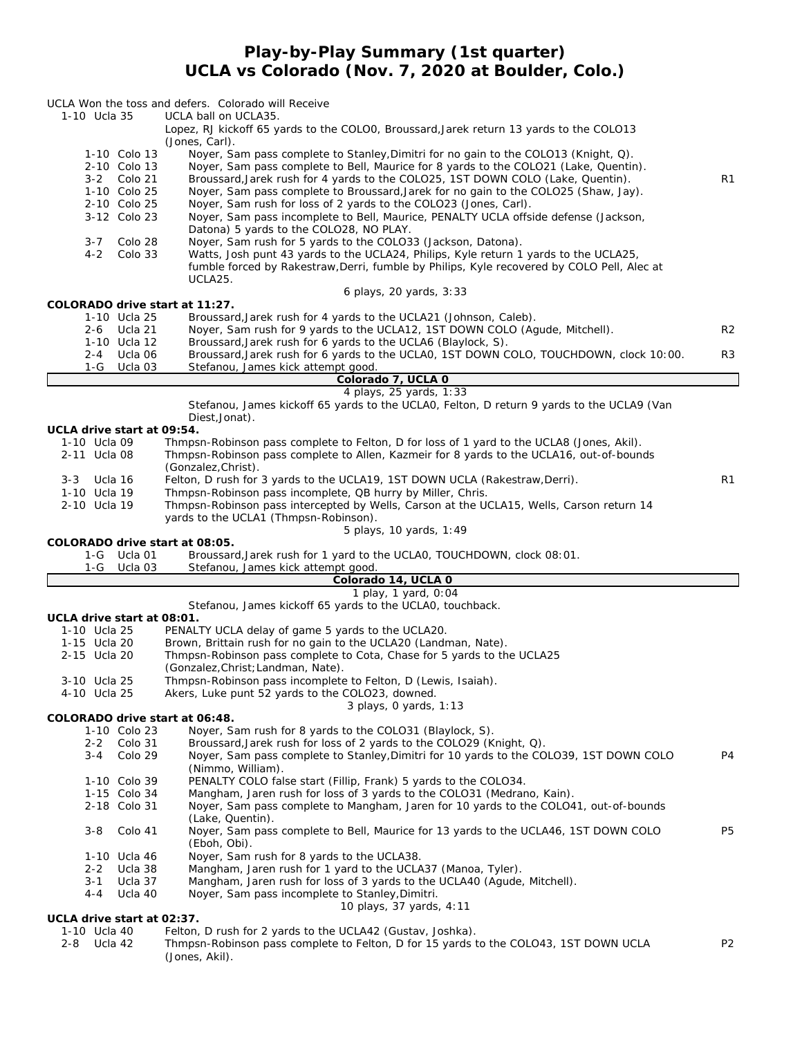### **Play-by-Play Summary (1st quarter) UCLA vs Colorado (Nov. 7, 2020 at Boulder, Colo.)**

| 1-10 Ucla 35<br>1-10 Colo 13<br>2-10 Colo 13<br>3-2 Colo 21<br>1-10 Colo 25<br>2-10 Colo 25<br>3-12 Colo 23<br>Colo 28<br>3-7<br>Colo 33<br>$4 - 2$ | UCLA Won the toss and defers. Colorado will Receive<br>UCLA ball on UCLA35.<br>Lopez, RJ kickoff 65 yards to the COLOO, Broussard, Jarek return 13 yards to the COLO13<br>(Jones, Carl).<br>Noyer, Sam pass complete to Stanley, Dimitri for no gain to the COLO13 (Knight, Q).<br>Noyer, Sam pass complete to Bell, Maurice for 8 yards to the COLO21 (Lake, Quentin).<br>Broussard, Jarek rush for 4 yards to the COLO25, 1ST DOWN COLO (Lake, Quentin).<br>Noyer, Sam pass complete to Broussard, Jarek for no gain to the COLO25 (Shaw, Jay).<br>Noyer, Sam rush for loss of 2 yards to the COLO23 (Jones, Carl).<br>Noyer, Sam pass incomplete to Bell, Maurice, PENALTY UCLA offside defense (Jackson,<br>Datona) 5 yards to the COLO28, NO PLAY.<br>Noyer, Sam rush for 5 yards to the COLO33 (Jackson, Datona).<br>Watts, Josh punt 43 yards to the UCLA24, Philips, Kyle return 1 yards to the UCLA25,<br>fumble forced by Rakestraw, Derri, fumble by Philips, Kyle recovered by COLO Pell, Alec at<br>UCLA25.<br>6 plays, 20 yards, 3:33 | R1             |
|-----------------------------------------------------------------------------------------------------------------------------------------------------|-----------------------------------------------------------------------------------------------------------------------------------------------------------------------------------------------------------------------------------------------------------------------------------------------------------------------------------------------------------------------------------------------------------------------------------------------------------------------------------------------------------------------------------------------------------------------------------------------------------------------------------------------------------------------------------------------------------------------------------------------------------------------------------------------------------------------------------------------------------------------------------------------------------------------------------------------------------------------------------------------------------------------------------------------------|----------------|
| COLORADO drive start at 11:27.                                                                                                                      |                                                                                                                                                                                                                                                                                                                                                                                                                                                                                                                                                                                                                                                                                                                                                                                                                                                                                                                                                                                                                                                     |                |
| 1-10 Ucla 25<br>2-6<br>Ucla 21                                                                                                                      | Broussard, Jarek rush for 4 yards to the UCLA21 (Johnson, Caleb).<br>Noyer, Sam rush for 9 yards to the UCLA12, 1ST DOWN COLO (Agude, Mitchell).                                                                                                                                                                                                                                                                                                                                                                                                                                                                                                                                                                                                                                                                                                                                                                                                                                                                                                    | R <sub>2</sub> |
| 1-10 Ucla 12<br>Ucla 06<br>2-4<br>$1-G$<br>Ucla 03                                                                                                  | Broussard, Jarek rush for 6 yards to the UCLA6 (Blaylock, S).<br>Broussard, Jarek rush for 6 yards to the UCLA0, 1ST DOWN COLO, TOUCHDOWN, clock 10:00.<br>Stefanou, James kick attempt good.                                                                                                                                                                                                                                                                                                                                                                                                                                                                                                                                                                                                                                                                                                                                                                                                                                                       | R3             |
|                                                                                                                                                     | Colorado 7, UCLA 0                                                                                                                                                                                                                                                                                                                                                                                                                                                                                                                                                                                                                                                                                                                                                                                                                                                                                                                                                                                                                                  |                |
|                                                                                                                                                     | 4 plays, 25 yards, 1:33<br>Stefanou, James kickoff 65 yards to the UCLAO, Felton, D return 9 yards to the UCLA9 (Van<br>Diest, Jonat).                                                                                                                                                                                                                                                                                                                                                                                                                                                                                                                                                                                                                                                                                                                                                                                                                                                                                                              |                |
| UCLA drive start at 09:54.<br>1-10 Ucla 09                                                                                                          | Thmpsn-Robinson pass complete to Felton, D for loss of 1 yard to the UCLA8 (Jones, Akil).                                                                                                                                                                                                                                                                                                                                                                                                                                                                                                                                                                                                                                                                                                                                                                                                                                                                                                                                                           |                |
| 2-11 Ucla 08                                                                                                                                        | Thmpsn-Robinson pass complete to Allen, Kazmeir for 8 yards to the UCLA16, out-of-bounds                                                                                                                                                                                                                                                                                                                                                                                                                                                                                                                                                                                                                                                                                                                                                                                                                                                                                                                                                            |                |
| 3-3 Ucla 16                                                                                                                                         | (Gonzalez, Christ).<br>Felton, D rush for 3 yards to the UCLA19, 1ST DOWN UCLA (Rakestraw, Derri).                                                                                                                                                                                                                                                                                                                                                                                                                                                                                                                                                                                                                                                                                                                                                                                                                                                                                                                                                  | R1             |
| 1-10 Ucla 19                                                                                                                                        | Thmpsn-Robinson pass incomplete, QB hurry by Miller, Chris.                                                                                                                                                                                                                                                                                                                                                                                                                                                                                                                                                                                                                                                                                                                                                                                                                                                                                                                                                                                         |                |
| 2-10 Ucla 19                                                                                                                                        | Thmpsn-Robinson pass intercepted by Wells, Carson at the UCLA15, Wells, Carson return 14<br>yards to the UCLA1 (Thmpsn-Robinson).                                                                                                                                                                                                                                                                                                                                                                                                                                                                                                                                                                                                                                                                                                                                                                                                                                                                                                                   |                |
|                                                                                                                                                     | 5 plays, 10 yards, 1:49                                                                                                                                                                                                                                                                                                                                                                                                                                                                                                                                                                                                                                                                                                                                                                                                                                                                                                                                                                                                                             |                |
|                                                                                                                                                     |                                                                                                                                                                                                                                                                                                                                                                                                                                                                                                                                                                                                                                                                                                                                                                                                                                                                                                                                                                                                                                                     |                |
| COLORADO drive start at 08:05.<br>$1-G$<br>Ucla 03                                                                                                  | Broussard, Jarek rush for 1 yard to the UCLA0, TOUCHDOWN, clock 08:01.                                                                                                                                                                                                                                                                                                                                                                                                                                                                                                                                                                                                                                                                                                                                                                                                                                                                                                                                                                              |                |
|                                                                                                                                                     | Stefanou, James kick attempt good.<br>Colorado 14, UCLA 0                                                                                                                                                                                                                                                                                                                                                                                                                                                                                                                                                                                                                                                                                                                                                                                                                                                                                                                                                                                           |                |
|                                                                                                                                                     | 1 play, 1 yard, 0:04                                                                                                                                                                                                                                                                                                                                                                                                                                                                                                                                                                                                                                                                                                                                                                                                                                                                                                                                                                                                                                |                |
| UCLA drive start at 08:01.                                                                                                                          | Stefanou, James kickoff 65 yards to the UCLA0, touchback.                                                                                                                                                                                                                                                                                                                                                                                                                                                                                                                                                                                                                                                                                                                                                                                                                                                                                                                                                                                           |                |
| 1-10 Ucla 25                                                                                                                                        | PENALTY UCLA delay of game 5 yards to the UCLA20.                                                                                                                                                                                                                                                                                                                                                                                                                                                                                                                                                                                                                                                                                                                                                                                                                                                                                                                                                                                                   |                |
| 1-15 Ucla 20<br>2-15 Ucla 20                                                                                                                        | Brown, Brittain rush for no gain to the UCLA20 (Landman, Nate).<br>Thmpsn-Robinson pass complete to Cota, Chase for 5 yards to the UCLA25                                                                                                                                                                                                                                                                                                                                                                                                                                                                                                                                                                                                                                                                                                                                                                                                                                                                                                           |                |
|                                                                                                                                                     | (Gonzalez, Christ; Landman, Nate).                                                                                                                                                                                                                                                                                                                                                                                                                                                                                                                                                                                                                                                                                                                                                                                                                                                                                                                                                                                                                  |                |
| 3-10 Ucla 25<br>4-10 Ucla 25                                                                                                                        | Thmpsn-Robinson pass incomplete to Felton, D (Lewis, Isaiah).<br>Akers, Luke punt 52 yards to the COLO23, downed.                                                                                                                                                                                                                                                                                                                                                                                                                                                                                                                                                                                                                                                                                                                                                                                                                                                                                                                                   |                |
| COLORADO drive start at 06:48.                                                                                                                      | 3 plays, O yards, 1:13                                                                                                                                                                                                                                                                                                                                                                                                                                                                                                                                                                                                                                                                                                                                                                                                                                                                                                                                                                                                                              |                |
| 1-10 Colo 23                                                                                                                                        | Noyer, Sam rush for 8 yards to the COLO31 (Blaylock, S).                                                                                                                                                                                                                                                                                                                                                                                                                                                                                                                                                                                                                                                                                                                                                                                                                                                                                                                                                                                            |                |
| Colo 31<br>2-2<br>3-4                                                                                                                               | Broussard, Jarek rush for loss of 2 yards to the COLO29 (Knight, Q).                                                                                                                                                                                                                                                                                                                                                                                                                                                                                                                                                                                                                                                                                                                                                                                                                                                                                                                                                                                | P4             |
| Colo 29                                                                                                                                             | Noyer, Sam pass complete to Stanley, Dimitri for 10 yards to the COLO39, 1ST DOWN COLO<br>(Nimmo, William).                                                                                                                                                                                                                                                                                                                                                                                                                                                                                                                                                                                                                                                                                                                                                                                                                                                                                                                                         |                |
| 1-10 Colo 39                                                                                                                                        | PENALTY COLO false start (Fillip, Frank) 5 yards to the COLO34.                                                                                                                                                                                                                                                                                                                                                                                                                                                                                                                                                                                                                                                                                                                                                                                                                                                                                                                                                                                     |                |
| 1-15 Colo 34<br>2-18 Colo 31                                                                                                                        | Mangham, Jaren rush for loss of 3 yards to the COLO31 (Medrano, Kain).<br>Noyer, Sam pass complete to Mangham, Jaren for 10 yards to the COLO41, out-of-bounds                                                                                                                                                                                                                                                                                                                                                                                                                                                                                                                                                                                                                                                                                                                                                                                                                                                                                      |                |
| $3 - 8$<br>Colo 41                                                                                                                                  | (Lake, Quentin).<br>Noyer, Sam pass complete to Bell, Maurice for 13 yards to the UCLA46, 1ST DOWN COLO<br>(Eboh, Obi).                                                                                                                                                                                                                                                                                                                                                                                                                                                                                                                                                                                                                                                                                                                                                                                                                                                                                                                             | <b>P5</b>      |
| 1-10 Ucla 46                                                                                                                                        | Noyer, Sam rush for 8 yards to the UCLA38.                                                                                                                                                                                                                                                                                                                                                                                                                                                                                                                                                                                                                                                                                                                                                                                                                                                                                                                                                                                                          |                |
| $2 - 2$<br>Ucla 38<br>3-1                                                                                                                           | Mangham, Jaren rush for 1 yard to the UCLA37 (Manoa, Tyler).                                                                                                                                                                                                                                                                                                                                                                                                                                                                                                                                                                                                                                                                                                                                                                                                                                                                                                                                                                                        |                |
| Ucla 37<br>Ucla 40<br>4-4                                                                                                                           | Mangham, Jaren rush for loss of 3 yards to the UCLA40 (Agude, Mitchell).<br>Noyer, Sam pass incomplete to Stanley, Dimitri.                                                                                                                                                                                                                                                                                                                                                                                                                                                                                                                                                                                                                                                                                                                                                                                                                                                                                                                         |                |
| UCLA drive start at 02:37.                                                                                                                          | 10 plays, 37 yards, 4:11                                                                                                                                                                                                                                                                                                                                                                                                                                                                                                                                                                                                                                                                                                                                                                                                                                                                                                                                                                                                                            |                |
| 1-10 Ucla 40<br>2-8<br>Ucla 42                                                                                                                      | Felton, D rush for 2 yards to the UCLA42 (Gustav, Joshka).<br>Thmpsn-Robinson pass complete to Felton, D for 15 yards to the COLO43, 1ST DOWN UCLA                                                                                                                                                                                                                                                                                                                                                                                                                                                                                                                                                                                                                                                                                                                                                                                                                                                                                                  | P2             |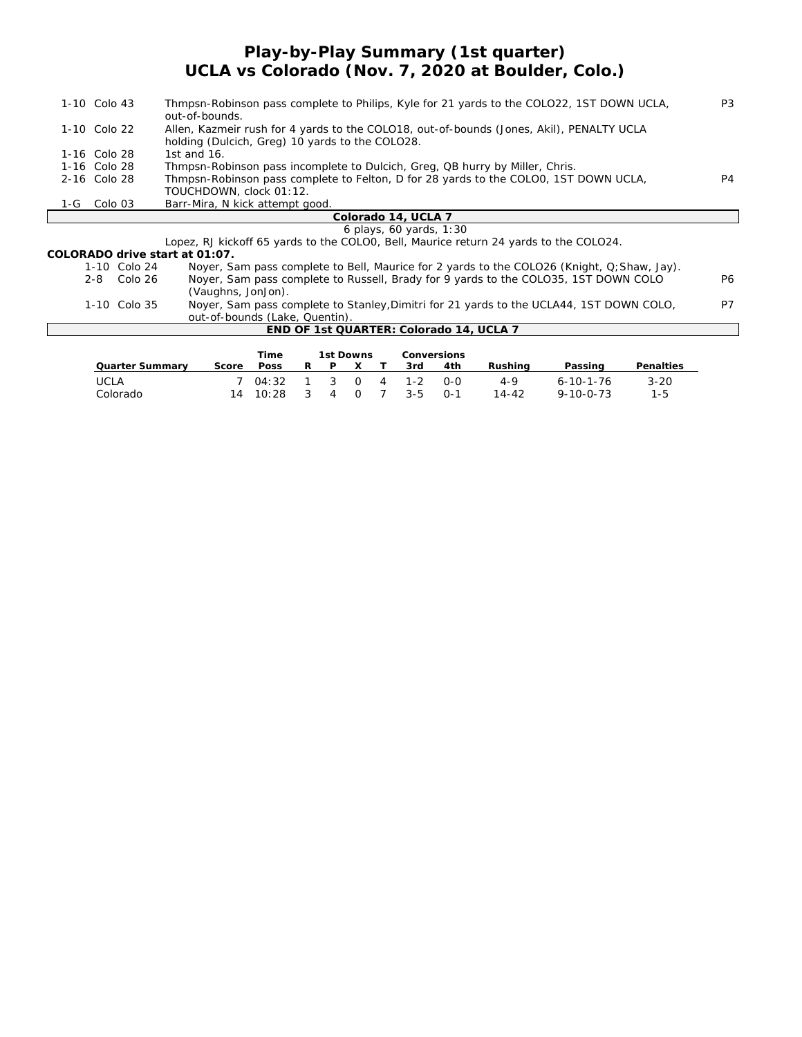## **Play-by-Play Summary (1st quarter) UCLA vs Colorado (Nov. 7, 2020 at Boulder, Colo.)**

| 1-10 Colo 43  | Thmpsn-Robinson pass complete to Philips, Kyle for 21 yards to the COLO22, 1ST DOWN UCLA,<br>out-of-bounds.                                 | P <sub>3</sub> |
|---------------|---------------------------------------------------------------------------------------------------------------------------------------------|----------------|
| 1-10 Colo 22  | Allen, Kazmeir rush for 4 yards to the COLO18, out-of-bounds (Jones, Akil), PENALTY UCLA<br>holding (Dulcich, Greg) 10 yards to the COLO28. |                |
| 1-16 Colo 28  | 1st and $16$ .                                                                                                                              |                |
| 1-16 Colo 28  | Thmpsn-Robinson pass incomplete to Dulcich, Greg, QB hurry by Miller, Chris.                                                                |                |
| 2-16 Colo 28  | Thmpsn-Robinson pass complete to Felton, D for 28 yards to the COLOO, 1ST DOWN UCLA,                                                        | P4             |
|               | TOUCHDOWN, clock 01:12.                                                                                                                     |                |
| $1-G$ Colo 03 | Barr-Mira, N kick attempt good.                                                                                                             |                |
|               | Colorado 14, UCLA 7                                                                                                                         |                |
|               | 6 plays, 60 yards, 1:30                                                                                                                     |                |
|               | Lopez, RJ kickoff 65 yards to the COLOO, Bell, Maurice return 24 yards to the COLO24.                                                       |                |
|               | COLORADO drive start at 01:07.                                                                                                              |                |
| 1-10 Colo 24  | Noyer, Sam pass complete to Bell, Maurice for 2 yards to the COLO26 (Knight, Q; Shaw, Jay).                                                 |                |
| 2-8 Colo 26   | Noyer, Sam pass complete to Russell, Brady for 9 yards to the COLO35, 1ST DOWN COLO<br>(Vaughns, JonJon).                                   | <b>P6</b>      |
| 1-10 Colo 35  | Nover, Sam pass complete to Stanley, Dimitri for 21 yards to the UCLA44, 1ST DOWN COLO,<br>out-of-bounds (Lake, Quentin).                   | P7             |

|  | END OF 1st QUARTER: Colorado 14, UCLA 7 |  |  |
|--|-----------------------------------------|--|--|

|                 |       | Time  |   |   | 1st Downs |   | Conversions |         |           |                   |           |
|-----------------|-------|-------|---|---|-----------|---|-------------|---------|-----------|-------------------|-----------|
| Quarter Summarv | Score | Poss  | R | D |           |   | 3rd         | 4th     | Rushina   | Passing           | Penalties |
| UCLA            |       | 04:32 |   |   | $\Omega$  | 4 | $-1 - 2$    | $O-O$   | 4-9       | $6 - 10 - 1 - 76$ | $3 - 20$  |
| Colorado        | 14    | 10:28 |   |   | $\Omega$  |   | $3 - 5$     | $O - 1$ | $14 - 42$ | $9 - 10 - 0 - 73$ | 1-5       |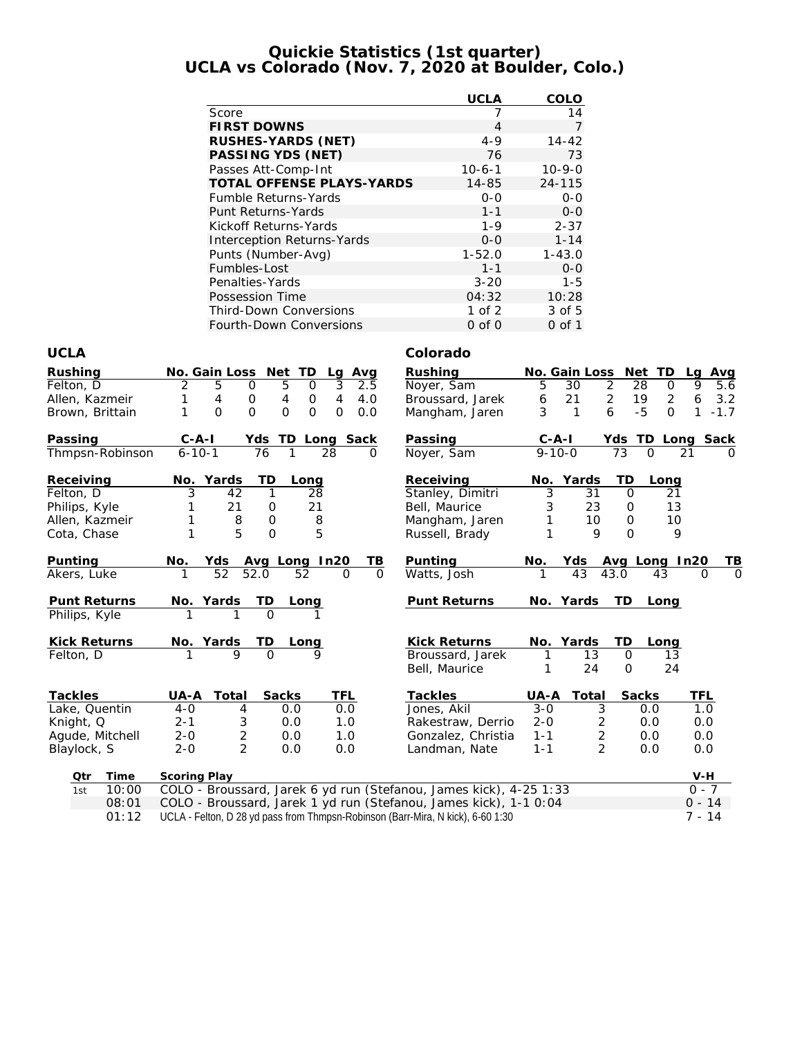### **Quickie Statistics (1st quarter) UCLA vs Colorado (Nov. 7, 2020 at Boulder, Colo.)**

|                                   | <b>UCLA</b> | COLO         |
|-----------------------------------|-------------|--------------|
| Score                             | 7           | 14           |
| <b>FIRST DOWNS</b>                | 4           | 7            |
| RUSHES-YARDS (NET)                | $4 - 9$     | $14 - 42$    |
| PASSING YDS (NET)                 | 76          | 73           |
| Passes Att-Comp-Int               | $10-6-1$    | $10 - 9 - 0$ |
| <b>TOTAL OFFENSE PLAYS-YARDS</b>  | 14-85       | 24-115       |
| <b>Fumble Returns-Yards</b>       | $0 - 0$     | $0 - 0$      |
| <b>Punt Returns-Yards</b>         | $1 - 1$     | $0 - 0$      |
| Kickoff Returns-Yards             | $1 - 9$     | $2 - 37$     |
| <b>Interception Returns-Yards</b> | $0 - 0$     | $1 - 14$     |
| Punts (Number-Avg)                | $1 - 52.0$  | $1 - 43.0$   |
| Fumbles-Lost                      | $1 - 1$     | $0 - 0$      |
| Penalties-Yards                   | $3 - 20$    | $1 - 5$      |
| Possession Time                   | 04:32       | 10:28        |
| <b>Third-Down Conversions</b>     | $1$ of $2$  | 3 of 5       |
| Fourth-Down Conversions           | $0$ of $0$  | 0 of 1       |

### **UCLA Colorado**

| Rushing<br>Felton, D<br>Allen, Kazmeir<br>Brown, Brittain                | No. Gain Loss Net<br>TD<br>Avg<br>Lg<br>3<br>5<br>2.5<br>2<br>5<br>0<br>$\Omega$<br>0<br>4<br>4<br>4.0<br>4<br>$\circ$<br>$\Omega$<br>$\Omega$<br>$\Omega$<br>$\Omega$<br>1<br>0<br>0.0 | Rushing<br>Noyer, Sam<br>Broussard, Jarek<br>Mangham, Jaren                        | No. Gain Loss<br>5<br>30<br>21<br>6<br>3<br>1           | Net TD<br>$\overline{2}$<br>28<br>$\Omega$<br>$\overline{2}$<br>19<br>$\overline{2}$<br>6<br>$-5$<br>$\Omega$ | Avg<br>La<br>5.6<br>9<br>6<br>3.2<br>$\mathbf{1}$<br>$-1.7$ |
|--------------------------------------------------------------------------|-----------------------------------------------------------------------------------------------------------------------------------------------------------------------------------------|------------------------------------------------------------------------------------|---------------------------------------------------------|---------------------------------------------------------------------------------------------------------------|-------------------------------------------------------------|
| Passing<br>Thmpsn-Robinson                                               | $C - A - I$<br>TD Long Sack<br>Yds<br>$6 - 10 - 1$<br>76<br>1<br>28<br>∩                                                                                                                | Passing<br>Noyer, Sam                                                              | $C - A - I$<br>$9 - 10 - 0$                             | Yds TD Long Sack<br>73<br>$\Omega$                                                                            | 21                                                          |
| Receiving<br>Felton, D<br>Philips, Kyle<br>Allen, Kazmeir<br>Cota, Chase | Yards<br>TD<br>No.<br>Long<br>3<br>42<br>1<br>28<br>21<br>21<br>0<br>8<br>$\mathbf 0$<br>8<br>1<br>5<br>5<br>1<br>$\overline{O}$                                                        | Receiving<br>Stanley, Dimitri<br>Bell, Maurice<br>Mangham, Jaren<br>Russell, Brady | Yards<br>No.<br>3<br>31<br>23<br>3<br>10<br>1<br>9<br>1 | TD<br>Long<br>21<br>$\Omega$<br>13<br>$\Omega$<br>10<br>$\mathcal{O}$<br>$\Omega$<br>9                        |                                                             |
| Punting<br>Akers, Luke                                                   | No.<br>Avg Long In20<br>TВ<br>Yds<br>52<br>52.0<br>$\mathbf{1}$<br>52<br>$\Omega$<br>$\Omega$                                                                                           | Punting<br>Watts, Josh                                                             | Yds<br>No.<br>43<br>1                                   | Avg Long In20<br>43.0<br>43                                                                                   | TВ<br>$\Omega$<br>$\Omega$                                  |
| Punt Returns<br>Philips, Kyle                                            | TD<br>No. Yards<br>Long<br>$\overline{O}$                                                                                                                                               | Punt Returns                                                                       | No. Yards                                               | TD<br>Long                                                                                                    |                                                             |
| Kick Returns<br>Felton, D                                                | TD<br>No. Yards<br><u>Long</u><br>$\Omega$<br>$\mathsf Q$                                                                                                                               | Kick Returns<br>Broussard, Jarek<br>Bell, Maurice                                  | No. Yards<br>13<br>1<br>24                              | TD<br>Long<br>$\Omega$<br>13<br>24<br>$\Omega$                                                                |                                                             |
| Tackles                                                                  | Total<br>Sacks<br>TFL<br>UA-A                                                                                                                                                           | Tackles                                                                            | UA-A<br>Total                                           | Sacks                                                                                                         | TFL                                                         |
| Lake, Quentin                                                            | 0.0<br>$4-0$<br>4<br>0.0                                                                                                                                                                | Jones, Akil                                                                        | $3 - 0$<br>3                                            | 0.0                                                                                                           | 1.0                                                         |
| Knight, Q                                                                | 3<br>$2 - 1$<br>0.0<br>1.0                                                                                                                                                              | Rakestraw, Derrio                                                                  | $2 - 0$<br>$\overline{2}$                               | 0.0                                                                                                           | 0.0                                                         |
| Agude, Mitchell                                                          | $\overline{c}$<br>$2 - 0$<br>0.0<br>1.0<br>$\overline{2}$                                                                                                                               | Gonzalez, Christia                                                                 | $\overline{2}$<br>$1 - 1$<br>$\overline{2}$             | 0.0                                                                                                           | 0.0                                                         |
| Blaylock, S                                                              | $2 - 0$<br>0.0<br>0.0                                                                                                                                                                   | Landman, Nate                                                                      | $1 - 1$                                                 | 0.0                                                                                                           | 0.0                                                         |
| Qtr<br>Time                                                              | Scoring Play                                                                                                                                                                            |                                                                                    |                                                         |                                                                                                               | $V-H$                                                       |
| 10:00<br>1st                                                             | COLO - Broussard, Jarek 6 yd run (Stefanou, James kick), 4-25 1:33                                                                                                                      |                                                                                    |                                                         |                                                                                                               | $0 - 7$                                                     |
| 08:01                                                                    | COLO - Broussard, Jarek 1 yd run (Stefanou, James kick), 1-1 0:04                                                                                                                       |                                                                                    |                                                         |                                                                                                               | $0 - 14$                                                    |
| 01:12                                                                    | UCLA - Felton, D 28 yd pass from Thmpsn-Robinson (Barr-Mira, N kick), 6-60 1:30                                                                                                         |                                                                                    |                                                         |                                                                                                               | $7 - 14$                                                    |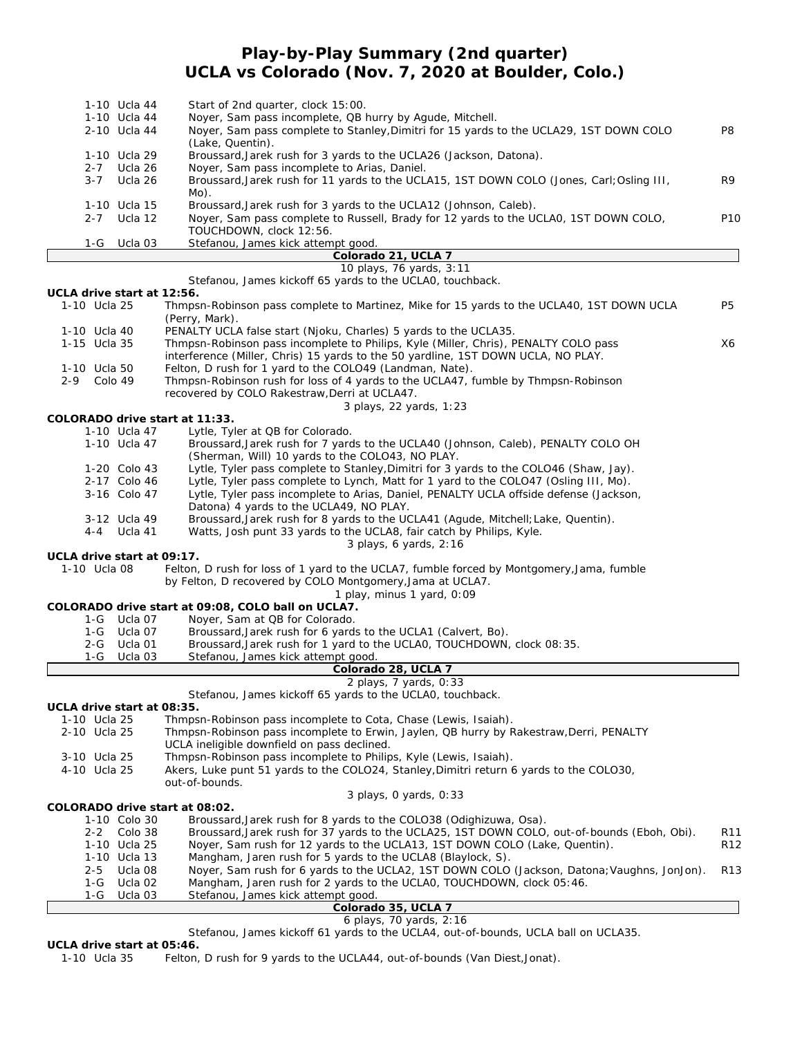# **Play-by-Play Summary (2nd quarter) UCLA vs Colorado (Nov. 7, 2020 at Boulder, Colo.)**

|                            | 1-10 Ucla 44<br>1-10 Ucla 44 | Start of 2nd quarter, clock 15:00.<br>Noyer, Sam pass incomplete, QB hurry by Agude, Mitchell.                                                         |                 |
|----------------------------|------------------------------|--------------------------------------------------------------------------------------------------------------------------------------------------------|-----------------|
|                            | 2-10 Ucla 44                 | Noyer, Sam pass complete to Stanley, Dimitri for 15 yards to the UCLA29, 1ST DOWN COLO<br>(Lake, Quentin).                                             | P8              |
|                            | 1-10 Ucla 29                 | Broussard, Jarek rush for 3 yards to the UCLA26 (Jackson, Datona).                                                                                     |                 |
| $2 - 7$<br>$3 - 7$         | Ucla 26                      | Noyer, Sam pass incomplete to Arias, Daniel.                                                                                                           |                 |
|                            | Ucla 26                      | Broussard, Jarek rush for 11 yards to the UCLA15, 1ST DOWN COLO (Jones, Carl; Osling III,<br>Mo).                                                      | R9              |
|                            | 1-10 Ucla 15                 | Broussard, Jarek rush for 3 yards to the UCLA12 (Johnson, Caleb).                                                                                      |                 |
| $2 - 7$                    | Ucla 12                      | Noyer, Sam pass complete to Russell, Brady for 12 yards to the UCLAO, 1ST DOWN COLO,                                                                   | P <sub>10</sub> |
|                            |                              | TOUCHDOWN, clock 12:56.                                                                                                                                |                 |
| 1-G                        | Ucla 03                      | Stefanou, James kick attempt good.<br>Colorado 21, UCLA 7                                                                                              |                 |
|                            |                              | 10 plays, 76 yards, 3:11                                                                                                                               |                 |
|                            |                              | Stefanou, James kickoff 65 yards to the UCLAO, touchback.                                                                                              |                 |
| UCLA drive start at 12:56. |                              |                                                                                                                                                        |                 |
| 1-10 Ucla 25               |                              | Thmpsn-Robinson pass complete to Martinez, Mike for 15 yards to the UCLA40, 1ST DOWN UCLA<br>(Perry, Mark).                                            | P5              |
| 1-10 Ucla 40               |                              | PENALTY UCLA false start (Njoku, Charles) 5 yards to the UCLA35.                                                                                       |                 |
| 1-15 Ucla 35               |                              | Thmpsn-Robinson pass incomplete to Philips, Kyle (Miller, Chris), PENALTY COLO pass                                                                    | X6              |
|                            |                              | interference (Miller, Chris) 15 yards to the 50 yardline, 1ST DOWN UCLA, NO PLAY.                                                                      |                 |
| 1-10 Ucla 50<br>$2 - 9$    | Colo 49                      | Felton, D rush for 1 yard to the COLO49 (Landman, Nate).<br>Thmpsn-Robinson rush for loss of 4 yards to the UCLA47, fumble by Thmpsn-Robinson          |                 |
|                            |                              | recovered by COLO Rakestraw, Derri at UCLA47.                                                                                                          |                 |
|                            |                              | 3 plays, 22 yards, 1:23                                                                                                                                |                 |
|                            |                              | COLORADO drive start at 11:33.                                                                                                                         |                 |
|                            | 1-10 Ucla 47                 | Lytle, Tyler at QB for Colorado.                                                                                                                       |                 |
|                            | 1-10 Ucla 47                 | Broussard, Jarek rush for 7 yards to the UCLA40 (Johnson, Caleb), PENALTY COLO OH<br>(Sherman, Will) 10 yards to the COLO43, NO PLAY.                  |                 |
|                            | 1-20 Colo 43                 | Lytle, Tyler pass complete to Stanley, Dimitri for 3 yards to the COLO46 (Shaw, Jay).                                                                  |                 |
|                            | 2-17 Colo 46                 | Lytle, Tyler pass complete to Lynch, Matt for 1 yard to the COLO47 (Osling III, Mo).                                                                   |                 |
|                            | 3-16 Colo 47                 | Lytle, Tyler pass incomplete to Arias, Daniel, PENALTY UCLA offside defense (Jackson,                                                                  |                 |
|                            |                              | Datona) 4 yards to the UCLA49, NO PLAY.                                                                                                                |                 |
|                            | 3-12 Ucla 49                 | Broussard, Jarek rush for 8 yards to the UCLA41 (Agude, Mitchell; Lake, Quentin).                                                                      |                 |
|                            | 4-4 Ucla 41                  | Watts, Josh punt 33 yards to the UCLA8, fair catch by Philips, Kyle.<br>3 plays, 6 yards, 2:16                                                         |                 |
| UCLA drive start at 09:17. |                              |                                                                                                                                                        |                 |
| 1-10 Ucla 08               |                              | Felton, D rush for loss of 1 yard to the UCLA7, fumble forced by Montgomery, Jama, fumble<br>by Felton, D recovered by COLO Montgomery, Jama at UCLA7. |                 |
|                            |                              | 1 play, minus 1 yard, 0:09                                                                                                                             |                 |
|                            | 1-G Ucla 07                  | COLORADO drive start at 09:08, COLO ball on UCLA7.<br>Noyer, Sam at QB for Colorado.                                                                   |                 |
|                            |                              | Broussard, Jarek rush for 6 yards to the UCLA1 (Calvert, Bo).                                                                                          |                 |
|                            |                              | Broussard, Jarek rush for 1 yard to the UCLAO, TOUCHDOWN, clock 08:35.                                                                                 |                 |
| 1-G                        | Ucla 03                      | Stefanou, James kick attempt good.                                                                                                                     |                 |
|                            |                              | Colorado 28, UCLA 7                                                                                                                                    |                 |
|                            |                              | 2 plays, 7 yards, 0:33<br>Stefanou, James kickoff 65 yards to the UCLAO, touchback.                                                                    |                 |
| UCLA drive start at 08:35. |                              |                                                                                                                                                        |                 |
| 1-10 Ucla 25               |                              | Thmpsn-Robinson pass incomplete to Cota, Chase (Lewis, Isaiah).                                                                                        |                 |
| 2-10 Ucla 25               |                              | Thmpsn-Robinson pass incomplete to Erwin, Jaylen, QB hurry by Rakestraw, Derri, PENALTY                                                                |                 |
|                            |                              | UCLA ineligible downfield on pass declined.                                                                                                            |                 |
| 3-10 Ucla 25               |                              | Thmpsn-Robinson pass incomplete to Philips, Kyle (Lewis, Isaiah).                                                                                      |                 |
| 4-10 Ucla 25               |                              | Akers, Luke punt 51 yards to the COLO24, Stanley, Dimitri return 6 yards to the COLO30,<br>out-of-bounds.                                              |                 |
|                            |                              | 3 plays, 0 yards, 0:33                                                                                                                                 |                 |
|                            |                              | COLORADO drive start at 08:02.                                                                                                                         |                 |
|                            | 1-10 Colo 30                 | Broussard, Jarek rush for 8 yards to the COLO38 (Odighizuwa, Osa).                                                                                     |                 |
| $2 - 2$                    | Colo 38                      | Broussard, Jarek rush for 37 yards to the UCLA25, 1ST DOWN COLO, out-of-bounds (Eboh, Obi).                                                            | R <sub>11</sub> |
|                            | 1-10 Ucla 25<br>1-10 Ucla 13 | Noyer, Sam rush for 12 yards to the UCLA13, 1ST DOWN COLO (Lake, Quentin).<br>Mangham, Jaren rush for 5 yards to the UCLA8 (Blaylock, S).              | R <sub>12</sub> |
| $2 - 5$                    | Ucla 08                      | Noyer, Sam rush for 6 yards to the UCLA2, 1ST DOWN COLO (Jackson, Datona; Vaughns, JonJon).                                                            | R <sub>13</sub> |
| $1-G$                      | Ucla 02                      | Mangham, Jaren rush for 2 yards to the UCLA0, TOUCHDOWN, clock 05:46.                                                                                  |                 |
| $1-G$                      | Ucla 03                      | Stefanou, James kick attempt good.                                                                                                                     |                 |
|                            |                              | Colorado 35, UCLA 7                                                                                                                                    |                 |
|                            |                              | 6 plays, 70 yards, 2:16                                                                                                                                |                 |

Stefanou, James kickoff 61 yards to the UCLA4, out-of-bounds, UCLA ball on UCLA35.

**UCLA drive start at 05:46.** Felton, D rush for 9 yards to the UCLA44, out-of-bounds (Van Diest,Jonat).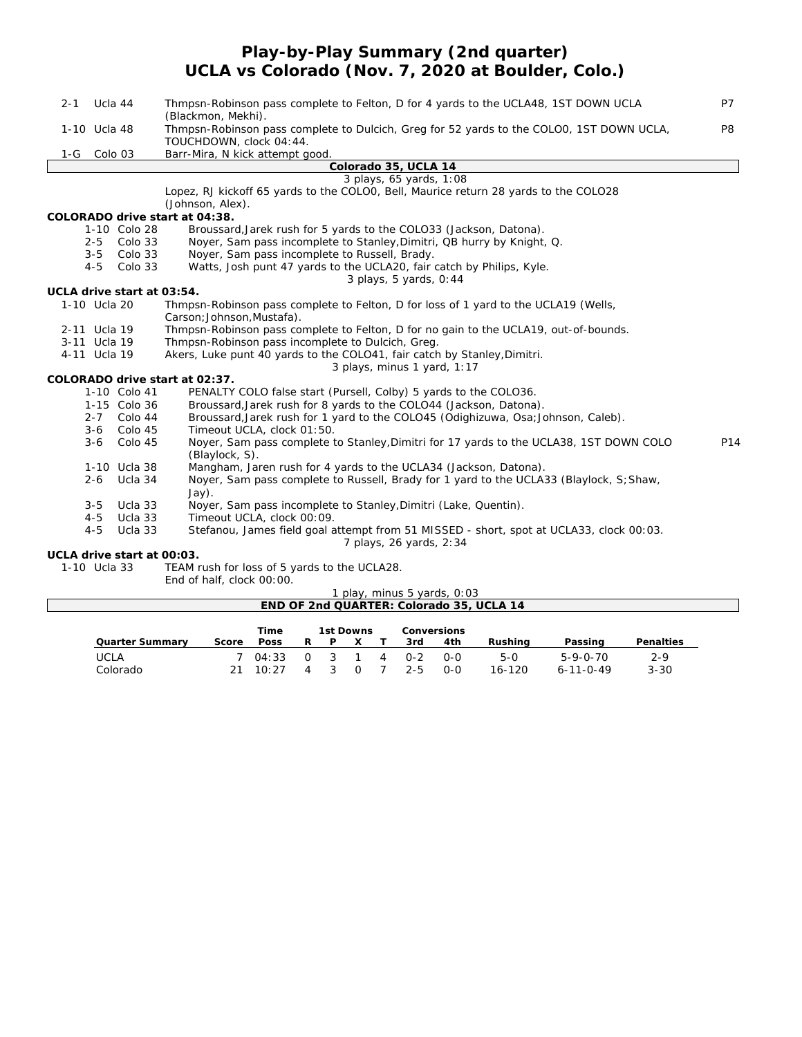### **Play-by-Play Summary (2nd quarter) UCLA vs Colorado (Nov. 7, 2020 at Boulder, Colo.)**

| Ucla 44<br>$2 - 1$                       | Thmpsn-Robinson pass complete to Felton, D for 4 yards to the UCLA48, 1ST DOWN UCLA                                    | <b>P7</b> |
|------------------------------------------|------------------------------------------------------------------------------------------------------------------------|-----------|
| 1-10 Ucla 48                             | (Blackmon, Mekhi).<br>Thmpsn-Robinson pass complete to Dulcich, Greg for 52 yards to the COLOO, 1ST DOWN UCLA,         | P8        |
|                                          | TOUCHDOWN, clock 04:44.                                                                                                |           |
| 1-G Colo 03                              | Barr-Mira, N kick attempt good.                                                                                        |           |
|                                          | Colorado 35, UCLA 14                                                                                                   |           |
|                                          | 3 plays, 65 yards, 1:08                                                                                                |           |
|                                          | Lopez, RJ kickoff 65 yards to the COLOO, Bell, Maurice return 28 yards to the COLO28                                   |           |
|                                          | (Johnson, Alex).                                                                                                       |           |
| COLORADO drive start at 04:38.           |                                                                                                                        |           |
| 1-10 Colo 28                             | Broussard, Jarek rush for 5 yards to the COLO33 (Jackson, Datona).                                                     |           |
| $2 - 5$<br>Colo 33<br>$3 - 5$<br>Colo 33 | Noyer, Sam pass incomplete to Stanley, Dimitri, QB hurry by Knight, Q.                                                 |           |
| $4 - 5$<br>Colo 33                       | Noyer, Sam pass incomplete to Russell, Brady.<br>Watts, Josh punt 47 yards to the UCLA20, fair catch by Philips, Kyle. |           |
|                                          | 3 plays, 5 yards, 0:44                                                                                                 |           |
| UCLA drive start at 03:54.               |                                                                                                                        |           |
| 1-10 Ucla 20                             | Thmpsn-Robinson pass complete to Felton, D for loss of 1 yard to the UCLA19 (Wells,                                    |           |
|                                          | Carson; Johnson, Mustafa).                                                                                             |           |
| 2-11 Ucla 19                             | Thmpsn-Robinson pass complete to Felton, D for no gain to the UCLA19, out-of-bounds.                                   |           |
| 3-11 Ucla 19                             | Thmpsn-Robinson pass incomplete to Dulcich, Greg.                                                                      |           |
| 4-11 Ucla 19                             | Akers, Luke punt 40 yards to the COLO41, fair catch by Stanley, Dimitri.                                               |           |
|                                          | 3 plays, minus 1 yard, 1:17                                                                                            |           |
| COLORADO drive start at 02:37.           |                                                                                                                        |           |
| 1-10 Colo 41                             | PENALTY COLO false start (Pursell, Colby) 5 yards to the COLO36.                                                       |           |
| 1-15 Colo 36                             | Broussard, Jarek rush for 8 yards to the COLO44 (Jackson, Datona).                                                     |           |
| 2-7 Colo 44<br>$3 - 6$<br>Colo 45        | Broussard, Jarek rush for 1 yard to the COLO45 (Odighizuwa, Osa; Johnson, Caleb).<br>Timeout UCLA, clock 01:50.        |           |
| $3 - 6$<br>Colo 45                       | Noyer, Sam pass complete to Stanley, Dimitri for 17 yards to the UCLA38, 1ST DOWN COLO                                 | P14       |
|                                          | (Blaylock, S).                                                                                                         |           |
| 1-10 Ucla 38                             | Mangham, Jaren rush for 4 yards to the UCLA34 (Jackson, Datona).                                                       |           |
| 2-6 Ucla 34                              | Noyer, Sam pass complete to Russell, Brady for 1 yard to the UCLA33 (Blaylock, S; Shaw,                                |           |
|                                          | $Jay)$ .                                                                                                               |           |
| $3 - 5$<br>Ucla 33                       | Noyer, Sam pass incomplete to Stanley, Dimitri (Lake, Quentin).                                                        |           |
| $4 - 5$<br>Ucla 33                       | Timeout UCLA, clock 00:09.                                                                                             |           |
| $4 - 5$<br>Ucla 33                       | Stefanou, James field goal attempt from 51 MISSED - short, spot at UCLA33, clock 00:03.                                |           |
|                                          | 7 plays, 26 yards, 2:34                                                                                                |           |
| UCLA drive start at 00:03.               |                                                                                                                        |           |
| 1-10 Ucla 33                             | TEAM rush for loss of 5 yards to the UCLA28.<br>End of half, clock 00:00.                                              |           |
|                                          | 1 play, minus 5 yards, 0:03                                                                                            |           |

|                 |       |       |          |              |                | $\mu$ $\mu$ , $\mu$ $\mu$ $\mu$ $\sigma$ $\sigma$ $\mu$ $\sigma$ , $\sigma$ , $\sigma$ |             |                                          |                   |           |
|-----------------|-------|-------|----------|--------------|----------------|----------------------------------------------------------------------------------------|-------------|------------------------------------------|-------------------|-----------|
|                 |       |       |          |              |                |                                                                                        |             | END OF 2nd QUARTER: Colorado 35, UCLA 14 |                   |           |
|                 |       |       |          |              |                |                                                                                        |             |                                          |                   |           |
|                 |       | Time  |          | 1st Downs    |                |                                                                                        | Conversions |                                          |                   |           |
| Quarter Summary | Score | Poss  | R        |              |                | 3rd.                                                                                   | 4th         | Rushina                                  | Passing           | Penalties |
| <b>UCLA</b>     |       | 04:33 | $\Omega$ | $\mathbf{R}$ | $\overline{A}$ | $0 - 2$                                                                                | <u>ດ-ດ</u>  | 5-0                                      | $5 - 9 - 0 - 70$  | $2 - 9$   |
| Colorado        |       | 10:27 |          |              |                | $2 - 5$                                                                                | $O-O$       | $16 - 120$                               | $6 - 11 - 0 - 49$ | $3 - 30$  |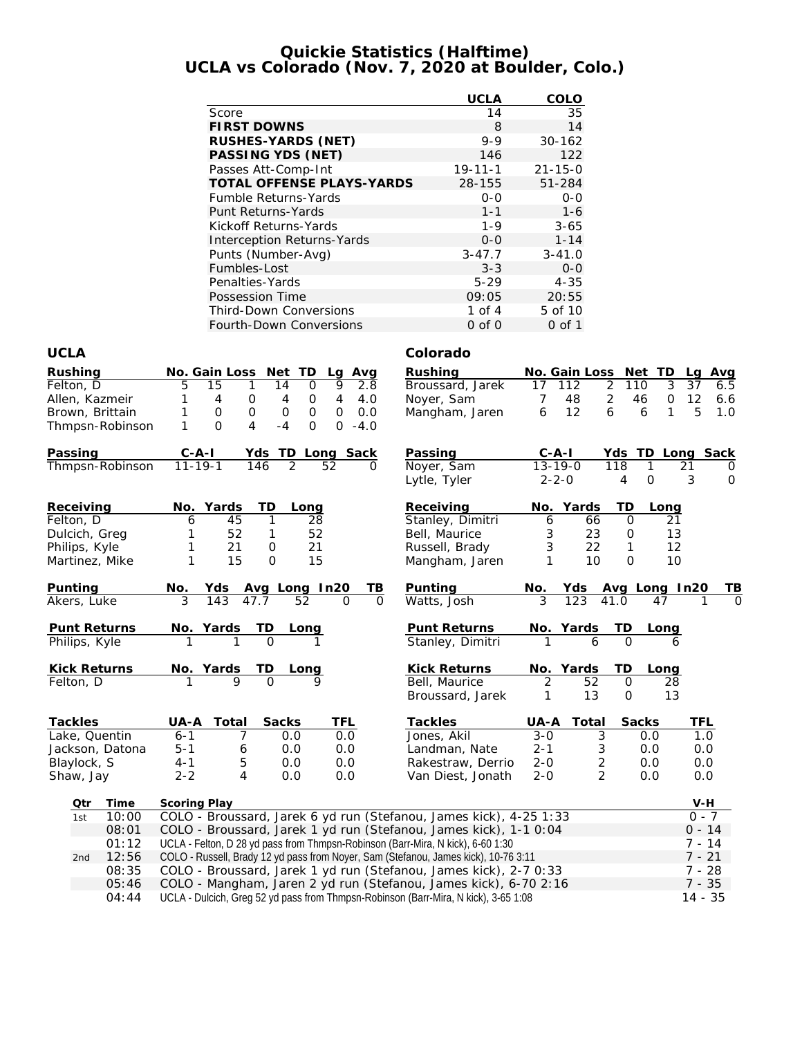### **Quickie Statistics (Halftime) UCLA vs Colorado (Nov. 7, 2020 at Boulder, Colo.)**

|                                   | UCLA          | COLO          |
|-----------------------------------|---------------|---------------|
| Score                             | 14            | 35            |
| <b>FIRST DOWNS</b>                | 8             | 14            |
| RUSHES-YARDS (NET)                | $9 - 9$       | $30 - 162$    |
| PASSING YDS (NET)                 | 146           | 122           |
| Passes Att-Comp-Int               | $19 - 11 - 1$ | $21 - 15 - 0$ |
| TOTAL OFFENSE PLAYS-YARDS         | 28-155        | 51-284        |
| <b>Fumble Returns-Yards</b>       | $0 - 0$       | $0 - 0$       |
| Punt Returns-Yards                | $1 - 1$       | $1 - 6$       |
| Kickoff Returns-Yards             | $1 - 9$       | $3 - 65$      |
| <b>Interception Returns-Yards</b> | $0 - 0$       | $1 - 14$      |
| Punts (Number-Avg)                | $3 - 47.7$    | $3 - 41.0$    |
| Fumbles-Lost                      | $3 - 3$       | $O - O$       |
| Penalties-Yards                   | $5 - 29$      | $4 - 35$      |
| Possession Time                   | 09:05         | 20:55         |
| <b>Third-Down Conversions</b>     | 1 of $4$      | 5 of 10       |
| Fourth-Down Conversions           | $0$ of $0$    | 0 of 1        |

### **UCLA Colorado**

| Rushing<br>Felton, D<br>Allen, Kazmeir<br>Brown, Brittain<br>Thmpsn-Robinson | No. Gain Loss Net TD<br>Lg Avg<br>5<br>15<br>9<br>1<br>14<br>O<br>2.8<br>$\overline{4}$<br>1<br>4<br>0<br>4<br>4.0<br>0<br>$\mathsf O$<br>0<br>$\mathbf{O}$<br>0.0<br>1<br>$\mathbf 0$<br>$\mathbf 0$<br>$-4$<br>1<br>$\Omega$<br>4<br>$\Omega$<br>$\Omega$<br>$-4.0$                                               | Rushing<br>No. Gain Loss Net TD<br>$\overline{2}$<br>112<br>Broussard, Jarek<br>17<br>$\overline{2}$<br>7<br>48<br>Noyer, Sam<br>Mangham, Jaren<br>12<br>6<br>6                 | La Ava<br>3<br>110<br>37<br>6.5<br>12<br>46<br>0<br>6.6<br>1<br>5<br>6<br>1.0                            |
|------------------------------------------------------------------------------|---------------------------------------------------------------------------------------------------------------------------------------------------------------------------------------------------------------------------------------------------------------------------------------------------------------------|---------------------------------------------------------------------------------------------------------------------------------------------------------------------------------|----------------------------------------------------------------------------------------------------------|
| Passing<br>Thmpsn-Robinson                                                   | $C-A-I$<br>Yds TD Long Sack<br>$11 - 19 - 1$<br>146<br>$\overline{2}$<br>52<br>$\Omega$                                                                                                                                                                                                                             | Passing<br>$C$ -A-I<br>Yds<br>$13 - 19 - 0$<br>$\overline{118}$<br>Noyer, Sam<br>$2 - 2 - 0$<br>Lytle, Tyler                                                                    | TD Long<br><b>Sack</b><br>1<br>21<br>$\Omega$<br>$\overline{4}$<br>$\overline{O}$<br>3<br>$\overline{0}$ |
| Receiving<br>Felton, D<br>Dulcich, Greg<br>Philips, Kyle<br>Martinez, Mike   | Yards<br>TD<br>No.<br>Long<br>45<br>6<br>1<br>28<br>52<br>52<br>1<br>1<br>1<br>21<br>21<br>0<br>$\mathbf{1}$<br>15<br>15<br>$\overline{O}$                                                                                                                                                                          | Receiving<br>Yards<br>No.<br>Stanley, Dimitri<br>66<br>6<br>23<br>Bell, Maurice<br>3<br>22<br>Russell, Brady<br>3<br>1<br>10<br>Mangham, Jaren                                  | TD<br>Long<br>$\Omega$<br>21<br>13<br>$\mathbf 0$<br>1<br>12<br>$\Omega$<br>10                           |
| Punting<br>Akers, Luke                                                       | Avg Long In20<br><u>TB</u><br><u>No.</u><br>Yds<br>143<br>47.7<br>52<br>$\Omega$                                                                                                                                                                                                                                    | Punting<br><u>No.</u><br><u>Yds</u><br>41.0<br>Watts, Josh<br>123                                                                                                               | Avg Long In20<br>TВ<br>47                                                                                |
| Punt Returns<br>Philips, Kyle                                                | $\overline{ID}$<br>No. Yards<br><b>Long</b><br>$\overline{O}$                                                                                                                                                                                                                                                       | Punt Returns<br><u>No. Yards</u><br>Stanley, Dimitri                                                                                                                            | TD<br>Long<br>$\Omega$                                                                                   |
| Kick Returns<br>Felton, D                                                    | No. Yards<br>TD<br>Long<br>$\Omega$<br>$\mathsf Q$                                                                                                                                                                                                                                                                  | <b>Kick Returns</b><br>No. Yards<br>52<br>Bell, Maurice<br>$\overline{2}$<br>13<br>Broussard, Jarek<br>1                                                                        | TD<br>Long<br>$\mathsf{O}$<br>28<br>13<br>$\mathbf 0$                                                    |
| Tackles<br>Lake, Quentin<br>Jackson, Datona<br>Blaylock, S<br>Shaw, Jay      | UA-A<br>Total<br>Sacks<br>TFL<br>7<br>$6 - 1$<br>0.0<br>0.0<br>$5 - 1$<br>0.0<br>6<br>0.0<br>5<br>$4 - 1$<br>0.0<br>0.0<br>$2 - 2$<br>$\overline{4}$<br>0.0<br>0.0                                                                                                                                                  | Tackles<br>UA-A<br>Total<br>$3 - 0$<br>Jones, Akil<br>3<br>$2 - 1$<br>3<br>Landman, Nate<br>$2 - 0$<br>$\overline{c}$<br>Rakestraw, Derrio<br>2<br>$2 - 0$<br>Van Diest, Jonath | Sacks<br>TFL<br>0.0<br>1.0<br>0.0<br>0.0<br>0.0<br>0.0<br>0.0<br>0.0                                     |
| Qtr<br>Time<br>10:00<br>1st<br>08:01<br>01:12                                | <b>Scoring Play</b><br>COLO - Broussard, Jarek 6 yd run (Stefanou, James kick), 4-25 1:33<br>COLO - Broussard, Jarek 1 yd run (Stefanou, James kick), 1-1 0:04<br>UCLA - Felton, D 28 yd pass from Thmpsn-Robinson (Barr-Mira, N kick), 6-60 1:30                                                                   |                                                                                                                                                                                 | $V-H$<br>$0 - 7$<br>$0 - 14$<br>$7 - 14$                                                                 |
| 12:56<br>2nd<br>08:35<br>05:46<br>04:44                                      | COLO - Russell, Brady 12 yd pass from Noyer, Sam (Stefanou, James kick), 10-76 3:11<br>COLO - Broussard, Jarek 1 yd run (Stefanou, James kick), 2-7 0:33<br>COLO - Mangham, Jaren 2 yd run (Stefanou, James kick), 6-70 2:16<br>UCLA - Dulcich, Greg 52 yd pass from Thmpsn-Robinson (Barr-Mira, N kick), 3-65 1:08 |                                                                                                                                                                                 | $7 - 21$<br>$7 - 28$<br>$7 - 35$<br>$14 - 35$                                                            |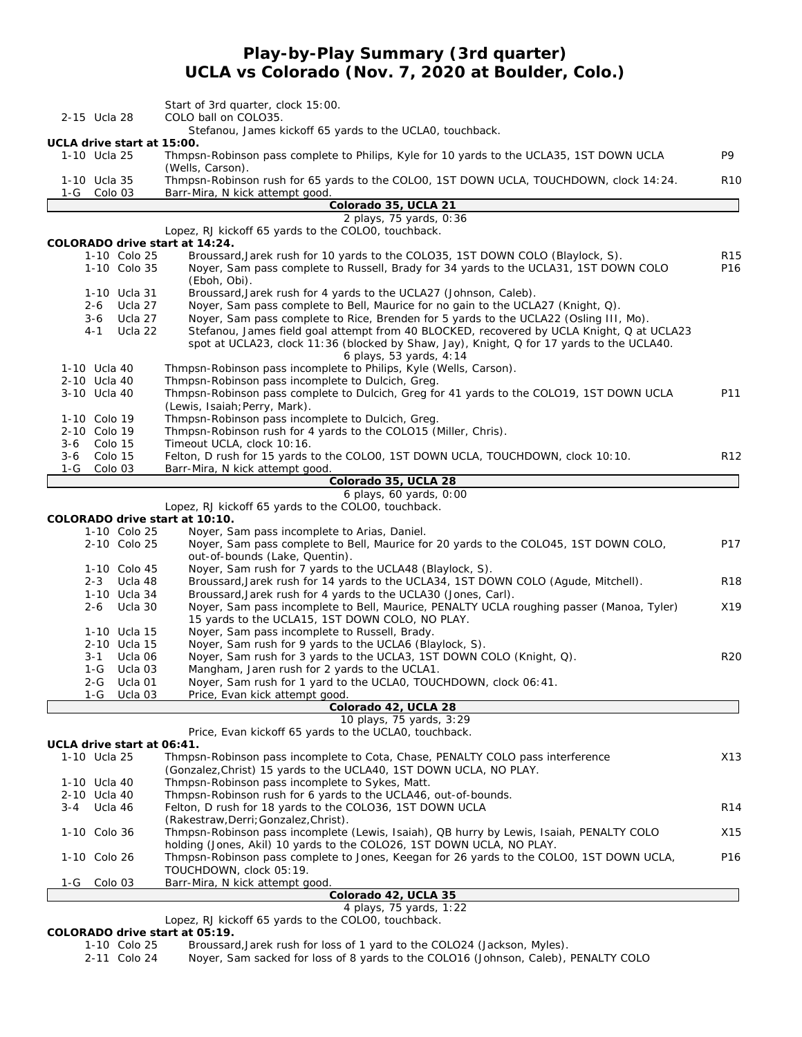# **Play-by-Play Summary (3rd quarter) UCLA vs Colorado (Nov. 7, 2020 at Boulder, Colo.)**

|       |                              | Start of 3rd quarter, clock 15:00.                                                                                        |                 |
|-------|------------------------------|---------------------------------------------------------------------------------------------------------------------------|-----------------|
|       | 2-15 Ucla 28                 | COLO ball on COLO35.                                                                                                      |                 |
|       |                              | Stefanou, James kickoff 65 yards to the UCLA0, touchback.                                                                 |                 |
|       | UCLA drive start at 15:00.   |                                                                                                                           | P9              |
|       | 1-10 Ucla 25                 | Thmpsn-Robinson pass complete to Philips, Kyle for 10 yards to the UCLA35, 1ST DOWN UCLA<br>(Wells, Carson).              |                 |
|       | 1-10 Ucla 35                 | Thmpsn-Robinson rush for 65 yards to the COLO0, 1ST DOWN UCLA, TOUCHDOWN, clock 14:24.                                    | <b>R10</b>      |
|       | 1-G Colo 03                  | Barr-Mira, N kick attempt good.                                                                                           |                 |
|       |                              | Colorado 35, UCLA 21                                                                                                      |                 |
|       |                              | 2 plays, 75 yards, 0:36                                                                                                   |                 |
|       |                              | Lopez, RJ kickoff 65 yards to the COLOO, touchback.                                                                       |                 |
|       |                              | COLORADO drive start at 14:24.                                                                                            |                 |
|       | 1-10 Colo 25                 | Broussard, Jarek rush for 10 yards to the COLO35, 1ST DOWN COLO (Blaylock, S).                                            | <b>R15</b>      |
|       | 1-10 Colo 35                 | Noyer, Sam pass complete to Russell, Brady for 34 yards to the UCLA31, 1ST DOWN COLO                                      | P <sub>16</sub> |
|       |                              | (Eboh, Obi).                                                                                                              |                 |
|       | 1-10 Ucla 31                 | Broussard, Jarek rush for 4 yards to the UCLA27 (Johnson, Caleb).                                                         |                 |
|       | Ucla 27<br>2-6               | Noyer, Sam pass complete to Bell, Maurice for no gain to the UCLA27 (Knight, Q).                                          |                 |
|       | $3-6$<br>Ucla 27             | Noyer, Sam pass complete to Rice, Brenden for 5 yards to the UCLA22 (Osling III, Mo).                                     |                 |
|       | $4 - 1$<br>Ucla 22           | Stefanou, James field goal attempt from 40 BLOCKED, recovered by UCLA Knight, Q at UCLA23                                 |                 |
|       |                              | spot at UCLA23, clock 11:36 (blocked by Shaw, Jay), Knight, Q for 17 yards to the UCLA40.                                 |                 |
|       |                              | 6 plays, 53 yards, 4:14                                                                                                   |                 |
|       | 1-10 Ucla 40<br>2-10 Ucla 40 | Thmpsn-Robinson pass incomplete to Philips, Kyle (Wells, Carson).                                                         |                 |
|       |                              | Thmpsn-Robinson pass incomplete to Dulcich, Greg.                                                                         |                 |
|       | 3-10 Ucla 40                 | Thmpsn-Robinson pass complete to Dulcich, Greg for 41 yards to the COLO19, 1ST DOWN UCLA<br>(Lewis, Isaiah; Perry, Mark). | P11             |
|       | 1-10 Colo 19                 | Thmpsn-Robinson pass incomplete to Dulcich, Greg.                                                                         |                 |
|       | 2-10 Colo 19                 | Thmpsn-Robinson rush for 4 yards to the COLO15 (Miller, Chris).                                                           |                 |
| 3-6   | Colo 15                      | Timeout UCLA, clock 10:16.                                                                                                |                 |
| 3-6   | Colo 15                      | Felton, D rush for 15 yards to the COLO0, 1ST DOWN UCLA, TOUCHDOWN, clock 10:10.                                          | R <sub>12</sub> |
| $1-G$ | Colo 03                      | Barr-Mira, N kick attempt good.                                                                                           |                 |
|       |                              | Colorado 35, UCLA 28                                                                                                      |                 |
|       |                              | 6 plays, 60 yards, 0:00                                                                                                   |                 |
|       |                              | Lopez, RJ kickoff 65 yards to the COLOO, touchback.                                                                       |                 |
|       |                              | COLORADO drive start at 10:10.                                                                                            |                 |
|       | 1-10 Colo 25                 | Noyer, Sam pass incomplete to Arias, Daniel.                                                                              |                 |
|       | 2-10 Colo 25                 | Noyer, Sam pass complete to Bell, Maurice for 20 yards to the COLO45, 1ST DOWN COLO,                                      | P17             |
|       |                              | out-of-bounds (Lake, Quentin).                                                                                            |                 |
|       | 1-10 Colo 45                 | Noyer, Sam rush for 7 yards to the UCLA48 (Blaylock, S).                                                                  |                 |
|       | 2-3 Ucla 48                  | Broussard, Jarek rush for 14 yards to the UCLA34, 1ST DOWN COLO (Agude, Mitchell).                                        | <b>R18</b>      |
|       | 1-10 Ucla 34                 | Broussard, Jarek rush for 4 yards to the UCLA30 (Jones, Carl).                                                            |                 |
|       | 2-6<br>Ucla 30               | Noyer, Sam pass incomplete to Bell, Maurice, PENALTY UCLA roughing passer (Manoa, Tyler)                                  | X19             |
|       |                              | 15 yards to the UCLA15, 1ST DOWN COLO, NO PLAY.                                                                           |                 |
|       | 1-10 Ucla 15                 | Noyer, Sam pass incomplete to Russell, Brady.                                                                             |                 |
|       | 2-10 Ucla 15                 | Noyer, Sam rush for 9 yards to the UCLA6 (Blaylock, S).                                                                   |                 |
|       | Ucla 06<br>3-1<br>Ucla 03    | Noyer, Sam rush for 3 yards to the UCLA3, 1ST DOWN COLO (Knight, Q).                                                      | <b>R20</b>      |
|       | 1-G<br>2-G<br>Ucla 01        | Mangham, Jaren rush for 2 yards to the UCLA1.<br>Noyer, Sam rush for 1 yard to the UCLAO, TOUCHDOWN, clock 06:41.         |                 |
|       | Ucla 03<br>1-G               | Price, Evan kick attempt good.                                                                                            |                 |
|       |                              | Colorado 42, UCLA 28                                                                                                      |                 |
|       |                              | 10 plays, 75 yards, 3:29                                                                                                  |                 |
|       |                              | Price, Evan kickoff 65 yards to the UCLAO, touchback.                                                                     |                 |
|       | UCLA drive start at 06:41.   |                                                                                                                           |                 |
|       | 1-10 Ucla 25                 | Thmpsn-Robinson pass incomplete to Cota, Chase, PENALTY COLO pass interference                                            | X13             |
|       |                              | (Gonzalez, Christ) 15 yards to the UCLA40, 1ST DOWN UCLA, NO PLAY.                                                        |                 |
|       | 1-10 Ucla 40                 | Thmpsn-Robinson pass incomplete to Sykes, Matt.                                                                           |                 |
|       | 2-10 Ucla 40                 | Thmpsn-Robinson rush for 6 yards to the UCLA46, out-of-bounds.                                                            |                 |
| 3-4   | Ucla 46                      | Felton, D rush for 18 yards to the COLO36, 1ST DOWN UCLA                                                                  | R <sub>14</sub> |
|       |                              | (Rakestraw, Derri; Gonzalez, Christ).                                                                                     |                 |
|       | 1-10 Colo 36                 | Thmpsn-Robinson pass incomplete (Lewis, Isaiah), QB hurry by Lewis, Isaiah, PENALTY COLO                                  | X15             |
|       |                              | holding (Jones, Akil) 10 yards to the COLO26, 1ST DOWN UCLA, NO PLAY.                                                     |                 |
|       | 1-10 Colo 26                 | Thmpsn-Robinson pass complete to Jones, Keegan for 26 yards to the COLO0, 1ST DOWN UCLA,                                  | P16             |
|       |                              | TOUCHDOWN, clock 05:19.                                                                                                   |                 |
| 1-G   | Colo 03                      | Barr-Mira, N kick attempt good.                                                                                           |                 |
|       |                              | Colorado 42, UCLA 35                                                                                                      |                 |
|       |                              | 4 plays, 75 yards, 1:22                                                                                                   |                 |

Lopez, RJ kickoff 65 yards to the COLO0, touchback.

**COLORADO drive start at 05:19.**

1-10 Colo 25 Broussard, Jarek rush for loss of 1 yard to the COLO24 (Jackson, Myles).<br>2-11 Colo 24 Noyer, Sam sacked for loss of 8 yards to the COLO16 (Johnson, Caleb),

Noyer, Sam sacked for loss of 8 yards to the COLO16 (Johnson, Caleb), PENALTY COLO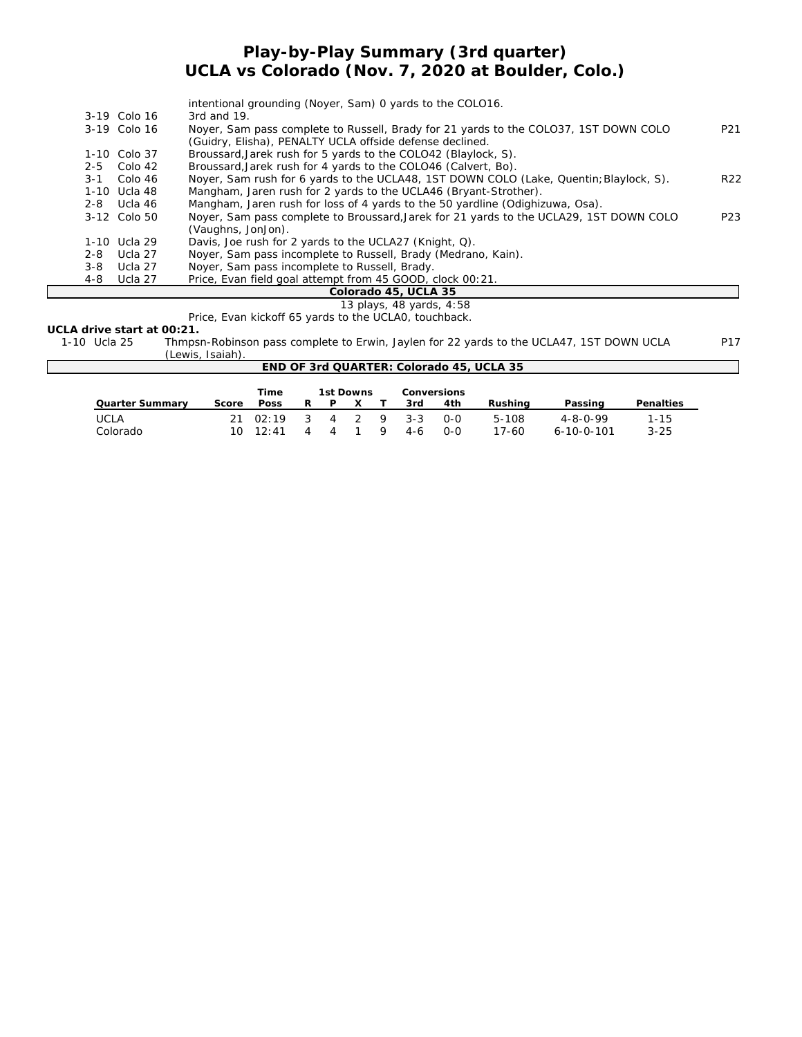### **Play-by-Play Summary (3rd quarter) UCLA vs Colorado (Nov. 7, 2020 at Boulder, Colo.)**

|         |                | intentional grounding (Noyer, Sam) 0 yards to the COLO16.                              |                 |
|---------|----------------|----------------------------------------------------------------------------------------|-----------------|
|         | 3-19 Colo 16   | 3rd and $19$ .                                                                         |                 |
|         | $3-19$ Colo 16 | Noyer, Sam pass complete to Russell, Brady for 21 yards to the COLO37, 1ST DOWN COLO   | P <sub>21</sub> |
|         |                | (Guidry, Elisha), PENALTY UCLA offside defense declined.                               |                 |
|         | 1-10 Colo 37   | Broussard, Jarek rush for 5 yards to the COLO42 (Blaylock, S).                         |                 |
| $2 - 5$ | Colo 42        | Broussard, Jarek rush for 4 yards to the COLO46 (Calvert, Bo).                         |                 |
| $3 - 1$ | Colo 46        | Noyer, Sam rush for 6 yards to the UCLA48, 1ST DOWN COLO (Lake, Quentin; Blaylock, S). | R <sub>22</sub> |
|         | 1-10 Ucla 48   | Mangham, Jaren rush for 2 yards to the UCLA46 (Bryant-Strother).                       |                 |
|         | $2-8$ Ucla 46  | Mangham, Jaren rush for loss of 4 yards to the 50 yardline (Odighizuwa, Osa).          |                 |
|         | 3-12 Colo 50   | Noyer, Sam pass complete to Broussard, Jarek for 21 yards to the UCLA29, 1ST DOWN COLO | P <sub>23</sub> |
|         |                | (Vaughns, JonJon).                                                                     |                 |
|         | 1-10 Ucla 29   | Davis, Joe rush for 2 yards to the UCLA27 (Knight, Q).                                 |                 |
| 2-8     | Ucla 27        | Noyer, Sam pass incomplete to Russell, Brady (Medrano, Kain).                          |                 |
| 3-8     | Ucla 27        | Nover, Sam pass incomplete to Russell, Brady.                                          |                 |
| 4-8     | Ucla 27        | Price, Evan field goal attempt from 45 GOOD, clock 00:21.                              |                 |
|         |                | Colorado 45, UCLA 35                                                                   |                 |

#### *13 plays, 48 yards, 4:58*

Price, Evan kickoff 65 yards to the UCLA0, touchback.

**UCLA drive start at 00:21.**

 $\overline{\Gamma}$ 

1-10 Ucla 25 Thmpsn-Robinson pass complete to Erwin, Jaylen for 22 yards to the UCLA47, 1ST DOWN UCLA P17 (Lewis, Isaiah).

| END OF 3rd QUARTER: Colorado 45, UCLA 35 |  |  |  |  |  |  |  |  |
|------------------------------------------|--|--|--|--|--|--|--|--|
| 1st Downs<br>Conversions<br>Time         |  |  |  |  |  |  |  |  |
| Penalties<br>Passing                     |  |  |  |  |  |  |  |  |
|                                          |  |  |  |  |  |  |  |  |
| $1 - 15$<br>$4 - 8 - 0 - 99$             |  |  |  |  |  |  |  |  |
| $3 - 25$<br>$6 - 10 - 0 - 101$           |  |  |  |  |  |  |  |  |
|                                          |  |  |  |  |  |  |  |  |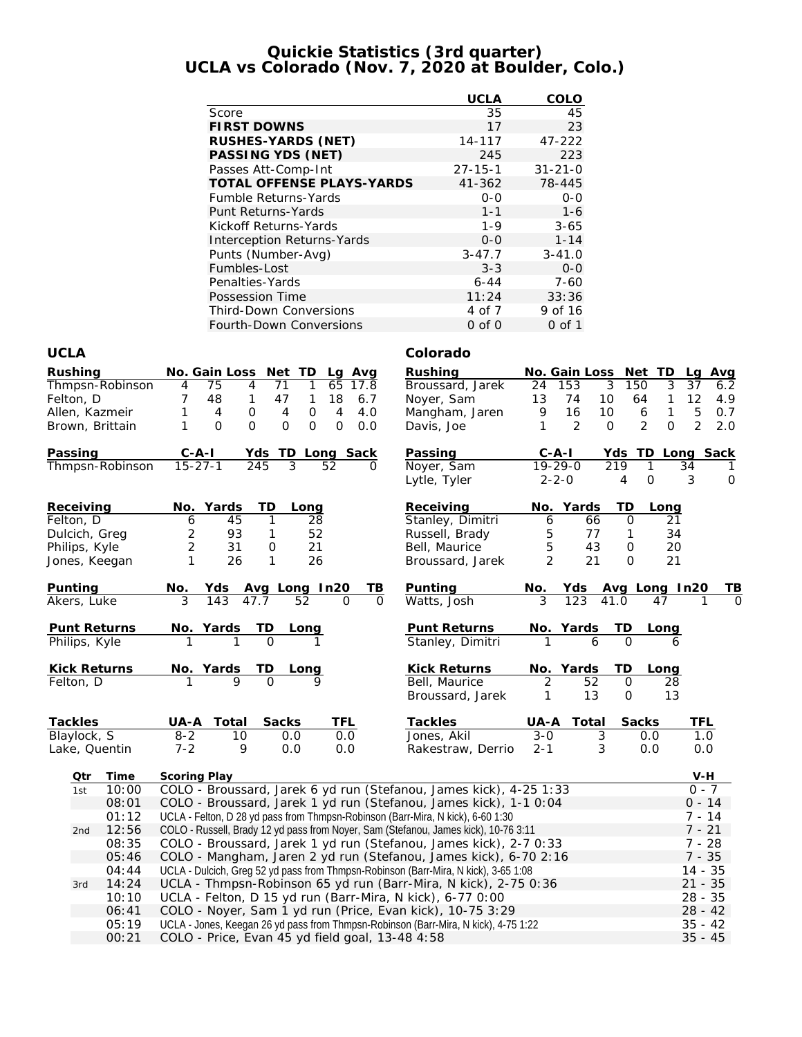### **Quickie Statistics (3rd quarter) UCLA vs Colorado (Nov. 7, 2020 at Boulder, Colo.)**

|                                   | <b>UCLA</b>   | COLO          |
|-----------------------------------|---------------|---------------|
| Score                             | 35            | 45            |
| <b>FIRST DOWNS</b>                | 17            | 23            |
| RUSHES-YARDS (NET)                | 14-117        | 47-222        |
| PASSING YDS (NET)                 | 245           | 223           |
| Passes Att-Comp-Int               | $27 - 15 - 1$ | $31 - 21 - 0$ |
| <b>TOTAL OFFENSE PLAYS-YARDS</b>  | $41 - 362$    | 78-445        |
| <b>Fumble Returns-Yards</b>       | $0 - 0$       | $O - O$       |
| Punt Returns-Yards                | $1 - 1$       | $1 - 6$       |
| Kickoff Returns-Yards             | $1 - 9$       | $3 - 65$      |
| <b>Interception Returns-Yards</b> | $0 - 0$       | $1 - 14$      |
| Punts (Number-Avg)                | $3 - 47.7$    | $3 - 41.0$    |
| Fumbles-Lost                      | $3 - 3$       | $0 - 0$       |
| Penalties-Yards                   | $6 - 44$      | $7 - 60$      |
| Possession Time                   | 11:24         | 33:36         |
| <b>Third-Down Conversions</b>     | 4 of 7        | 9 of 16       |
| Fourth-Down Conversions           | $0$ of $0$    | $0$ of 1      |

### **UCLA Colorado**

| Rushing<br>Felton, D                                     | Thmpsn-Robinson<br>Allen, Kazmeir<br>Brown, Brittain | No. Gain Loss<br>Net TD<br>Lg Avg<br>4<br>71<br>1<br>65<br>4<br>75<br>17.8<br>47<br>18<br>7<br>48<br>1<br>6.7<br>1<br>0<br>$\mathsf{O}\xspace$<br>4<br>4.0<br>1<br>$\overline{4}$<br>$\overline{4}$<br>$\Omega$<br>$\mathsf{O}$<br>$\mathbf 0$<br>1<br>O<br>$\overline{O}$<br>0.0 | Rushing<br>Broussard, Jarek<br>Noyer, Sam<br>Mangham, Jaren<br>Davis, Joe            | No. Gain Loss Net TD<br>153<br>3<br>150<br>24<br>74<br>13<br>10<br>16<br>10<br>9<br>2<br>1<br>$\mathbf{O}$                       | Avg<br>La<br>3<br>37<br>6.2<br>64<br>12<br>1<br>4.9<br>5<br>$\mathbf{1}$<br>$\boldsymbol{6}$<br>0.7<br>$\overline{2}$<br>2<br>$\overline{O}$<br>2.0 |  |  |  |  |
|----------------------------------------------------------|------------------------------------------------------|-----------------------------------------------------------------------------------------------------------------------------------------------------------------------------------------------------------------------------------------------------------------------------------|--------------------------------------------------------------------------------------|----------------------------------------------------------------------------------------------------------------------------------|-----------------------------------------------------------------------------------------------------------------------------------------------------|--|--|--|--|
| Passing                                                  |                                                      | $C - A - I$<br>Yds TD Long Sack                                                                                                                                                                                                                                                   | Passing                                                                              | $C - A - I$<br>Yds                                                                                                               | TD Long Sack                                                                                                                                        |  |  |  |  |
|                                                          | Thmpsn-Robinson                                      | $15 - 27 - 1$<br>245<br>3<br>52                                                                                                                                                                                                                                                   | Noyer, Sam<br>Lytle, Tyler                                                           | $19 - 29 - 0$<br>219<br>$2 - 2 - 0$<br>4                                                                                         | 1<br>34<br>1<br>$\Omega$<br>3<br>$\circ$                                                                                                            |  |  |  |  |
| Receiving<br>Felton, D<br>Dulcich, Greg<br>Philips, Kyle | Jones, Keegan                                        | No.<br>Yards<br>TD<br>Long<br>6<br>45<br>28<br>1<br>$\overline{c}$<br>93<br>52<br>1<br>$\overline{2}$<br>31<br>21<br>$\mathbf 0$<br>$\mathbf{1}$<br>26<br>26<br>1                                                                                                                 | Receiving<br>Stanley, Dimitri<br>Russell, Brady<br>Bell, Maurice<br>Broussard, Jarek | Yards<br>TD<br>No.<br>6<br>$\mathbf{O}$<br>66<br>5<br>77<br>$\mathbf{1}$<br>5<br>43<br>0<br>$\overline{2}$<br>21<br>$\mathbf{O}$ | Long<br>21<br>34<br>20<br>21                                                                                                                        |  |  |  |  |
| Punting                                                  |                                                      | No. Yds Avg Long In20<br>3 143 47.7 52 0<br>TВ                                                                                                                                                                                                                                    | Punting                                                                              | No. Yds Avg Long In20<br>3 123 41.0 47 1                                                                                         |                                                                                                                                                     |  |  |  |  |
| Akers, Luke                                              |                                                      | $\Omega$                                                                                                                                                                                                                                                                          | Watts, Josh                                                                          |                                                                                                                                  |                                                                                                                                                     |  |  |  |  |
|                                                          | Punt Returns                                         | TD<br><u>No. Yards</u><br><u>Long</u>                                                                                                                                                                                                                                             | Punt Returns                                                                         | No. Yards<br>TD                                                                                                                  | Long                                                                                                                                                |  |  |  |  |
| Philips, Kyle                                            |                                                      | $\overline{O}$                                                                                                                                                                                                                                                                    | Stanley, Dimitri                                                                     | $\Omega$<br>6                                                                                                                    | 6                                                                                                                                                   |  |  |  |  |
|                                                          | Kick Returns                                         | <u>TD</u><br>No. Yards<br>1 9<br>Long                                                                                                                                                                                                                                             | Kick Returns                                                                         | No. Yards<br>TD                                                                                                                  | Long                                                                                                                                                |  |  |  |  |
| Felton, D                                                |                                                      |                                                                                                                                                                                                                                                                                   | Bell, Maurice<br>Broussard, Jarek                                                    | 52<br>2<br>$\mathbf 0$<br>13<br>$\mathsf{O}$<br>1                                                                                | 28<br>13                                                                                                                                            |  |  |  |  |
| Tackles                                                  |                                                      | Total<br>Sacks<br><b>TFL</b><br>UA-A                                                                                                                                                                                                                                              | Tackles                                                                              | UA-A<br>Total                                                                                                                    | Sacks<br>TFL                                                                                                                                        |  |  |  |  |
| Blaylock, S                                              |                                                      | 0.0<br>$8 - 2$<br>10<br>0.0                                                                                                                                                                                                                                                       | Jones, Akil                                                                          | $\overline{3-0}$<br>3                                                                                                            | $\overline{1}$ .0<br>0.0                                                                                                                            |  |  |  |  |
|                                                          | Lake, Quentin                                        | $7 - 2$<br>9<br>0.0<br>0.0                                                                                                                                                                                                                                                        | Rakestraw, Derrio                                                                    | $2 - 1$<br>3                                                                                                                     | 0.0<br>0.0                                                                                                                                          |  |  |  |  |
| Qtr                                                      | Time                                                 | Scoring Play                                                                                                                                                                                                                                                                      |                                                                                      |                                                                                                                                  | V-H                                                                                                                                                 |  |  |  |  |
| 1st                                                      | 10:00                                                | COLO - Broussard, Jarek 6 yd run (Stefanou, James kick), 4-25 1:33                                                                                                                                                                                                                |                                                                                      |                                                                                                                                  | $0 - 7$                                                                                                                                             |  |  |  |  |
|                                                          | 08:01                                                | COLO - Broussard, Jarek 1 yd run (Stefanou, James kick), 1-1 0:04                                                                                                                                                                                                                 |                                                                                      |                                                                                                                                  | $0 - 14$                                                                                                                                            |  |  |  |  |
|                                                          | 01:12                                                | UCLA - Felton, D 28 yd pass from Thmpsn-Robinson (Barr-Mira, N kick), 6-60 1:30                                                                                                                                                                                                   |                                                                                      |                                                                                                                                  | $7 - 14$                                                                                                                                            |  |  |  |  |
| 2nd                                                      | 12:56                                                | COLO - Russell, Brady 12 yd pass from Noyer, Sam (Stefanou, James kick), 10-76 3:11                                                                                                                                                                                               |                                                                                      |                                                                                                                                  | $7 - 21$                                                                                                                                            |  |  |  |  |
|                                                          | 08:35                                                | COLO - Broussard, Jarek 1 yd run (Stefanou, James kick), 2-7 0:33                                                                                                                                                                                                                 |                                                                                      |                                                                                                                                  | $7 - 28$                                                                                                                                            |  |  |  |  |
|                                                          | 05:46                                                | COLO - Mangham, Jaren 2 yd run (Stefanou, James kick), 6-70 2:16                                                                                                                                                                                                                  |                                                                                      |                                                                                                                                  | $7 - 35$                                                                                                                                            |  |  |  |  |
|                                                          | 04:44                                                | UCLA - Dulcich, Greg 52 yd pass from Thmpsn-Robinson (Barr-Mira, N kick), 3-65 1:08                                                                                                                                                                                               |                                                                                      |                                                                                                                                  | $14 - 35$                                                                                                                                           |  |  |  |  |
| 3rd                                                      | 14:24                                                | UCLA - Thmpsn-Robinson 65 yd run (Barr-Mira, N kick), 2-75 0:36                                                                                                                                                                                                                   |                                                                                      |                                                                                                                                  | $21 - 35$                                                                                                                                           |  |  |  |  |
|                                                          | 10:10                                                | UCLA - Felton, D 15 yd run (Barr-Mira, N kick), 6-77 0:00                                                                                                                                                                                                                         |                                                                                      |                                                                                                                                  | $28 - 35$                                                                                                                                           |  |  |  |  |
|                                                          | 06:41                                                | COLO - Noyer, Sam 1 yd run (Price, Evan kick), 10-75 3:29                                                                                                                                                                                                                         |                                                                                      |                                                                                                                                  | $28 - 42$                                                                                                                                           |  |  |  |  |
|                                                          | 05:19                                                | UCLA - Jones, Keegan 26 yd pass from Thmpsn-Robinson (Barr-Mira, N kick), 4-75 1:22                                                                                                                                                                                               |                                                                                      |                                                                                                                                  | $35 - 42$                                                                                                                                           |  |  |  |  |
|                                                          | 00:21                                                | COLO - Price, Evan 45 yd field goal, 13-48 4:58<br>$35 - 45$                                                                                                                                                                                                                      |                                                                                      |                                                                                                                                  |                                                                                                                                                     |  |  |  |  |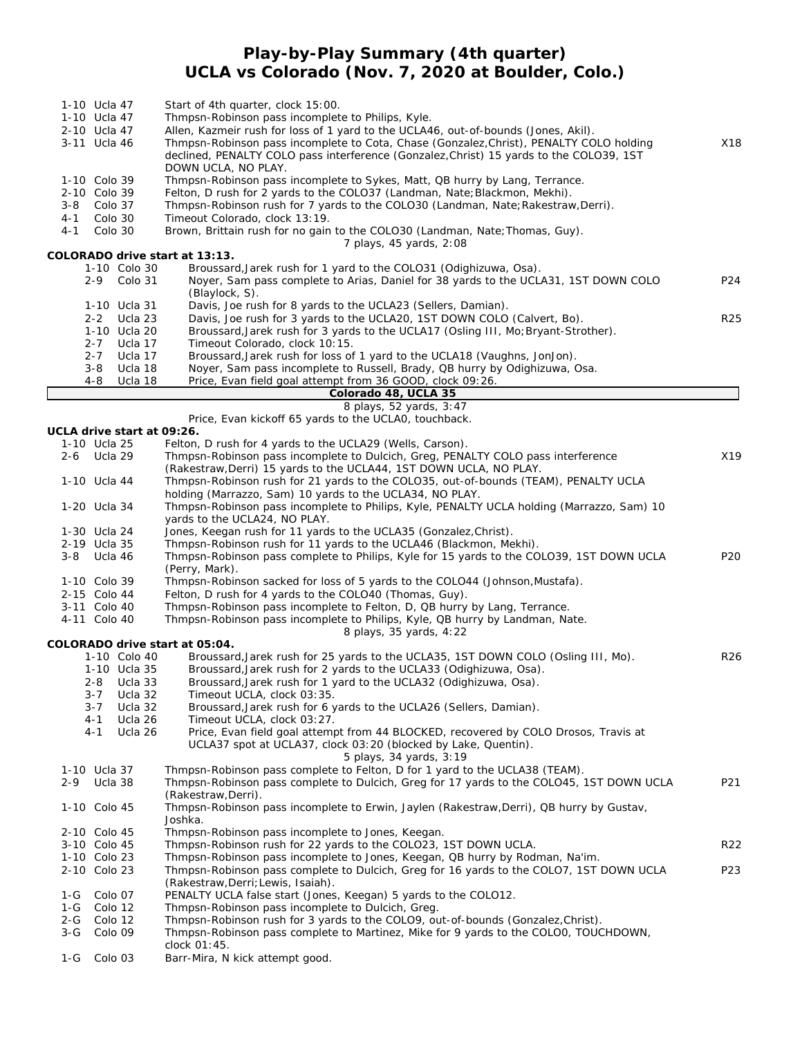## **Play-by-Play Summary (4th quarter) UCLA vs Colorado (Nov. 7, 2020 at Boulder, Colo.)**

| 1-10 Ucla 47<br>1-10 Ucla 47<br>2-10 Ucla 47<br>3-11 Ucla 46 |                    |                            | Start of 4th quarter, clock 15:00.<br>Thmpsn-Robinson pass incomplete to Philips, Kyle.<br>Allen, Kazmeir rush for loss of 1 yard to the UCLA46, out-of-bounds (Jones, Akil).<br>Thmpsn-Robinson pass incomplete to Cota, Chase (Gonzalez, Christ), PENALTY COLO holding<br>declined, PENALTY COLO pass interference (Gonzalez, Christ) 15 yards to the COLO39, 1ST<br>DOWN UCLA, NO PLAY. | X18             |
|--------------------------------------------------------------|--------------------|----------------------------|--------------------------------------------------------------------------------------------------------------------------------------------------------------------------------------------------------------------------------------------------------------------------------------------------------------------------------------------------------------------------------------------|-----------------|
| 1-10 Colo 39                                                 |                    |                            | Thmpsn-Robinson pass incomplete to Sykes, Matt, QB hurry by Lang, Terrance.                                                                                                                                                                                                                                                                                                                |                 |
| 2-10 Colo 39                                                 |                    |                            | Felton, D rush for 2 yards to the COLO37 (Landman, Nate; Blackmon, Mekhi).                                                                                                                                                                                                                                                                                                                 |                 |
| 3-8                                                          | Colo 37            |                            | Thmpsn-Robinson rush for 7 yards to the COLO30 (Landman, Nate; Rakestraw, Derri).                                                                                                                                                                                                                                                                                                          |                 |
| 4-1<br>$4 - 1$                                               | Colo 30<br>Colo 30 |                            | Timeout Colorado, clock 13:19.<br>Brown, Brittain rush for no gain to the COLO30 (Landman, Nate; Thomas, Guy).<br>7 plays, 45 yards, 2:08                                                                                                                                                                                                                                                  |                 |
|                                                              |                    |                            | COLORADO drive start at 13:13.                                                                                                                                                                                                                                                                                                                                                             |                 |
|                                                              |                    | 1-10 Colo 30               | Broussard, Jarek rush for 1 yard to the COLO31 (Odighizuwa, Osa).                                                                                                                                                                                                                                                                                                                          |                 |
|                                                              | 2-9                | Colo 31                    | Noyer, Sam pass complete to Arias, Daniel for 38 yards to the UCLA31, 1ST DOWN COLO<br>(Blaylock, S).                                                                                                                                                                                                                                                                                      | P24             |
|                                                              | $2 - 2$            | 1-10 Ucla 31<br>Ucla 23    | Davis, Joe rush for 8 yards to the UCLA23 (Sellers, Damian).<br>Davis, Joe rush for 3 yards to the UCLA20, 1ST DOWN COLO (Calvert, Bo).                                                                                                                                                                                                                                                    | R <sub>25</sub> |
|                                                              |                    | 1-10 Ucla 20               | Broussard, Jarek rush for 3 yards to the UCLA17 (Osling III, Mo; Bryant-Strother).                                                                                                                                                                                                                                                                                                         |                 |
|                                                              | $2 - 7$            | Ucla 17                    | Timeout Colorado, clock 10:15.                                                                                                                                                                                                                                                                                                                                                             |                 |
|                                                              | $2 - 7$            | Ucla 17                    | Broussard, Jarek rush for loss of 1 yard to the UCLA18 (Vaughns, JonJon).                                                                                                                                                                                                                                                                                                                  |                 |
|                                                              | $3 - 8$            | Ucla 18                    | Noyer, Sam pass incomplete to Russell, Brady, QB hurry by Odighizuwa, Osa.                                                                                                                                                                                                                                                                                                                 |                 |
|                                                              | $4 - 8$            | Ucla 18                    | Price, Evan field goal attempt from 36 GOOD, clock 09:26.<br>Colorado 48, UCLA 35                                                                                                                                                                                                                                                                                                          |                 |
|                                                              |                    |                            | 8 plays, 52 yards, 3:47                                                                                                                                                                                                                                                                                                                                                                    |                 |
|                                                              |                    |                            | Price, Evan kickoff 65 yards to the UCLA0, touchback.                                                                                                                                                                                                                                                                                                                                      |                 |
|                                                              |                    | UCLA drive start at 09:26. |                                                                                                                                                                                                                                                                                                                                                                                            |                 |
| 1-10 Ucla 25                                                 |                    |                            | Felton, D rush for 4 yards to the UCLA29 (Wells, Carson).                                                                                                                                                                                                                                                                                                                                  |                 |
| 2-6                                                          | Ucla 29            |                            | Thmpsn-Robinson pass incomplete to Dulcich, Greg, PENALTY COLO pass interference<br>(Rakestraw, Derri) 15 yards to the UCLA44, 1ST DOWN UCLA, NO PLAY.                                                                                                                                                                                                                                     | X19             |
| 1-10 Ucla 44                                                 |                    |                            | Thmpsn-Robinson rush for 21 yards to the COLO35, out-of-bounds (TEAM), PENALTY UCLA                                                                                                                                                                                                                                                                                                        |                 |
|                                                              |                    |                            | holding (Marrazzo, Sam) 10 yards to the UCLA34, NO PLAY.                                                                                                                                                                                                                                                                                                                                   |                 |
| 1-20 Ucla 34                                                 |                    |                            | Thmpsn-Robinson pass incomplete to Philips, Kyle, PENALTY UCLA holding (Marrazzo, Sam) 10                                                                                                                                                                                                                                                                                                  |                 |
|                                                              |                    |                            | yards to the UCLA24, NO PLAY.                                                                                                                                                                                                                                                                                                                                                              |                 |
| 1-30 Ucla 24                                                 |                    |                            | Jones, Keegan rush for 11 yards to the UCLA35 (Gonzalez, Christ).                                                                                                                                                                                                                                                                                                                          |                 |
| 2-19 Ucla 35<br>3-8 Ucla 46                                  |                    |                            | Thmpsn-Robinson rush for 11 yards to the UCLA46 (Blackmon, Mekhi).<br>Thmpsn-Robinson pass complete to Philips, Kyle for 15 yards to the COLO39, 1ST DOWN UCLA                                                                                                                                                                                                                             | P <sub>20</sub> |
|                                                              |                    |                            | (Perry, Mark).                                                                                                                                                                                                                                                                                                                                                                             |                 |
| 1-10 Colo 39                                                 |                    |                            | Thmpsn-Robinson sacked for loss of 5 yards to the COLO44 (Johnson, Mustafa).                                                                                                                                                                                                                                                                                                               |                 |
| 2-15 Colo 44                                                 |                    |                            | Felton, D rush for 4 yards to the COLO40 (Thomas, Guy).                                                                                                                                                                                                                                                                                                                                    |                 |
| 3-11 Colo 40                                                 |                    |                            | Thmpsn-Robinson pass incomplete to Felton, D, QB hurry by Lang, Terrance.                                                                                                                                                                                                                                                                                                                  |                 |
| 4-11 Colo 40                                                 |                    |                            | Thmpsn-Robinson pass incomplete to Philips, Kyle, QB hurry by Landman, Nate.                                                                                                                                                                                                                                                                                                               |                 |
|                                                              |                    |                            | 8 plays, 35 yards, 4:22<br>COLORADO drive start at 05:04.                                                                                                                                                                                                                                                                                                                                  |                 |
|                                                              |                    | 1-10 Colo 40               | Broussard, Jarek rush for 25 yards to the UCLA35, 1ST DOWN COLO (Osling III, Mo).                                                                                                                                                                                                                                                                                                          | R <sub>26</sub> |
|                                                              |                    | 1-10 Ucla 35               | Broussard, Jarek rush for 2 yards to the UCLA33 (Odighizuwa, Osa).                                                                                                                                                                                                                                                                                                                         |                 |
|                                                              |                    | 2-8 Ucla 33                | Broussard, Jarek rush for 1 yard to the UCLA32 (Odighizuwa, Osa).                                                                                                                                                                                                                                                                                                                          |                 |
|                                                              | $3 - 7$            | Ucla 32                    | Timeout UCLA, clock 03:35.                                                                                                                                                                                                                                                                                                                                                                 |                 |
|                                                              | $3 - 7$<br>4-1     | Ucla 32<br>Ucla 26         | Broussard, Jarek rush for 6 yards to the UCLA26 (Sellers, Damian).<br>Timeout UCLA, clock 03:27.                                                                                                                                                                                                                                                                                           |                 |
|                                                              | $4 - 1$            | Ucla 26                    | Price, Evan field goal attempt from 44 BLOCKED, recovered by COLO Drosos, Travis at<br>UCLA37 spot at UCLA37, clock 03:20 (blocked by Lake, Quentin).                                                                                                                                                                                                                                      |                 |
|                                                              |                    |                            | 5 plays, 34 yards, 3:19                                                                                                                                                                                                                                                                                                                                                                    |                 |
| 1-10 Ucla 37<br>2-9                                          | Ucla 38            |                            | Thmpsn-Robinson pass complete to Felton, D for 1 yard to the UCLA38 (TEAM).<br>Thmpsn-Robinson pass complete to Dulcich, Greg for 17 yards to the COLO45, 1ST DOWN UCLA<br>(Rakestraw, Derri).                                                                                                                                                                                             | P21             |
| 1-10 Colo 45                                                 |                    |                            | Thmpsn-Robinson pass incomplete to Erwin, Jaylen (Rakestraw, Derri), QB hurry by Gustav,<br>Joshka.                                                                                                                                                                                                                                                                                        |                 |
| 2-10 Colo 45                                                 |                    |                            | Thmpsn-Robinson pass incomplete to Jones, Keegan.                                                                                                                                                                                                                                                                                                                                          |                 |
| 3-10 Colo 45                                                 |                    |                            | Thmpsn-Robinson rush for 22 yards to the COLO23, 1ST DOWN UCLA.                                                                                                                                                                                                                                                                                                                            | R <sub>22</sub> |
| 1-10 Colo 23                                                 |                    |                            | Thmpsn-Robinson pass incomplete to Jones, Keegan, QB hurry by Rodman, Na'im.                                                                                                                                                                                                                                                                                                               |                 |
| 2-10 Colo 23                                                 |                    |                            | Thmpsn-Robinson pass complete to Dulcich, Greg for 16 yards to the COLO7, 1ST DOWN UCLA<br>(Rakestraw, Derri; Lewis, Isaiah).                                                                                                                                                                                                                                                              | P23             |
| 1-G                                                          | Colo 07            |                            | PENALTY UCLA false start (Jones, Keegan) 5 yards to the COLO12.                                                                                                                                                                                                                                                                                                                            |                 |
| 1-G                                                          | Colo 12            |                            | Thmpsn-Robinson pass incomplete to Dulcich, Greg.                                                                                                                                                                                                                                                                                                                                          |                 |
| $2 - G$                                                      | Colo 12            |                            | Thmpsn-Robinson rush for 3 yards to the COLO9, out-of-bounds (Gonzalez, Christ).                                                                                                                                                                                                                                                                                                           |                 |
| $3-G$                                                        | Colo 09            |                            | Thmpsn-Robinson pass complete to Martinez, Mike for 9 yards to the COLO0, TOUCHDOWN,                                                                                                                                                                                                                                                                                                       |                 |

clock 01:45. 1-G Colo 03 Barr-Mira, N kick attempt good.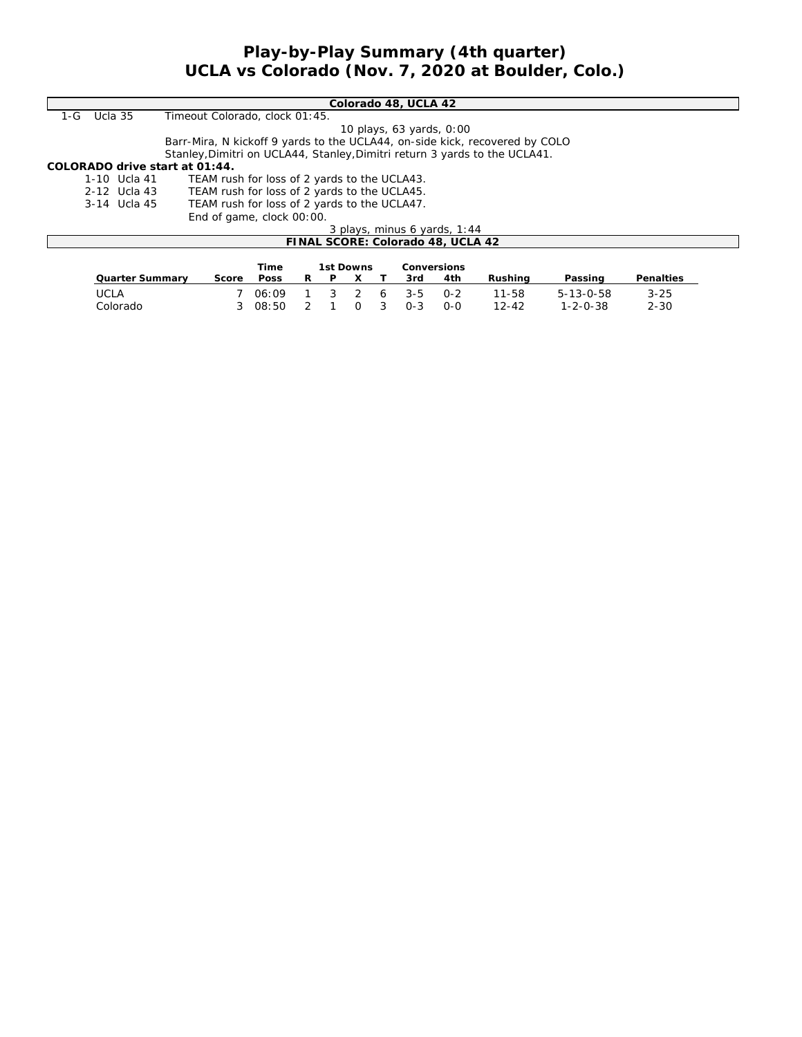## **Play-by-Play Summary (4th quarter) UCLA vs Colorado (Nov. 7, 2020 at Boulder, Colo.)**

|     |                                                              | Colorado 48, UCLA 42                                                        |  |  |  |  |  |
|-----|--------------------------------------------------------------|-----------------------------------------------------------------------------|--|--|--|--|--|
| 1-G | Ucla 35                                                      | Timeout Colorado, clock 01:45.                                              |  |  |  |  |  |
|     |                                                              | 10 plays, 63 yards, 0:00                                                    |  |  |  |  |  |
|     |                                                              | Barr-Mira, N kickoff 9 yards to the UCLA44, on-side kick, recovered by COLO |  |  |  |  |  |
|     |                                                              | Stanley, Dimitri on UCLA44, Stanley, Dimitri return 3 yards to the UCLA41.  |  |  |  |  |  |
|     |                                                              | COLORADO drive start at 01:44.                                              |  |  |  |  |  |
|     | 1-10 Ucla 41                                                 | TEAM rush for loss of 2 yards to the UCLA43.                                |  |  |  |  |  |
|     | 2-12 Ucla 43                                                 | TEAM rush for loss of 2 yards to the UCLA45.                                |  |  |  |  |  |
|     | TEAM rush for loss of 2 yards to the UCLA47.<br>3-14 Ucla 45 |                                                                             |  |  |  |  |  |
|     |                                                              | End of game, clock 00:00.                                                   |  |  |  |  |  |
|     |                                                              | 3 plays, minus 6 yards, 1:44                                                |  |  |  |  |  |
|     |                                                              | FINAL SCORE: Colorado 48, UCLA 42                                           |  |  |  |  |  |
|     |                                                              |                                                                             |  |  |  |  |  |
|     |                                                              | 1st Downs<br>Conversions<br>Time                                            |  |  |  |  |  |

|                 |       | пше   |    |   | ISL DOWNS |          |           | CONVERSIONS. |           |                   |           |
|-----------------|-------|-------|----|---|-----------|----------|-----------|--------------|-----------|-------------------|-----------|
| Quarter Summarv | Score | Poss  | R. | P |           |          | 3rd       | 4th          | Rushina   | Passing           | Penalties |
| UCLA            |       | 06.09 |    |   |           |          | 3 2 6 3-5 | $0 - 2$      | $11 - 58$ | $5 - 13 - 0 - 58$ | $3 - 25$  |
| Colorado        |       | 08.50 |    |   | $\cap$    | $\sim$ 3 | $O - 3$   | റ-റ          | $12-42$   | $1 - 2 - 0 - 38$  | $2 - 30$  |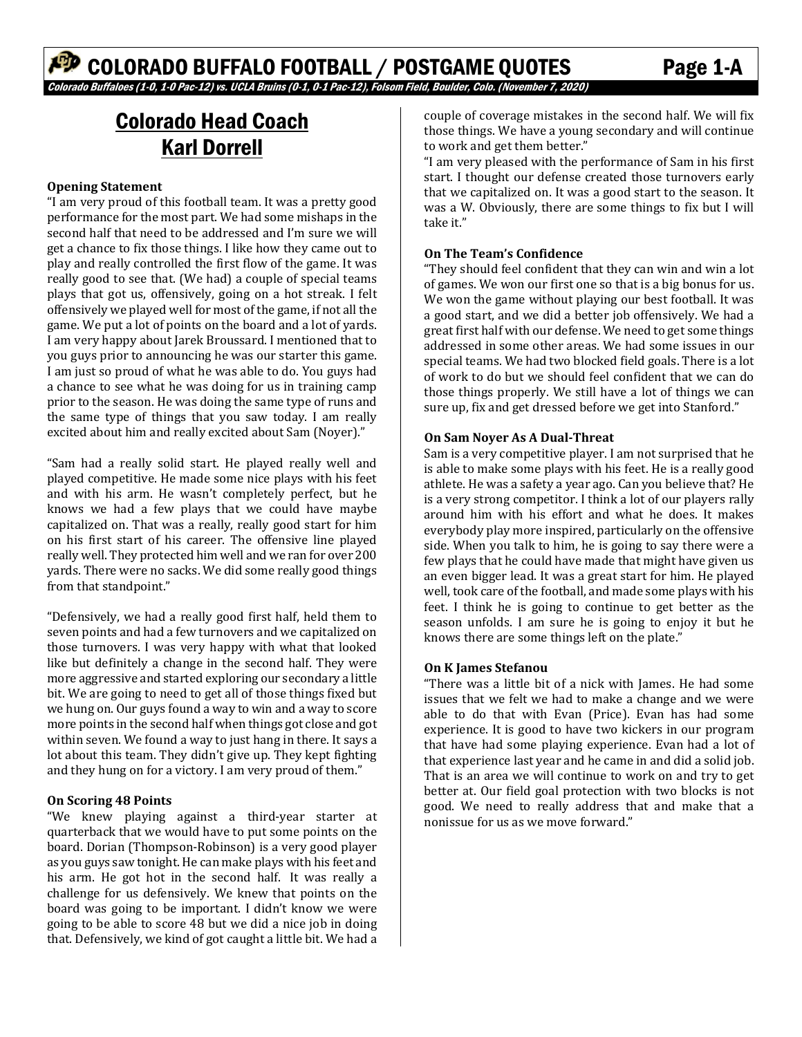# Colorado Head Coach Karl Dorrell

#### **Opening Statement**

"I am very proud of this football team. It was a pretty good performance for the most part. We had some mishaps in the second half that need to be addressed and I'm sure we will get a chance to fix those things. I like how they came out to play and really controlled the first flow of the game. It was really good to see that. (We had) a couple of special teams plays that got us, offensively, going on a hot streak. I felt offensively we played well for most of the game, if not all the game. We put a lot of points on the board and a lot of yards. I am very happy about Jarek Broussard. I mentioned that to you guys prior to announcing he was our starter this game. I am just so proud of what he was able to do. You guys had a chance to see what he was doing for us in training camp prior to the season. He was doing the same type of runs and the same type of things that you saw today. I am really excited about him and really excited about Sam (Noyer)."

"Sam had a really solid start. He played really well and played competitive. He made some nice plays with his feet and with his arm. He wasn't completely perfect, but he knows we had a few plays that we could have maybe capitalized on. That was a really, really good start for him on his first start of his career. The offensive line played really well. They protected him well and we ran for over 200 yards. There were no sacks. We did some really good things from that standpoint."

"Defensively, we had a really good first half, held them to seven points and had a few turnovers and we capitalized on those turnovers. I was very happy with what that looked like but definitely a change in the second half. They were more aggressive and started exploring our secondary a little bit. We are going to need to get all of those things fixed but we hung on. Our guys found a way to win and a way to score more points in the second half when things got close and got within seven. We found a way to just hang in there. It says a lot about this team. They didn't give up. They kept fighting and they hung on for a victory. I am very proud of them."

#### **On Scoring 48 Points**

"We knew playing against a third-year starter at quarterback that we would have to put some points on the board. Dorian (Thompson-Robinson) is a very good player as you guys saw tonight. He can make plays with his feet and his arm. He got hot in the second half. It was really a challenge for us defensively. We knew that points on the board was going to be important. I didn't know we were going to be able to score 48 but we did a nice job in doing that. Defensively, we kind of got caught a little bit. We had a couple of coverage mistakes in the second half. We will fix those things. We have a young secondary and will continue to work and get them better."

"I am very pleased with the performance of Sam in his first start. I thought our defense created those turnovers early that we capitalized on. It was a good start to the season. It was a W. Obviously, there are some things to fix but I will take it."

#### **On The Team's Confidence**

"They should feel confident that they can win and win a lot of games. We won our first one so that is a big bonus for us. We won the game without playing our best football. It was a good start, and we did a better job offensively. We had a great first half with our defense. We need to get some things addressed in some other areas. We had some issues in our special teams. We had two blocked field goals. There is a lot of work to do but we should feel confident that we can do those things properly. We still have a lot of things we can sure up, fix and get dressed before we get into Stanford."

#### **On Sam Noyer As A Dual-Threat**

Sam is a very competitive player. I am not surprised that he is able to make some plays with his feet. He is a really good athlete. He was a safety a year ago. Can you believe that? He is a very strong competitor. I think a lot of our players rally around him with his effort and what he does. It makes everybody play more inspired, particularly on the offensive side. When you talk to him, he is going to say there were a few plays that he could have made that might have given us an even bigger lead. It was a great start for him. He played well, took care of the football, and made some plays with his feet. I think he is going to continue to get better as the season unfolds. I am sure he is going to enjoy it but he knows there are some things left on the plate."

#### **On K James Stefanou**

"There was a little bit of a nick with James. He had some issues that we felt we had to make a change and we were able to do that with Evan (Price). Evan has had some experience. It is good to have two kickers in our program that have had some playing experience. Evan had a lot of that experience last year and he came in and did a solid job. That is an area we will continue to work on and try to get better at. Our field goal protection with two blocks is not good. We need to really address that and make that a nonissue for us as we move forward."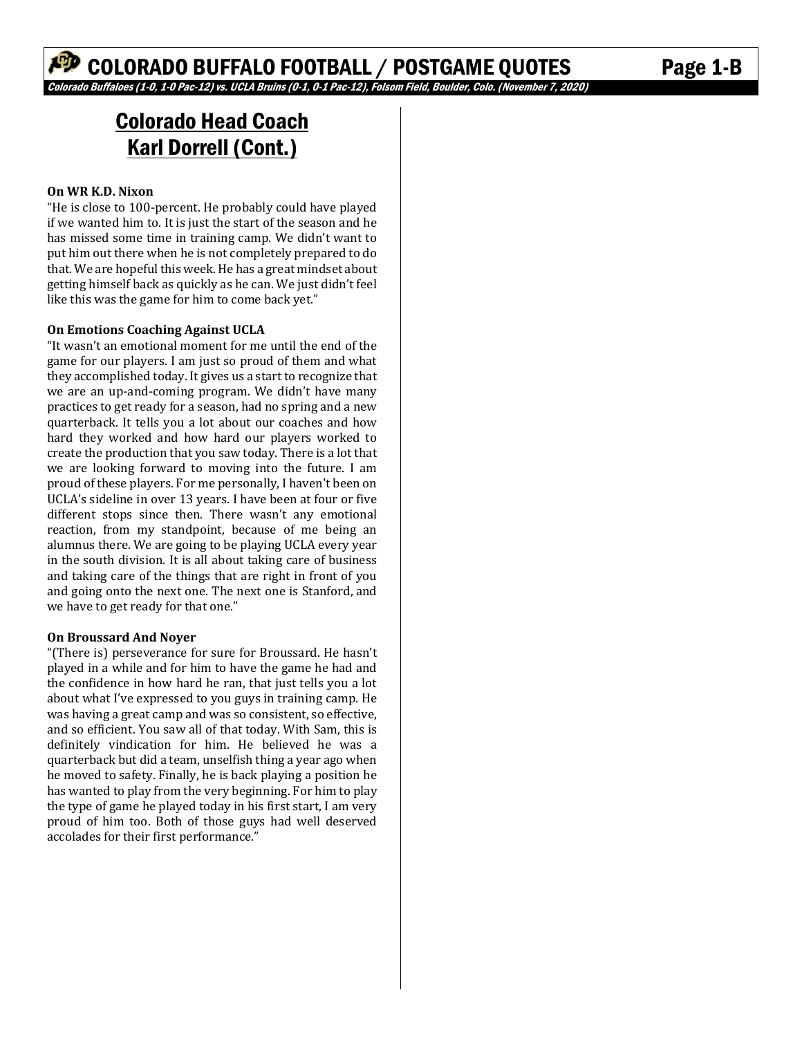# Colorado Head Coach Karl Dorrell (Cont.)

#### **On WR K.D. Nixon**

"He is close to 100-percent. He probably could have played if we wanted him to. It is just the start of the season and he has missed some time in training camp. We didn't want to put him out there when he is not completely prepared to do that. We are hopeful this week. He has a great mindset about getting himself back as quickly as he can. We just didn't feel like this was the game for him to come back yet."

#### **On Emotions Coaching Against UCLA**

"It wasn't an emotional moment for me until the end of the game for our players. I am just so proud of them and what they accomplished today. It gives us a start to recognize that we are an up-and-coming program. We didn't have many practices to get ready for a season, had no spring and a new quarterback. It tells you a lot about our coaches and how hard they worked and how hard our players worked to create the production that you saw today. There is a lot that we are looking forward to moving into the future. I am proud of these players. For me personally, I haven't been on UCLA's sideline in over 13 years. I have been at four or five different stops since then. There wasn't any emotional reaction, from my standpoint, because of me being an alumnus there. We are going to be playing UCLA every year in the south division. It is all about taking care of business and taking care of the things that are right in front of you and going onto the next one. The next one is Stanford, and we have to get ready for that one."

#### **On Broussard And Noyer**

"(There is) perseverance for sure for Broussard. He hasn't played in a while and for him to have the game he had and the confidence in how hard he ran, that just tells you a lot about what I've expressed to you guys in training camp. He was having a great camp and was so consistent, so effective, and so efficient. You saw all of that today. With Sam, this is definitely vindication for him. He believed he was a quarterback but did a team, unselfish thing a year ago when he moved to safety. Finally, he is back playing a position he has wanted to play from the very beginning. For him to play the type of game he played today in his first start, I am very proud of him too. Both of those guys had well deserved accolades for their first performance."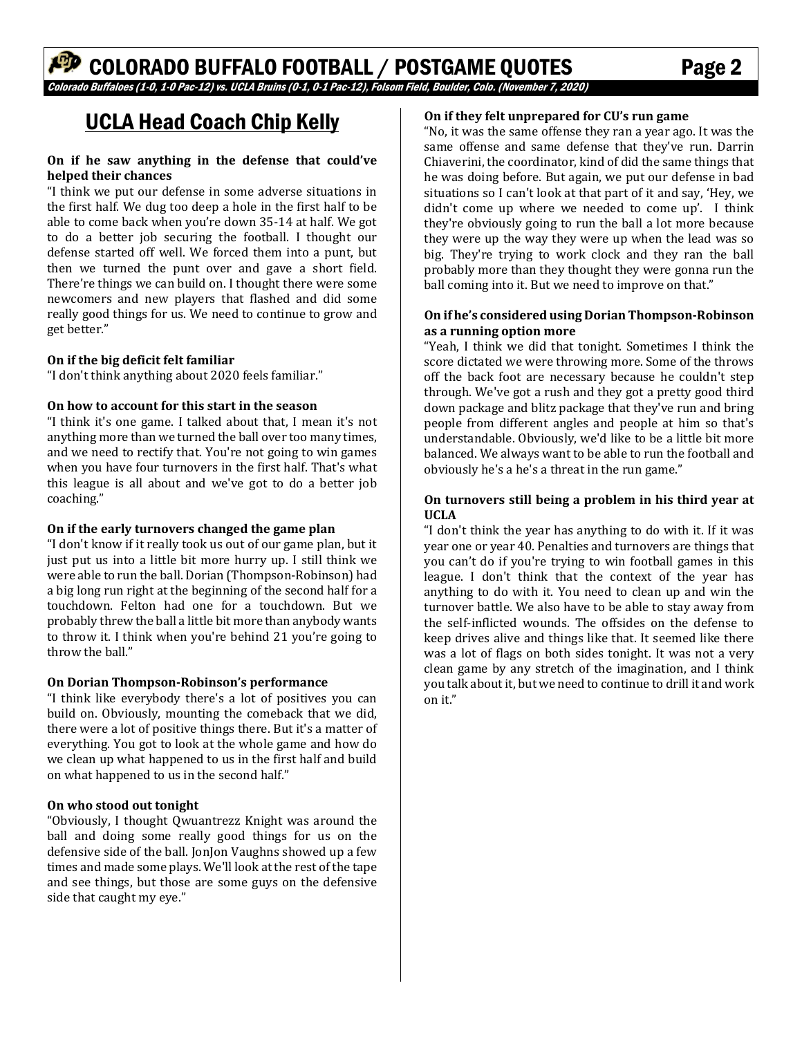# UCLA Head Coach Chip Kelly

#### **On if he saw anything in the defense that could've helped their chances**

"I think we put our defense in some adverse situations in the first half. We dug too deep a hole in the first half to be able to come back when you're down 35-14 at half. We got to do a better job securing the football. I thought our defense started off well. We forced them into a punt, but then we turned the punt over and gave a short field. There're things we can build on. I thought there were some newcomers and new players that flashed and did some really good things for us. We need to continue to grow and get better."

#### **On if the big deficit felt familiar**

"I don't think anything about 2020 feels familiar."

#### **On how to account for this start in the season**

"I think it's one game. I talked about that, I mean it's not anything more than we turned the ball over too many times, and we need to rectify that. You're not going to win games when you have four turnovers in the first half. That's what this league is all about and we've got to do a better job coaching."

#### **On if the early turnovers changed the game plan**

"I don't know if it really took us out of our game plan, but it just put us into a little bit more hurry up. I still think we were able to run the ball. Dorian (Thompson-Robinson) had a big long run right at the beginning of the second half for a touchdown. Felton had one for a touchdown. But we probably threw the ball a little bit more than anybody wants to throw it. I think when you're behind 21 you're going to throw the hall"

#### **On Dorian Thompson-Robinson's performance**

"I think like everybody there's a lot of positives you can build on. Obviously, mounting the comeback that we did, there were a lot of positive things there. But it's a matter of everything. You got to look at the whole game and how do we clean up what happened to us in the first half and build on what happened to us in the second half."

#### **On who stood out tonight**

"Obviously, I thought Qwuantrezz Knight was around the ball and doing some really good things for us on the defensive side of the ball. JonJon Vaughns showed up a few times and made some plays. We'll look at the rest of the tape and see things, but those are some guys on the defensive side that caught my eye."

#### **On if they felt unprepared for CU's run game**

"No, it was the same offense they ran a year ago. It was the same offense and same defense that they've run. Darrin Chiaverini, the coordinator, kind of did the same things that he was doing before. But again, we put our defense in bad situations so I can't look at that part of it and say, 'Hey, we didn't come up where we needed to come up'. I think they're obviously going to run the ball a lot more because they were up the way they were up when the lead was so big. They're trying to work clock and they ran the ball probably more than they thought they were gonna run the ball coming into it. But we need to improve on that."

#### **On if he's considered using Dorian Thompson-Robinson as a running option more**

"Yeah, I think we did that tonight. Sometimes I think the score dictated we were throwing more. Some of the throws off the back foot are necessary because he couldn't step through. We've got a rush and they got a pretty good third down package and blitz package that they've run and bring people from different angles and people at him so that's understandable. Obviously, we'd like to be a little bit more balanced. We always want to be able to run the football and obviously he's a he's a threat in the run game."

#### **On turnovers still being a problem in his third year at UCLA**

"I don't think the year has anything to do with it. If it was year one or year 40. Penalties and turnovers are things that you can't do if you're trying to win football games in this league. I don't think that the context of the year has anything to do with it. You need to clean up and win the turnover battle. We also have to be able to stay away from the self-inflicted wounds. The offsides on the defense to keep drives alive and things like that. It seemed like there was a lot of flags on both sides tonight. It was not a very clean game by any stretch of the imagination, and I think you talk about it, but we need to continue to drill it and work on it."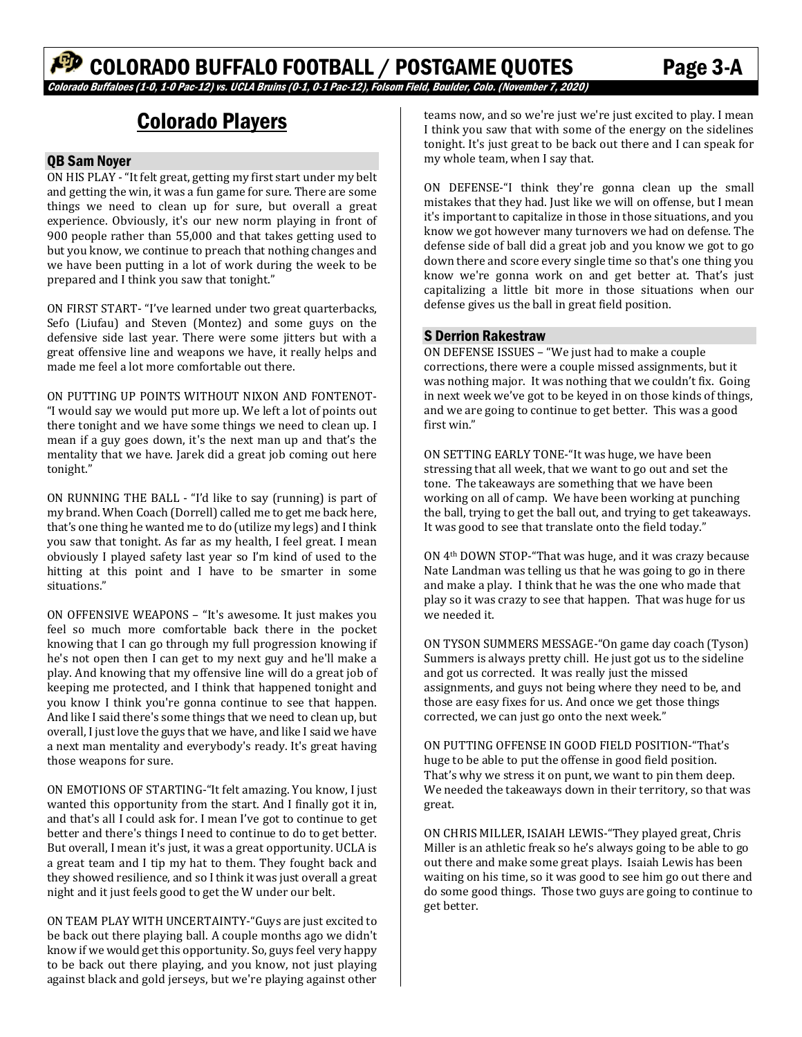# Colorado Players

#### QB Sam Noyer

ON HIS PLAY - "It felt great, getting my first start under my belt and getting the win, it was a fun game for sure. There are some things we need to clean up for sure, but overall a great experience. Obviously, it's our new norm playing in front of 900 people rather than 55,000 and that takes getting used to but you know, we continue to preach that nothing changes and we have been putting in a lot of work during the week to be prepared and I think you saw that tonight."

ON FIRST START- "I've learned under two great quarterbacks, Sefo (Liufau) and Steven (Montez) and some guys on the defensive side last year. There were some jitters but with a great offensive line and weapons we have, it really helps and made me feel a lot more comfortable out there.

ON PUTTING UP POINTS WITHOUT NIXON AND FONTENOT- "I would say we would put more up. We left a lot of points out there tonight and we have some things we need to clean up. I mean if a guy goes down, it's the next man up and that's the mentality that we have. Jarek did a great job coming out here tonight."

ON RUNNING THE BALL - "I'd like to say (running) is part of my brand. When Coach (Dorrell) called me to get me back here, that's one thing he wanted me to do (utilize my legs) and I think you saw that tonight. As far as my health, I feel great. I mean obviously I played safety last year so I'm kind of used to the hitting at this point and I have to be smarter in some situations."

ON OFFENSIVE WEAPONS – "It's awesome. It just makes you feel so much more comfortable back there in the pocket knowing that I can go through my full progression knowing if he's not open then I can get to my next guy and he'll make a play. And knowing that my offensive line will do a great job of keeping me protected, and I think that happened tonight and you know I think you're gonna continue to see that happen. And like I said there's some things that we need to clean up, but overall, I just love the guys that we have, and like I said we have a next man mentality and everybody's ready. It's great having those weapons for sure.

ON EMOTIONS OF STARTING-"It felt amazing. You know, I just wanted this opportunity from the start. And I finally got it in, and that's all I could ask for. I mean I've got to continue to get better and there's things I need to continue to do to get better. But overall, I mean it's just, it was a great opportunity. UCLA is a great team and I tip my hat to them. They fought back and they showed resilience, and so I think it was just overall a great night and it just feels good to get the W under our belt.

ON TEAM PLAY WITH UNCERTAINTY-"Guys are just excited to be back out there playing ball. A couple months ago we didn't know if we would get this opportunity. So, guys feel very happy to be back out there playing, and you know, not just playing against black and gold jerseys, but we're playing against other

teams now, and so we're just we're just excited to play. I mean I think you saw that with some of the energy on the sidelines tonight. It's just great to be back out there and I can speak for my whole team, when I say that.

ON DEFENSE-"I think they're gonna clean up the small mistakes that they had. Just like we will on offense, but I mean it's important to capitalize in those in those situations, and you know we got however many turnovers we had on defense. The defense side of ball did a great job and you know we got to go down there and score every single time so that's one thing you know we're gonna work on and get better at. That's just capitalizing a little bit more in those situations when our defense gives us the ball in great field position.

#### S Derrion Rakestraw

ON DEFENSE ISSUES – "We just had to make a couple corrections, there were a couple missed assignments, but it was nothing major. It was nothing that we couldn't fix. Going in next week we've got to be keyed in on those kinds of things, and we are going to continue to get better. This was a good first win."

ON SETTING EARLY TONE-"It was huge, we have been stressing that all week, that we want to go out and set the tone. The takeaways are something that we have been working on all of camp. We have been working at punching the ball, trying to get the ball out, and trying to get takeaways. It was good to see that translate onto the field today."

ON 4th DOWN STOP-"That was huge, and it was crazy because Nate Landman was telling us that he was going to go in there and make a play. I think that he was the one who made that play so it was crazy to see that happen. That was huge for us we needed it.

ON TYSON SUMMERS MESSAGE-"On game day coach (Tyson) Summers is always pretty chill. He just got us to the sideline and got us corrected. It was really just the missed assignments, and guys not being where they need to be, and those are easy fixes for us. And once we get those things corrected, we can just go onto the next week."

ON PUTTING OFFENSE IN GOOD FIELD POSITION-"That's huge to be able to put the offense in good field position. That's why we stress it on punt, we want to pin them deep. We needed the takeaways down in their territory, so that was great.

ON CHRIS MILLER, ISAIAH LEWIS-"They played great, Chris Miller is an athletic freak so he's always going to be able to go out there and make some great plays. Isaiah Lewis has been waiting on his time, so it was good to see him go out there and do some good things. Those two guys are going to continue to get better.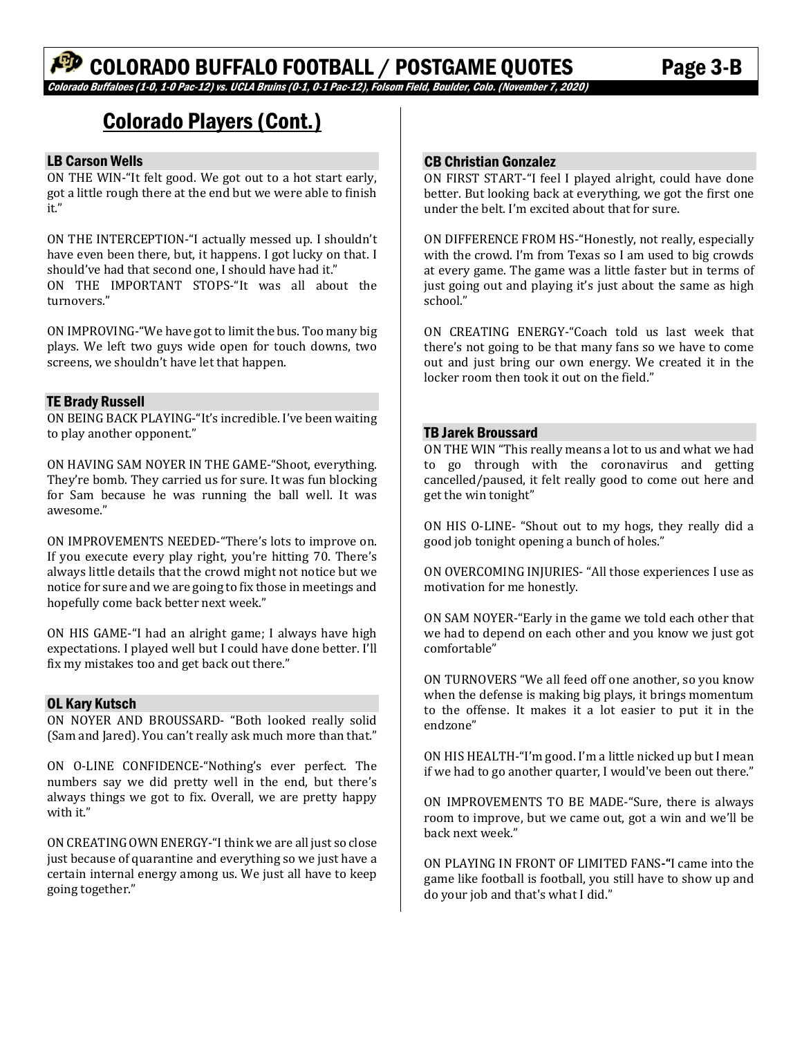# Colorado Players (Cont.)

### LB Carson Wells

ON THE WIN-"It felt good. We got out to a hot start early, got a little rough there at the end but we were able to finish it."

ON THE INTERCEPTION-"I actually messed up. I shouldn't have even been there, but, it happens. I got lucky on that. I should've had that second one, I should have had it." ON THE IMPORTANT STOPS-"It was all about the turnovers."

ON IMPROVING-"We have got to limit the bus. Too many big plays. We left two guys wide open for touch downs, two screens, we shouldn't have let that happen.

#### TE Brady Russell

ON BEING BACK PLAYING-"It's incredible. I've been waiting to play another opponent."

ON HAVING SAM NOYER IN THE GAME-"Shoot, everything. They're bomb. They carried us for sure. It was fun blocking for Sam because he was running the ball well. It was awesome."

ON IMPROVEMENTS NEEDED-"There's lots to improve on. If you execute every play right, you're hitting 70. There's always little details that the crowd might not notice but we notice for sure and we are going to fix those in meetings and hopefully come back better next week."

ON HIS GAME-"I had an alright game; I always have high expectations. I played well but I could have done better. I'll fix my mistakes too and get back out there."

#### OL Kary Kutsch

ON NOYER AND BROUSSARD- "Both looked really solid (Sam and Jared). You can't really ask much more than that."

ON O-LINE CONFIDENCE-"Nothing's ever perfect. The numbers say we did pretty well in the end, but there's always things we got to fix. Overall, we are pretty happy with it."

ON CREATING OWN ENERGY-"I think we are all just so close just because of quarantine and everything so we just have a certain internal energy among us. We just all have to keep going together."

#### CB Christian Gonzalez

ON FIRST START-"I feel I played alright, could have done better. But looking back at everything, we got the first one under the belt. I'm excited about that for sure.

ON DIFFERENCE FROM HS-"Honestly, not really, especially with the crowd. I'm from Texas so I am used to big crowds at every game. The game was a little faster but in terms of just going out and playing it's just about the same as high school."

ON CREATING ENERGY-"Coach told us last week that there's not going to be that many fans so we have to come out and just bring our own energy. We created it in the locker room then took it out on the field."

#### TB Jarek Broussard

ON THE WIN "This really means a lot to us and what we had to go through with the coronavirus and getting cancelled/paused, it felt really good to come out here and get the win tonight"

ON HIS O-LINE- "Shout out to my hogs, they really did a good job tonight opening a bunch of holes."

ON OVERCOMING INJURIES- "All those experiences I use as motivation for me honestly.

ON SAM NOYER-"Early in the game we told each other that we had to depend on each other and you know we just got comfortable"

ON TURNOVERS "We all feed off one another, so you know when the defense is making big plays, it brings momentum to the offense. It makes it a lot easier to put it in the endzone"

ON HIS HEALTH-"I'm good. I'm a little nicked up but I mean if we had to go another quarter, I would've been out there."

ON IMPROVEMENTS TO BE MADE-"Sure, there is always room to improve, but we came out, got a win and we'll be back next week."

ON PLAYING IN FRONT OF LIMITED FANS**-"**I came into the game like football is football, you still have to show up and do your job and that's what I did."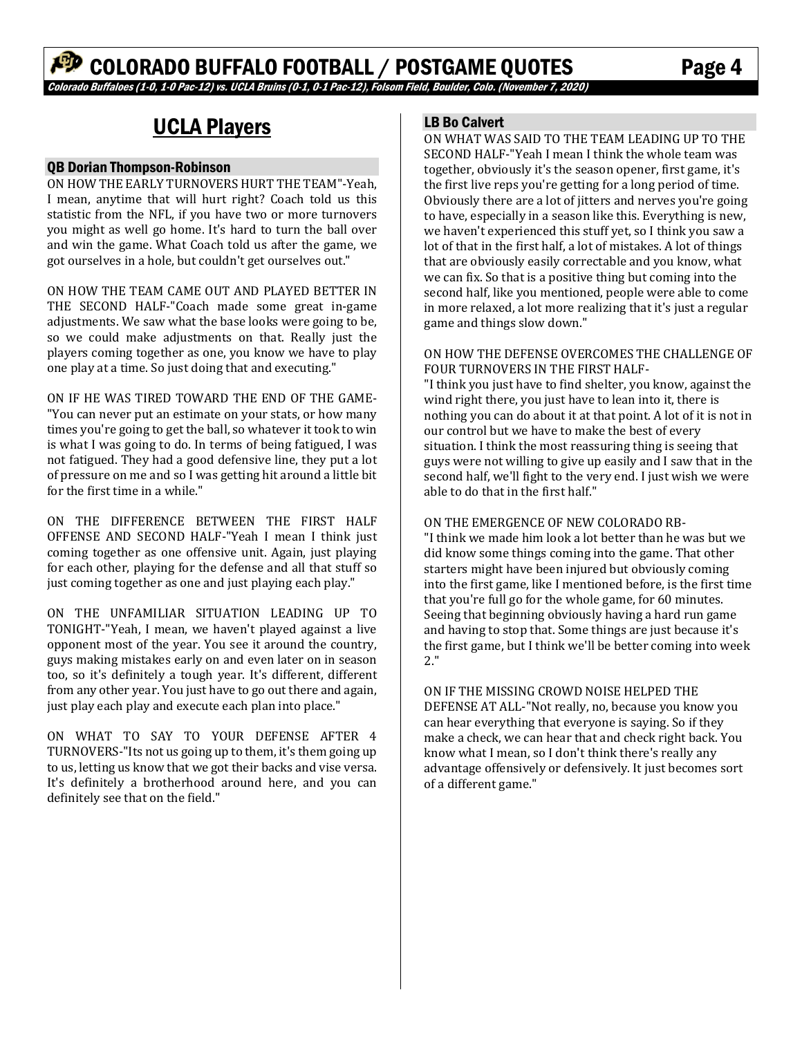# UCLA Players

#### QB Dorian Thompson-Robinson

ON HOW THE EARLY TURNOVERS HURT THE TEAM"-Yeah, I mean, anytime that will hurt right? Coach told us this statistic from the NFL, if you have two or more turnovers you might as well go home. It's hard to turn the ball over and win the game. What Coach told us after the game, we got ourselves in a hole, but couldn't get ourselves out."

ON HOW THE TEAM CAME OUT AND PLAYED BETTER IN THE SECOND HALF-"Coach made some great in-game adjustments. We saw what the base looks were going to be, so we could make adjustments on that. Really just the players coming together as one, you know we have to play one play at a time. So just doing that and executing."

ON IF HE WAS TIRED TOWARD THE END OF THE GAME- "You can never put an estimate on your stats, or how many times you're going to get the ball, so whatever it took to win is what I was going to do. In terms of being fatigued, I was not fatigued. They had a good defensive line, they put a lot of pressure on me and so I was getting hit around a little bit for the first time in a while."

ON THE DIFFERENCE BETWEEN THE FIRST HALF OFFENSE AND SECOND HALF-"Yeah I mean I think just coming together as one offensive unit. Again, just playing for each other, playing for the defense and all that stuff so just coming together as one and just playing each play."

ON THE UNFAMILIAR SITUATION LEADING UP TO TONIGHT-"Yeah, I mean, we haven't played against a live opponent most of the year. You see it around the country, guys making mistakes early on and even later on in season too, so it's definitely a tough year. It's different, different from any other year. You just have to go out there and again, just play each play and execute each plan into place."

ON WHAT TO SAY TO YOUR DEFENSE AFTER 4 TURNOVERS-"Its not us going up to them, it's them going up to us, letting us know that we got their backs and vise versa. It's definitely a brotherhood around here, and you can definitely see that on the field."

#### LB Bo Calvert

ON WHAT WAS SAID TO THE TEAM LEADING UP TO THE SECOND HALF-"Yeah I mean I think the whole team was together, obviously it's the season opener, first game, it's the first live reps you're getting for a long period of time. Obviously there are a lot of jitters and nerves you're going to have, especially in a season like this. Everything is new, we haven't experienced this stuff yet, so I think you saw a lot of that in the first half, a lot of mistakes. A lot of things that are obviously easily correctable and you know, what we can fix. So that is a positive thing but coming into the second half, like you mentioned, people were able to come in more relaxed, a lot more realizing that it's just a regular game and things slow down."

#### ON HOW THE DEFENSE OVERCOMES THE CHALLENGE OF FOUR TURNOVERS IN THE FIRST HALF-

"I think you just have to find shelter, you know, against the wind right there, you just have to lean into it, there is nothing you can do about it at that point. A lot of it is not in our control but we have to make the best of every situation. I think the most reassuring thing is seeing that guys were not willing to give up easily and I saw that in the second half, we'll fight to the very end. I just wish we were able to do that in the first half."

#### ON THE EMERGENCE OF NEW COLORADO RB-

"I think we made him look a lot better than he was but we did know some things coming into the game. That other starters might have been injured but obviously coming into the first game, like I mentioned before, is the first time that you're full go for the whole game, for 60 minutes. Seeing that beginning obviously having a hard run game and having to stop that. Some things are just because it's the first game, but I think we'll be better coming into week 2."

ON IF THE MISSING CROWD NOISE HELPED THE DEFENSE AT ALL-"Not really, no, because you know you can hear everything that everyone is saying. So if they make a check, we can hear that and check right back. You know what I mean, so I don't think there's really any advantage offensively or defensively. It just becomes sort of a different game."